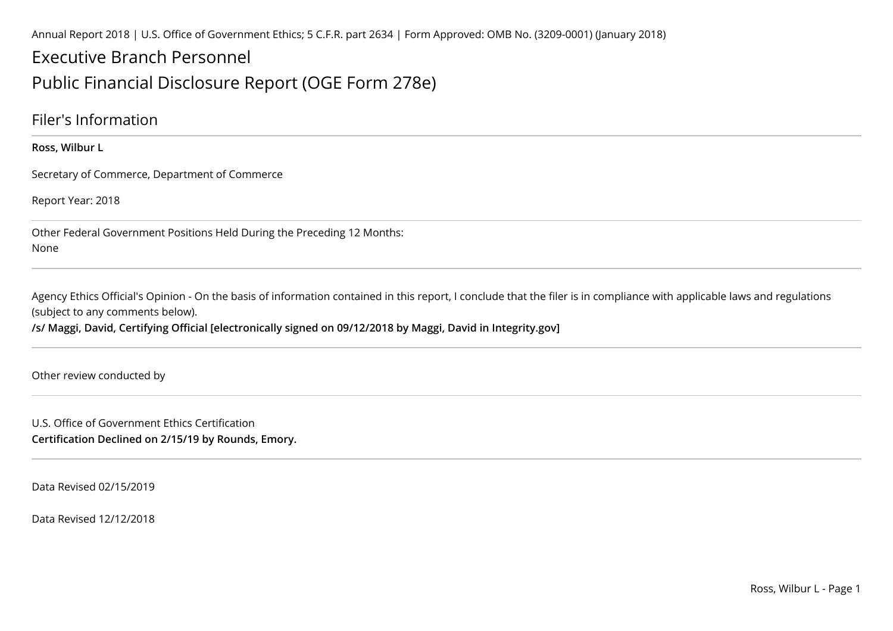Annual Report 2018 | U.S. Office of Government Ethics; 5 C.F.R. part 2634 | Form Approved: OMB No. (3209-0001) (January 2018)

### Executive Branch Personnel

#### Public Financial Disclosure Report (OGE Form 278e)

#### Filer's Information

**Ross, Wilbur L**

Secretary of Commerce, Department of Commerce

Report Year: 2018

Other Federal Government Positions Held During the Preceding 12 Months:None

Agency Ethics Official's Opinion - On the basis of information contained in this report, I conclude that the filer is in compliance with applicable laws and regulations (subject to any comments below).

**/s/ Maggi, David, Certifying Official [electronically signed on 09/12/2018 by Maggi, David in Integrity.gov]**

Other review conducted by

U.S. Office of Government Ethics Certification**Certification Declined on 2/15/19 by Rounds, Emory.**

Data Revised 02/15/2019

Data Revised 12/12/2018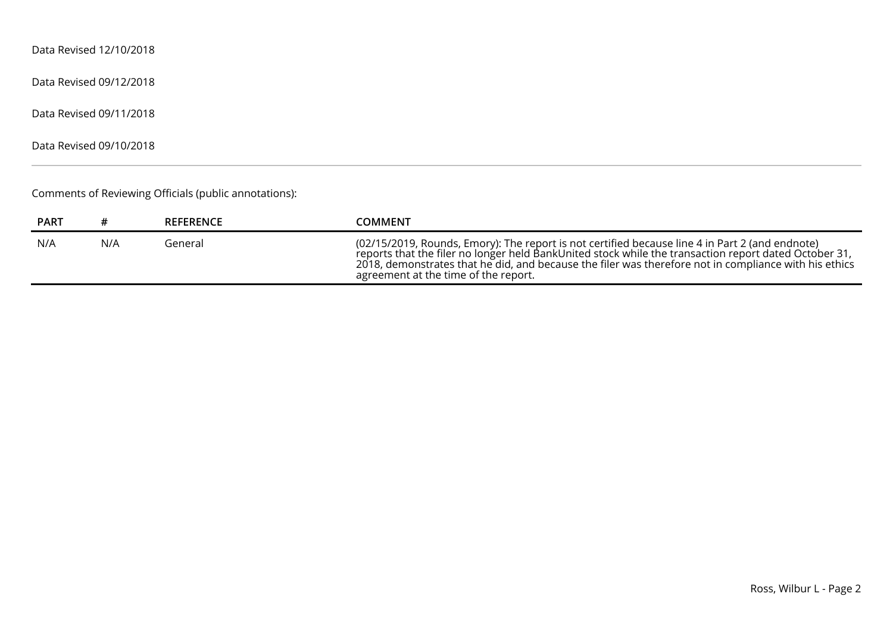Data Revised 12/10/2018

Data Revised 09/12/2018

Data Revised 09/11/2018

Data Revised 09/10/2018

Comments of Reviewing Officials (public annotations):

| <b>PART</b> |     | <b>REFERENCE</b> | COMMENT                                                                                                                                                                                                                                                                                                                                                   |
|-------------|-----|------------------|-----------------------------------------------------------------------------------------------------------------------------------------------------------------------------------------------------------------------------------------------------------------------------------------------------------------------------------------------------------|
| N/A         | N/A | General          | (02/15/2019, Rounds, Emory): The report is not certified because line 4 in Part 2 (and endnote)<br>reports that the filer no longer held BankUnited stock while the transaction report dated October 31,<br>2018, demonstrates that he did, and because the filer was therefore not in compliance with his ethics<br>agreement at the time of the report. |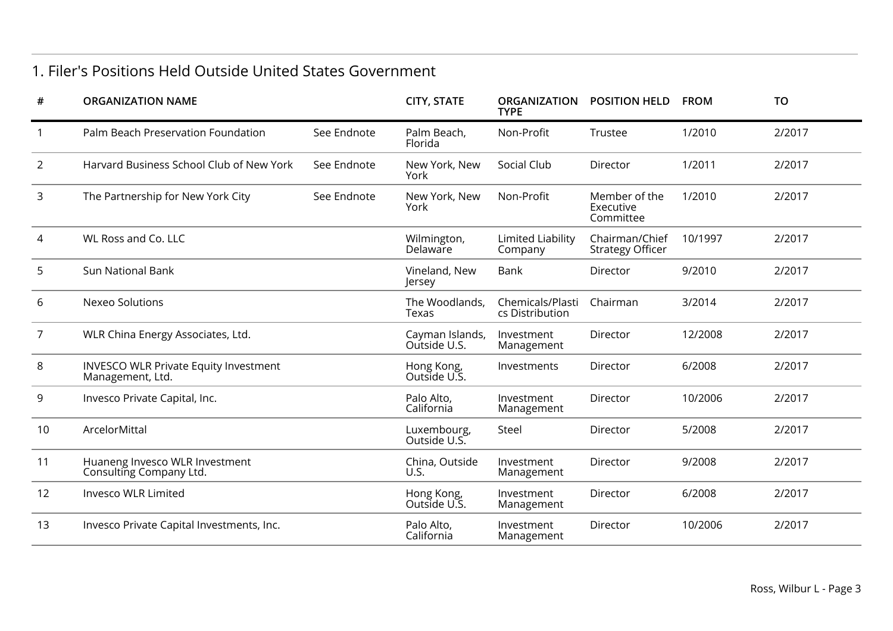#### 1. Filer's Positions Held Outside United States Government

| <b>ORGANIZATION NAME</b>                                         |             | <b>CITY, STATE</b>              | <b>ORGANIZATION</b><br><b>TYPE</b>  | <b>POSITION HELD</b>                      | <b>FROM</b> | <b>TO</b> |
|------------------------------------------------------------------|-------------|---------------------------------|-------------------------------------|-------------------------------------------|-------------|-----------|
| Palm Beach Preservation Foundation                               | See Endnote | Palm Beach,<br>Florida          | Non-Profit                          | Trustee                                   | 1/2010      | 2/2017    |
| Harvard Business School Club of New York                         | See Endnote | New York, New<br>York           | Social Club                         | Director                                  | 1/2011      | 2/2017    |
| The Partnership for New York City                                | See Endnote | New York, New<br>York           | Non-Profit                          | Member of the<br>Executive<br>Committee   | 1/2010      | 2/2017    |
| WL Ross and Co. LLC                                              |             | Wilmington,<br>Delaware         | <b>Limited Liability</b><br>Company | Chairman/Chief<br><b>Strategy Officer</b> | 10/1997     | 2/2017    |
| <b>Sun National Bank</b>                                         |             | Vineland, New<br>Jersey         | Bank                                | Director                                  | 9/2010      | 2/2017    |
| Nexeo Solutions                                                  |             | The Woodlands,<br>Texas         | Chemicals/Plasti<br>cs Distribution | Chairman                                  | 3/2014      | 2/2017    |
| WLR China Energy Associates, Ltd.                                |             | Cayman Islands,<br>Outside U.S. | Investment<br>Management            | Director                                  | 12/2008     | 2/2017    |
| <b>INVESCO WLR Private Equity Investment</b><br>Management, Ltd. |             | Hong Kong,<br>Outside U.S.      | Investments                         | Director                                  | 6/2008      | 2/2017    |
| Invesco Private Capital, Inc.                                    |             | Palo Alto,<br>California        | Investment<br>Management            | Director                                  | 10/2006     | 2/2017    |
| ArcelorMittal                                                    |             | Luxembourg,<br>Outside U.S.     | Steel                               | Director                                  | 5/2008      | 2/2017    |
| Huaneng Invesco WLR Investment<br>Consulting Company Ltd.        |             | China, Outside<br>U.S.          | Investment<br>Management            | Director                                  | 9/2008      | 2/2017    |
| Invesco WLR Limited                                              |             | Hong Kong,<br>Outside U.S.      | Investment<br>Management            | Director                                  | 6/2008      | 2/2017    |
| Invesco Private Capital Investments, Inc.                        |             | Palo Alto,<br>California        | Investment<br>Management            | Director                                  | 10/2006     | 2/2017    |
|                                                                  |             |                                 |                                     |                                           |             |           |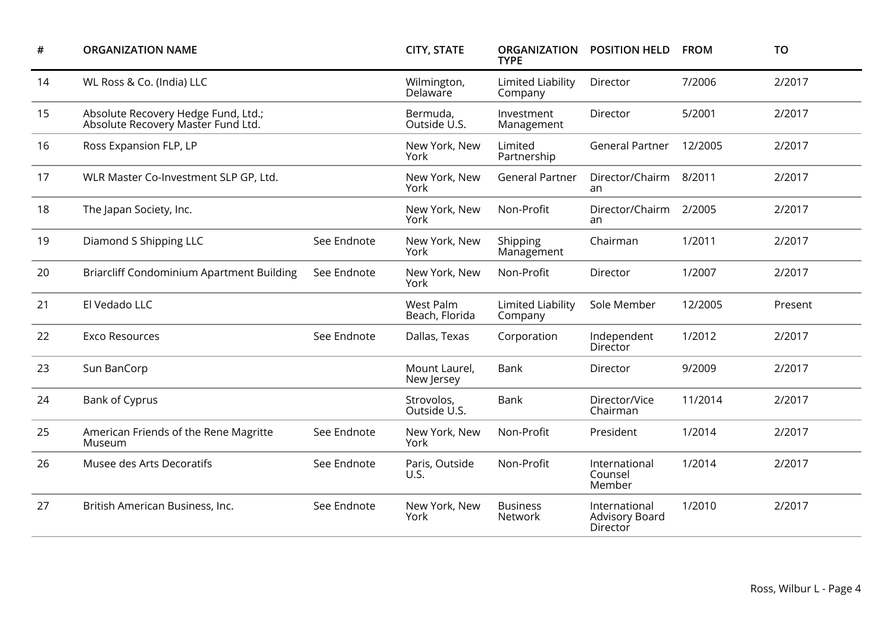| #  | <b>ORGANIZATION NAME</b>                                                  |             | <b>CITY, STATE</b>          | <b>ORGANIZATION</b><br><b>TYPE</b>  | <b>POSITION HELD</b>                        | <b>FROM</b> | <b>TO</b> |
|----|---------------------------------------------------------------------------|-------------|-----------------------------|-------------------------------------|---------------------------------------------|-------------|-----------|
| 14 | WL Ross & Co. (India) LLC                                                 |             | Wilmington,<br>Delaware     | <b>Limited Liability</b><br>Company | Director                                    | 7/2006      | 2/2017    |
| 15 | Absolute Recovery Hedge Fund, Ltd.;<br>Absolute Recovery Master Fund Ltd. |             | Bermuda,<br>Outside U.S.    | Investment<br>Management            | Director                                    | 5/2001      | 2/2017    |
| 16 | Ross Expansion FLP, LP                                                    |             | New York, New<br>York       | Limited<br>Partnership              | <b>General Partner</b>                      | 12/2005     | 2/2017    |
| 17 | WLR Master Co-Investment SLP GP, Ltd.                                     |             | New York, New<br>York       | <b>General Partner</b>              | Director/Chairm<br>an                       | 8/2011      | 2/2017    |
| 18 | The Japan Society, Inc.                                                   |             | New York, New<br>York       | Non-Profit                          | Director/Chairm<br>an                       | 2/2005      | 2/2017    |
| 19 | Diamond S Shipping LLC                                                    | See Endnote | New York, New<br>York       | Shipping<br>Management              | Chairman                                    | 1/2011      | 2/2017    |
| 20 | <b>Briarcliff Condominium Apartment Building</b>                          | See Endnote | New York, New<br>York       | Non-Profit                          | Director                                    | 1/2007      | 2/2017    |
| 21 | El Vedado LLC                                                             |             | West Palm<br>Beach, Florida | <b>Limited Liability</b><br>Company | Sole Member                                 | 12/2005     | Present   |
| 22 | <b>Exco Resources</b>                                                     | See Endnote | Dallas, Texas               | Corporation                         | Independent<br>Director                     | 1/2012      | 2/2017    |
| 23 | Sun BanCorp                                                               |             | Mount Laurel,<br>New Jersey | Bank                                | Director                                    | 9/2009      | 2/2017    |
| 24 | Bank of Cyprus                                                            |             | Strovolos,<br>Outside U.S.  | Bank                                | Director/Vice<br>Chairman                   | 11/2014     | 2/2017    |
| 25 | American Friends of the Rene Magritte<br>Museum                           | See Endnote | New York, New<br>York       | Non-Profit                          | President                                   | 1/2014      | 2/2017    |
| 26 | Musee des Arts Decoratifs                                                 | See Endnote | Paris, Outside<br>U.S.      | Non-Profit                          | International<br>Counsel<br>Member          | 1/2014      | 2/2017    |
| 27 | British American Business, Inc.                                           | See Endnote | New York, New<br>York       | <b>Business</b><br>Network          | International<br>Advisory Board<br>Director | 1/2010      | 2/2017    |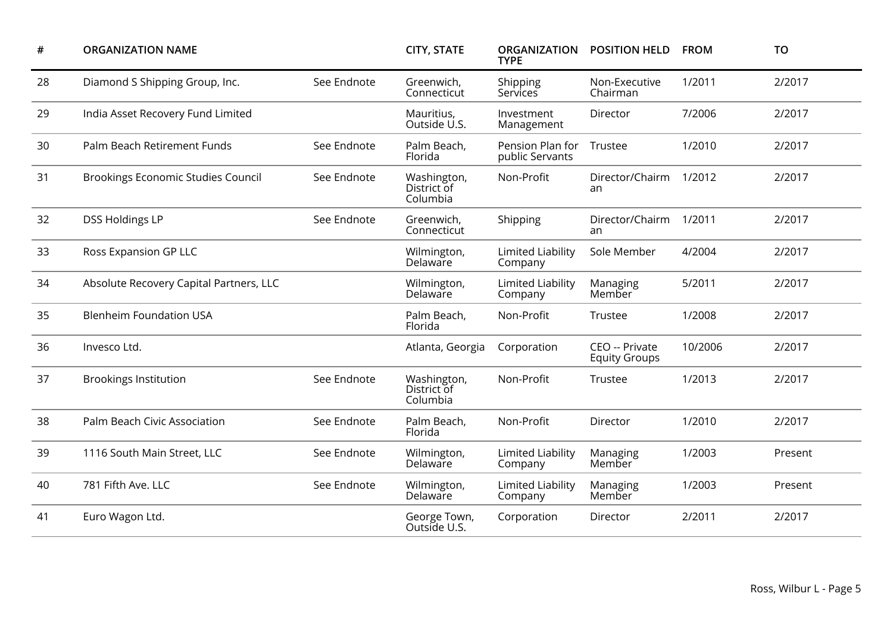| $\#$ | <b>ORGANIZATION NAME</b>                |             | <b>CITY, STATE</b>                     | <b>ORGANIZATION</b><br><b>TYPE</b>  | <b>POSITION HELD</b>                   | <b>FROM</b> | <b>TO</b> |
|------|-----------------------------------------|-------------|----------------------------------------|-------------------------------------|----------------------------------------|-------------|-----------|
| 28   | Diamond S Shipping Group, Inc.          | See Endnote | Greenwich,<br>Connecticut              | Shipping<br>Services                | Non-Executive<br>Chairman              | 1/2011      | 2/2017    |
| 29   | India Asset Recovery Fund Limited       |             | Mauritius,<br>Outside U.S.             | Investment<br>Management            | Director                               | 7/2006      | 2/2017    |
| 30   | Palm Beach Retirement Funds             | See Endnote | Palm Beach,<br>Florida                 | Pension Plan for<br>public Servants | Trustee                                | 1/2010      | 2/2017    |
| 31   | Brookings Economic Studies Council      | See Endnote | Washington,<br>District of<br>Columbia | Non-Profit                          | Director/Chairm<br>an                  | 1/2012      | 2/2017    |
| 32   | <b>DSS Holdings LP</b>                  | See Endnote | Greenwich,<br>Connecticut              | Shipping                            | Director/Chairm<br>an                  | 1/2011      | 2/2017    |
| 33   | Ross Expansion GP LLC                   |             | Wilmington,<br>Delaware                | <b>Limited Liability</b><br>Company | Sole Member                            | 4/2004      | 2/2017    |
| 34   | Absolute Recovery Capital Partners, LLC |             | Wilmington,<br>Delaware                | <b>Limited Liability</b><br>Company | Managing<br>Member                     | 5/2011      | 2/2017    |
| 35   | <b>Blenheim Foundation USA</b>          |             | Palm Beach,<br>Florida                 | Non-Profit                          | Trustee                                | 1/2008      | 2/2017    |
| 36   | Invesco Ltd.                            |             | Atlanta, Georgia                       | Corporation                         | CEO -- Private<br><b>Equity Groups</b> | 10/2006     | 2/2017    |
| 37   | <b>Brookings Institution</b>            | See Endnote | Washington,<br>District of<br>Columbia | Non-Profit                          | Trustee                                | 1/2013      | 2/2017    |
| 38   | Palm Beach Civic Association            | See Endnote | Palm Beach,<br>Florida                 | Non-Profit                          | Director                               | 1/2010      | 2/2017    |
| 39   | 1116 South Main Street, LLC             | See Endnote | Wilmington,<br>Delaware                | Limited Liability<br>Company        | Managing<br>Member                     | 1/2003      | Present   |
| 40   | 781 Fifth Ave. LLC                      | See Endnote | Wilmington,<br>Delaware                | <b>Limited Liability</b><br>Company | Managing<br>Member                     | 1/2003      | Present   |
| 41   | Euro Wagon Ltd.                         |             | George Town,<br>Outside U.S.           | Corporation                         | Director                               | 2/2011      | 2/2017    |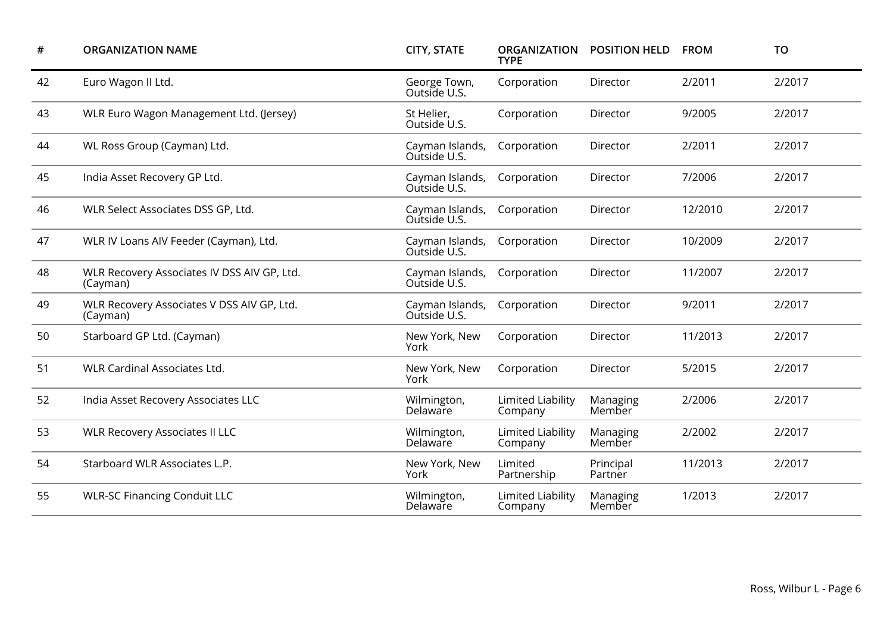| #  | <b>ORGANIZATION NAME</b>                                | <b>CITY, STATE</b>              | <b>ORGANIZATION</b><br><b>TYPE</b>  | <b>POSITION HELD</b> | <b>FROM</b> | <b>TO</b> |
|----|---------------------------------------------------------|---------------------------------|-------------------------------------|----------------------|-------------|-----------|
| 42 | Euro Wagon II Ltd.                                      | George Town,<br>Outside U.S.    | Corporation                         | Director             | 2/2011      | 2/2017    |
| 43 | WLR Euro Wagon Management Ltd. (Jersey)                 | St Helier,<br>Outside U.S.      | Corporation                         | Director             | 9/2005      | 2/2017    |
| 44 | WL Ross Group (Cayman) Ltd.                             | Cayman Islands,<br>Outside U.S. | Corporation                         | Director             | 2/2011      | 2/2017    |
| 45 | India Asset Recovery GP Ltd.                            | Cayman Islands,<br>Outside U.S. | Corporation                         | Director             | 7/2006      | 2/2017    |
| 46 | WLR Select Associates DSS GP, Ltd.                      | Cayman Islands,<br>Outside U.S. | Corporation                         | Director             | 12/2010     | 2/2017    |
| 47 | WLR IV Loans AIV Feeder (Cayman), Ltd.                  | Cayman Islands,<br>Outside U.S. | Corporation                         | Director             | 10/2009     | 2/2017    |
| 48 | WLR Recovery Associates IV DSS AIV GP, Ltd.<br>(Cayman) | Cayman Islands,<br>Outside U.S. | Corporation                         | Director             | 11/2007     | 2/2017    |
| 49 | WLR Recovery Associates V DSS AIV GP, Ltd.<br>(Cayman)  | Cayman Islands,<br>Outside U.S. | Corporation                         | Director             | 9/2011      | 2/2017    |
| 50 | Starboard GP Ltd. (Cayman)                              | New York, New<br>York           | Corporation                         | Director             | 11/2013     | 2/2017    |
| 51 | <b>WLR Cardinal Associates Ltd.</b>                     | New York, New<br>York           | Corporation                         | Director             | 5/2015      | 2/2017    |
| 52 | India Asset Recovery Associates LLC                     | Wilmington,<br>Delaware         | <b>Limited Liability</b><br>Company | Managing<br>Member   | 2/2006      | 2/2017    |
| 53 | <b>WLR Recovery Associates II LLC</b>                   | Wilmington,<br>Delaware         | Limited Liability<br>Company        | Managing<br>Member   | 2/2002      | 2/2017    |
| 54 | Starboard WLR Associates L.P.                           | New York, New<br>York           | Limited<br>Partnership              | Principal<br>Partner | 11/2013     | 2/2017    |
| 55 | <b>WLR-SC Financing Conduit LLC</b>                     | Wilmington,<br>Delaware         | Limited Liability<br>Company        | Managing<br>Member   | 1/2013      | 2/2017    |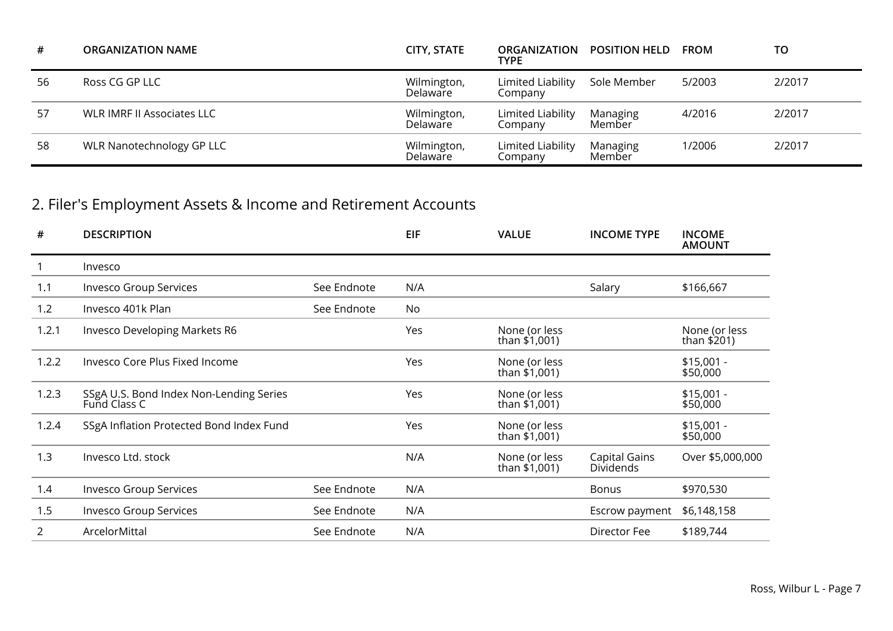| #  | <b>ORGANIZATION NAME</b>   | <b>CITY, STATE</b>      | TYPE                         | ORGANIZATION POSITION HELD | <b>FROM</b> | то     |
|----|----------------------------|-------------------------|------------------------------|----------------------------|-------------|--------|
| 56 | Ross CG GP LLC             | Wilmington,<br>Delaware | Limited Liability<br>Company | Sole Member                | 5/2003      | 2/2017 |
| 57 | WLR IMRF II Associates LLC | Wilmington,<br>Delaware | Limited Liability<br>Company | Managing<br>Member         | 4/2016      | 2/2017 |
| 58 | WLR Nanotechnology GP LLC  | Wilmington,<br>Delaware | Limited Liability<br>Company | Managing<br>Member         | 1/2006      | 2/2017 |

## 2. Filer's Employment Assets & Income and Retirement Accounts

| #     | <b>DESCRIPTION</b>                                      |             | <b>EIF</b> | <b>VALUE</b>                   | <b>INCOME TYPE</b>                | <b>INCOME</b><br><b>AMOUNT</b> |
|-------|---------------------------------------------------------|-------------|------------|--------------------------------|-----------------------------------|--------------------------------|
|       | Invesco                                                 |             |            |                                |                                   |                                |
| 1.1   | <b>Invesco Group Services</b>                           | See Endnote | N/A        |                                | Salary                            | \$166,667                      |
| 1.2   | Invesco 401k Plan                                       | See Endnote | No         |                                |                                   |                                |
| 1.2.1 | Invesco Developing Markets R6                           |             | Yes        | None (or less<br>than \$1,001) |                                   | None (or less<br>than \$201)   |
| 1.2.2 | Invesco Core Plus Fixed Income                          |             | Yes        | None (or less<br>than \$1,001) |                                   | $$15,001 -$<br>\$50,000        |
| 1.2.3 | SSgA U.S. Bond Index Non-Lending Series<br>Fund Class C |             | Yes        | None (or less<br>than \$1,001) |                                   | $$15,001 -$<br>\$50,000        |
| 1.2.4 | SSgA Inflation Protected Bond Index Fund                |             | Yes        | None (or less<br>than \$1,001) |                                   | $$15,001 -$<br>\$50,000        |
| 1.3   | Invesco Ltd. stock                                      |             | N/A        | None (or less<br>than \$1,001) | Capital Gains<br><b>Dividends</b> | Over \$5,000,000               |
| 1.4   | <b>Invesco Group Services</b>                           | See Endnote | N/A        |                                | <b>Bonus</b>                      | \$970,530                      |
| 1.5   | <b>Invesco Group Services</b>                           | See Endnote | N/A        |                                | Escrow payment                    | \$6,148,158                    |
| 2     | ArcelorMittal                                           | See Endnote | N/A        |                                | Director Fee                      | \$189,744                      |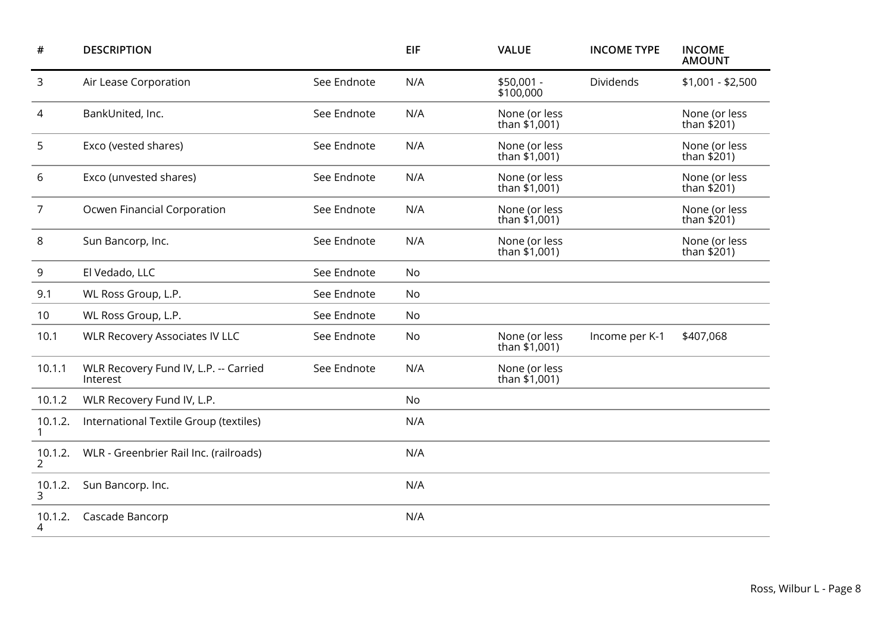| #            | <b>DESCRIPTION</b>                                |             | EIF       | <b>VALUE</b>                     | <b>INCOME TYPE</b> | <b>INCOME</b><br><b>AMOUNT</b> |
|--------------|---------------------------------------------------|-------------|-----------|----------------------------------|--------------------|--------------------------------|
| 3            | Air Lease Corporation                             | See Endnote | N/A       | $$50,001 -$<br>\$100,000         | Dividends          | $$1,001 - $2,500$              |
| 4            | BankUnited, Inc.                                  | See Endnote | N/A       | None (or less<br>than $$1,001$ ) |                    | None (or less<br>than $$201)$  |
| 5            | Exco (vested shares)                              | See Endnote | N/A       | None (or less<br>than $$1,001$ ) |                    | None (or less<br>than $$201$ ) |
| 6            | Exco (unvested shares)                            | See Endnote | N/A       | None (or less<br>than \$1,001)   |                    | None (or less<br>than $$201)$  |
| 7            | Ocwen Financial Corporation                       | See Endnote | N/A       | None (or less<br>than \$1,001)   |                    | None (or less<br>than $$201)$  |
| 8            | Sun Bancorp, Inc.                                 | See Endnote | N/A       | None (or less<br>than \$1,001)   |                    | None (or less<br>than \$201)   |
| 9            | El Vedado, LLC                                    | See Endnote | No        |                                  |                    |                                |
| 9.1          | WL Ross Group, L.P.                               | See Endnote | No        |                                  |                    |                                |
| 10           | WL Ross Group, L.P.                               | See Endnote | No        |                                  |                    |                                |
| 10.1         | <b>WLR Recovery Associates IV LLC</b>             | See Endnote | No        | None (or less<br>than \$1,001)   | Income per K-1     | \$407,068                      |
| 10.1.1       | WLR Recovery Fund IV, L.P. -- Carried<br>Interest | See Endnote | N/A       | None (or less<br>than \$1,001)   |                    |                                |
| 10.1.2       | WLR Recovery Fund IV, L.P.                        |             | <b>No</b> |                                  |                    |                                |
| 10.1.2.      | International Textile Group (textiles)            |             | N/A       |                                  |                    |                                |
| 10.1.2.<br>2 | WLR - Greenbrier Rail Inc. (railroads)            |             | N/A       |                                  |                    |                                |
| 10.1.2.<br>3 | Sun Bancorp. Inc.                                 |             | N/A       |                                  |                    |                                |
| 10.1.2.      | Cascade Bancorp                                   |             | N/A       |                                  |                    |                                |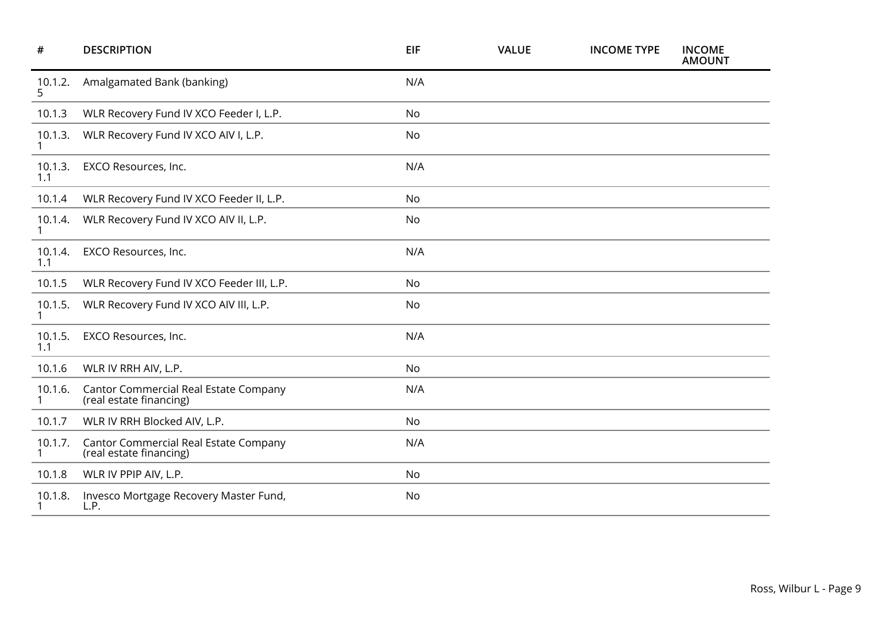| #                       | <b>DESCRIPTION</b>                                                      | <b>EIF</b> | <b>VALUE</b> | <b>INCOME TYPE</b> | <b>INCOME</b><br><b>AMOUNT</b> |
|-------------------------|-------------------------------------------------------------------------|------------|--------------|--------------------|--------------------------------|
| 10.1.2.<br>5            | Amalgamated Bank (banking)                                              | N/A        |              |                    |                                |
| 10.1.3                  | WLR Recovery Fund IV XCO Feeder I, L.P.                                 | No         |              |                    |                                |
| 10.1.3.<br>1            | WLR Recovery Fund IV XCO AIV I, L.P.                                    | No         |              |                    |                                |
| 10.1.3.<br>1.1          | EXCO Resources, Inc.                                                    | N/A        |              |                    |                                |
| 10.1.4                  | WLR Recovery Fund IV XCO Feeder II, L.P.                                | No         |              |                    |                                |
| 10.1.4.                 | WLR Recovery Fund IV XCO AIV II, L.P.                                   | No         |              |                    |                                |
| 10.1.4.<br>1.1          | EXCO Resources, Inc.                                                    | N/A        |              |                    |                                |
| 10.1.5                  | WLR Recovery Fund IV XCO Feeder III, L.P.                               | No         |              |                    |                                |
| 10.1.5.                 | WLR Recovery Fund IV XCO AIV III, L.P.                                  | No         |              |                    |                                |
| 10.1.5.<br>1.1          | EXCO Resources, Inc.                                                    | N/A        |              |                    |                                |
| 10.1.6                  | WLR IV RRH AIV, L.P.                                                    | No         |              |                    |                                |
| 10.1.6.<br>$\mathbf{1}$ | <b>Cantor Commercial Real Estate Company</b><br>(real estate financing) | N/A        |              |                    |                                |
| 10.1.7                  | WLR IV RRH Blocked AIV, L.P.                                            | No         |              |                    |                                |
| 10.1.7.                 | Cantor Commercial Real Estate Company<br>(real estate financing)        | N/A        |              |                    |                                |
| 10.1.8                  | WLR IV PPIP AIV, L.P.                                                   | No         |              |                    |                                |
| 10.1.8.                 | Invesco Mortgage Recovery Master Fund,<br>L.P.                          | No         |              |                    |                                |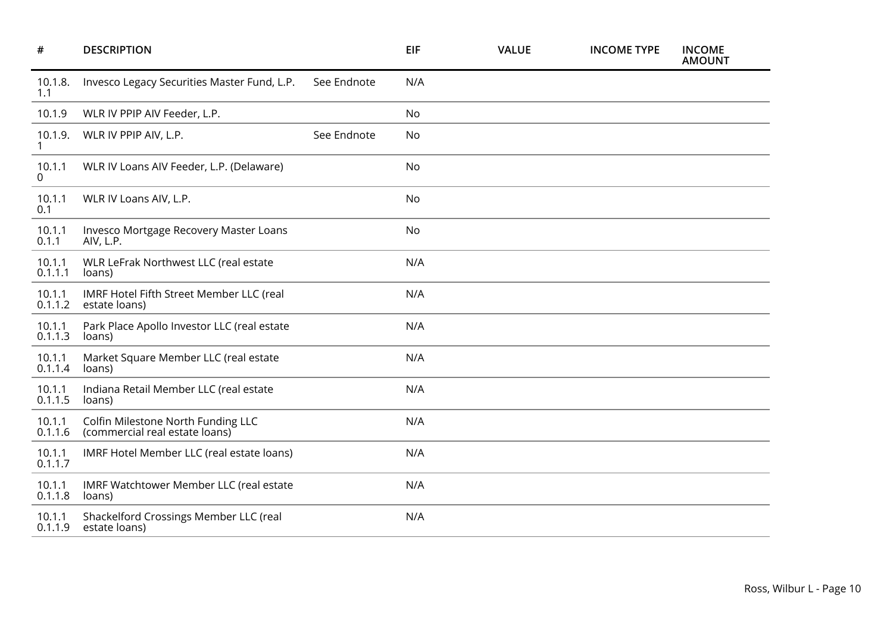| #                     | <b>DESCRIPTION</b>                                                   |             | <b>EIF</b> | <b>VALUE</b> | <b>INCOME TYPE</b> | <b>INCOME</b><br><b>AMOUNT</b> |
|-----------------------|----------------------------------------------------------------------|-------------|------------|--------------|--------------------|--------------------------------|
| 10.1.8.<br>1.1        | Invesco Legacy Securities Master Fund, L.P.                          | See Endnote | N/A        |              |                    |                                |
| 10.1.9                | WLR IV PPIP AIV Feeder, L.P.                                         |             | No         |              |                    |                                |
| 10.1.9.               | WLR IV PPIP AIV, L.P.                                                | See Endnote | No         |              |                    |                                |
| 10.1.1<br>0           | WLR IV Loans AIV Feeder, L.P. (Delaware)                             |             | No         |              |                    |                                |
| 10.1.1<br>0.1         | WLR IV Loans AIV, L.P.                                               |             | No         |              |                    |                                |
| 10.1.1<br>0.1.1       | Invesco Mortgage Recovery Master Loans<br>AIV, L.P.                  |             | No         |              |                    |                                |
| 10.1.1<br>0.1.1.1     | WLR LeFrak Northwest LLC (real estate<br>loans)                      |             | N/A        |              |                    |                                |
| 10.1.1<br>0.1.1.2     | IMRF Hotel Fifth Street Member LLC (real<br>estate loans)            |             | N/A        |              |                    |                                |
| 10.1.1<br>0.1.1.3     | Park Place Apollo Investor LLC (real estate<br>loans)                |             | N/A        |              |                    |                                |
| 10.1.1<br>0.1.1.4     | Market Square Member LLC (real estate<br>loans)                      |             | N/A        |              |                    |                                |
| 10.1.1<br>0.1.1.5     | Indiana Retail Member LLC (real estate<br>loans)                     |             | N/A        |              |                    |                                |
| 10.1.1<br>0.1.1.6     | Colfin Milestone North Funding LLC<br>(commercial real estate loans) |             | N/A        |              |                    |                                |
| $10.1.1$<br>$0.1.1.7$ | IMRF Hotel Member LLC (real estate loans)                            |             | N/A        |              |                    |                                |
| 10.1.1<br>0.1.1.8     | IMRF Watchtower Member LLC (real estate<br>loans)                    |             | N/A        |              |                    |                                |
| 10.1.1<br>0.1.1.9     | Shackelford Crossings Member LLC (real<br>estate loans)              |             | N/A        |              |                    |                                |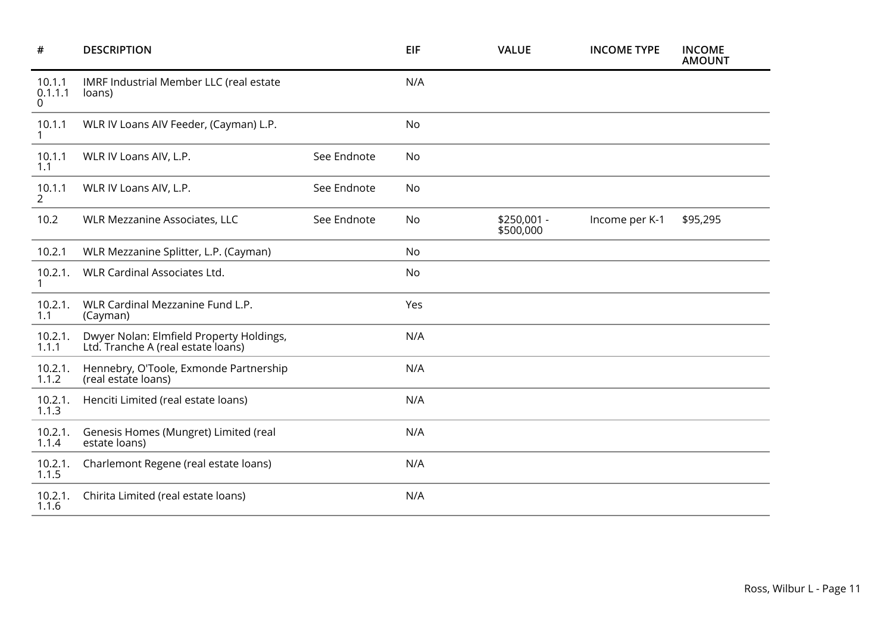| $\#$                     | <b>DESCRIPTION</b>                                                             |             | EIF       | <b>VALUE</b>             | <b>INCOME TYPE</b> | <b>INCOME</b><br><b>AMOUNT</b> |
|--------------------------|--------------------------------------------------------------------------------|-------------|-----------|--------------------------|--------------------|--------------------------------|
| 10.1.1<br>0.1.1.1<br>0   | IMRF Industrial Member LLC (real estate<br>loans)                              |             | N/A       |                          |                    |                                |
| 10.1.1<br>$\mathbf{1}$   | WLR IV Loans AIV Feeder, (Cayman) L.P.                                         |             | <b>No</b> |                          |                    |                                |
| 10.1.1<br>1.1            | WLR IV Loans AIV, L.P.                                                         | See Endnote | <b>No</b> |                          |                    |                                |
| 10.1.1<br>$\overline{2}$ | WLR IV Loans AIV, L.P.                                                         | See Endnote | <b>No</b> |                          |                    |                                |
| 10.2                     | WLR Mezzanine Associates, LLC                                                  | See Endnote | <b>No</b> | \$250,001 -<br>\$500,000 | Income per K-1     | \$95,295                       |
| 10.2.1                   | WLR Mezzanine Splitter, L.P. (Cayman)                                          |             | <b>No</b> |                          |                    |                                |
| 10.2.1.                  | <b>WLR Cardinal Associates Ltd.</b>                                            |             | <b>No</b> |                          |                    |                                |
| 10.2.1.<br>1.1           | WLR Cardinal Mezzanine Fund L.P.<br>(Cayman)                                   |             | Yes       |                          |                    |                                |
| 10.2.1.<br>1.1.1         | Dwyer Nolan: Elmfield Property Holdings,<br>Ltd. Tranche A (real estate loans) |             | N/A       |                          |                    |                                |
| 10.2.1.<br>1.1.2         | Hennebry, O'Toole, Exmonde Partnership<br>(real estate loans)                  |             | N/A       |                          |                    |                                |
| 10.2.1.<br>1.1.3         | Henciti Limited (real estate loans)                                            |             | N/A       |                          |                    |                                |
| 10.2.1.<br>1.1.4         | Genesis Homes (Mungret) Limited (real<br>estate loans)                         |             | N/A       |                          |                    |                                |
| 10.2.1.<br>1.1.5         | Charlemont Regene (real estate loans)                                          |             | N/A       |                          |                    |                                |
| 10.2.1.<br>1.1.6         | Chirita Limited (real estate loans)                                            |             | N/A       |                          |                    |                                |
|                          |                                                                                |             |           |                          |                    |                                |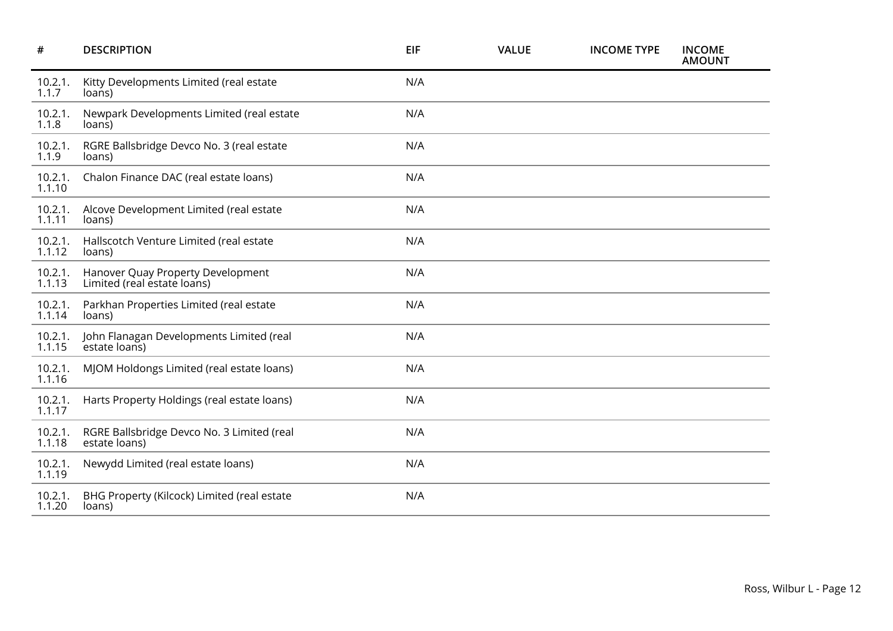| $\pmb{\#}$        | <b>DESCRIPTION</b>                                               | EIF | <b>VALUE</b> | <b>INCOME TYPE</b> | <b>INCOME</b><br><b>AMOUNT</b> |
|-------------------|------------------------------------------------------------------|-----|--------------|--------------------|--------------------------------|
| 10.2.1.<br>1.1.7  | Kitty Developments Limited (real estate<br>loans)                | N/A |              |                    |                                |
| 10.2.1.<br>1.1.8  | Newpark Developments Limited (real estate<br>loans)              | N/A |              |                    |                                |
| 10.2.1.<br>1.1.9  | RGRE Ballsbridge Devco No. 3 (real estate<br>loans)              | N/A |              |                    |                                |
| 10.2.1.<br>1.1.10 | Chalon Finance DAC (real estate loans)                           | N/A |              |                    |                                |
| 10.2.1.<br>1.1.11 | Alcove Development Limited (real estate<br>loans)                | N/A |              |                    |                                |
| 10.2.1.<br>1.1.12 | Hallscotch Venture Limited (real estate<br>loans)                | N/A |              |                    |                                |
| 10.2.1.<br>1.1.13 | Hanover Quay Property Development<br>Limited (real estate loans) | N/A |              |                    |                                |
| 10.2.1.<br>1.1.14 | Parkhan Properties Limited (real estate<br>loans)                | N/A |              |                    |                                |
| 10.2.1.<br>1.1.15 | John Flanagan Developments Limited (real<br>estate loans)        | N/A |              |                    |                                |
| 10.2.1.<br>1.1.16 | MJOM Holdongs Limited (real estate loans)                        | N/A |              |                    |                                |
| 10.2.1.<br>1.1.17 | Harts Property Holdings (real estate loans)                      | N/A |              |                    |                                |
| 10.2.1.<br>1.1.18 | RGRE Ballsbridge Devco No. 3 Limited (real<br>estate loans)      | N/A |              |                    |                                |
| 10.2.1.<br>1.1.19 | Newydd Limited (real estate loans)                               | N/A |              |                    |                                |
| 10.2.1.<br>1.1.20 | BHG Property (Kilcock) Limited (real estate<br>loans)            | N/A |              |                    |                                |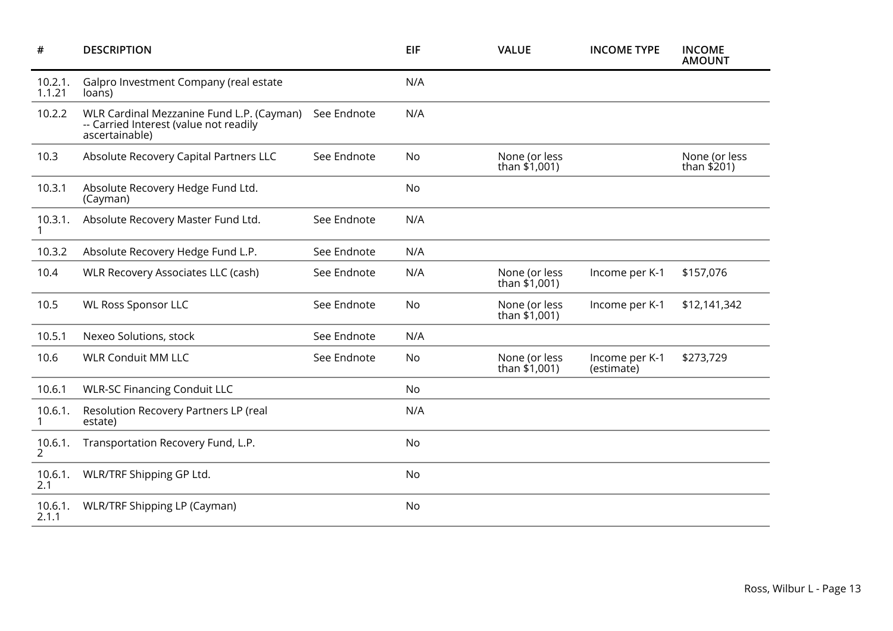| #                       | <b>DESCRIPTION</b>                                                                                    |             | <b>EIF</b> | <b>VALUE</b>                     | <b>INCOME TYPE</b>           | <b>INCOME</b><br><b>AMOUNT</b> |
|-------------------------|-------------------------------------------------------------------------------------------------------|-------------|------------|----------------------------------|------------------------------|--------------------------------|
| 10.2.1.<br>1.1.21       | Galpro Investment Company (real estate<br>loans)                                                      |             | N/A        |                                  |                              |                                |
| 10.2.2                  | WLR Cardinal Mezzanine Fund L.P. (Cayman)<br>-- Carried Interest (value not readily<br>ascertainable) | See Endnote | N/A        |                                  |                              |                                |
| 10.3                    | Absolute Recovery Capital Partners LLC                                                                | See Endnote | No         | None (or less<br>than $$1,001$ ) |                              | None (or less<br>than $$201)$  |
| 10.3.1                  | Absolute Recovery Hedge Fund Ltd.<br>(Cayman)                                                         |             | No         |                                  |                              |                                |
| 10.3.1.                 | Absolute Recovery Master Fund Ltd.                                                                    | See Endnote | N/A        |                                  |                              |                                |
| 10.3.2                  | Absolute Recovery Hedge Fund L.P.                                                                     | See Endnote | N/A        |                                  |                              |                                |
| 10.4                    | <b>WLR Recovery Associates LLC (cash)</b>                                                             | See Endnote | N/A        | None (or less<br>than $$1,001$ ) | Income per K-1               | \$157,076                      |
| 10.5                    | <b>WL Ross Sponsor LLC</b>                                                                            | See Endnote | No         | None (or less<br>than $$1,001$ ) | Income per K-1               | \$12,141,342                   |
| 10.5.1                  | Nexeo Solutions, stock                                                                                | See Endnote | N/A        |                                  |                              |                                |
| 10.6                    | <b>WLR Conduit MM LLC</b>                                                                             | See Endnote | No         | None (or less<br>than $$1,001$ ) | Income per K-1<br>(estimate) | \$273,729                      |
| 10.6.1                  | <b>WLR-SC Financing Conduit LLC</b>                                                                   |             | <b>No</b>  |                                  |                              |                                |
| 10.6.1.<br>$\mathbf{1}$ | Resolution Recovery Partners LP (real<br>estate)                                                      |             | N/A        |                                  |                              |                                |
| 10.6.1.<br>2            | Transportation Recovery Fund, L.P.                                                                    |             | No         |                                  |                              |                                |
| 10.6.1.<br>2.1          | WLR/TRF Shipping GP Ltd.                                                                              |             | No         |                                  |                              |                                |
| 10.6.1.<br>2.1.1        | <b>WLR/TRF Shipping LP (Cayman)</b>                                                                   |             | No         |                                  |                              |                                |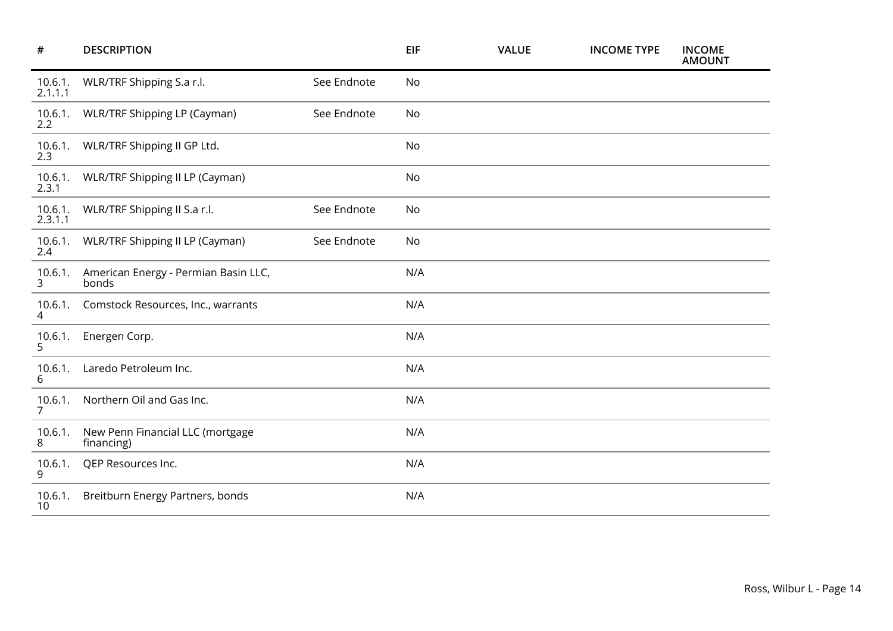| #                         | <b>DESCRIPTION</b>                             |             | EIF | <b>VALUE</b> | <b>INCOME TYPE</b> | <b>INCOME</b><br><b>AMOUNT</b> |
|---------------------------|------------------------------------------------|-------------|-----|--------------|--------------------|--------------------------------|
| 10.6.1.<br>2.1.1.1        | WLR/TRF Shipping S.a r.l.                      | See Endnote | No  |              |                    |                                |
| 10.6.1.<br>2.2            | WLR/TRF Shipping LP (Cayman)                   | See Endnote | No  |              |                    |                                |
| 10.6.1.<br>2.3            | WLR/TRF Shipping II GP Ltd.                    |             | No  |              |                    |                                |
| 10.6.1.<br>2.3.1          | WLR/TRF Shipping II LP (Cayman)                |             | No  |              |                    |                                |
| 10.6.1.<br>2.3.1.1        | WLR/TRF Shipping II S.a r.l.                   | See Endnote | No  |              |                    |                                |
| 10.6.1.<br>2.4            | WLR/TRF Shipping II LP (Cayman)                | See Endnote | No  |              |                    |                                |
| 10.6.1.<br>$\mathbf{3}$   | American Energy - Permian Basin LLC,<br>bonds  |             | N/A |              |                    |                                |
| 10.6.1.<br>4              | Comstock Resources, Inc., warrants             |             | N/A |              |                    |                                |
| 10.6.1.<br>5              | Energen Corp.                                  |             | N/A |              |                    |                                |
| 10.6.1.<br>6              | Laredo Petroleum Inc.                          |             | N/A |              |                    |                                |
| 10.6.1.<br>$\overline{7}$ | Northern Oil and Gas Inc.                      |             | N/A |              |                    |                                |
| 10.6.1.<br>8              | New Penn Financial LLC (mortgage<br>financing) |             | N/A |              |                    |                                |
| 10.6.1.<br>9              | QEP Resources Inc.                             |             | N/A |              |                    |                                |
| 10.6.1.<br>10             | Breitburn Energy Partners, bonds               |             | N/A |              |                    |                                |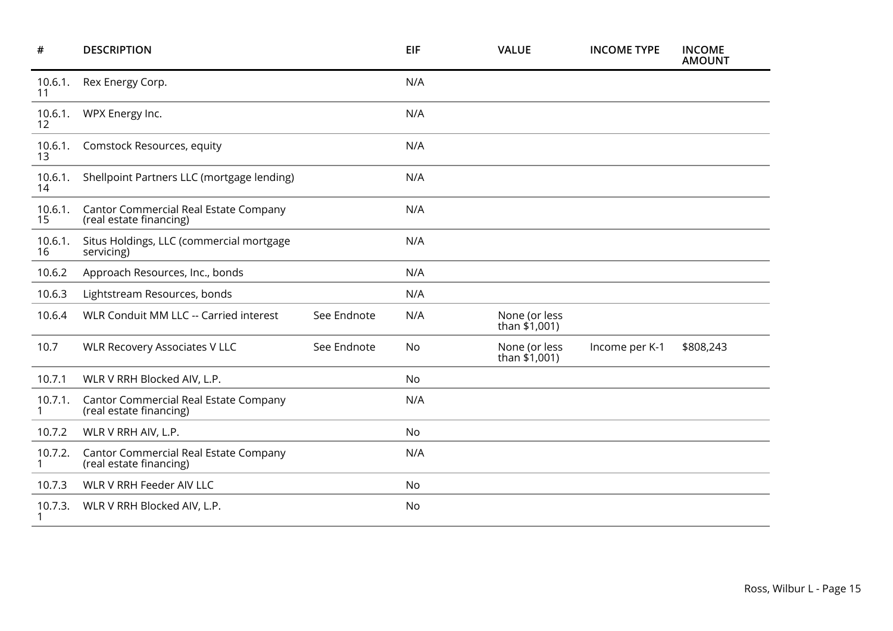| #             | <b>DESCRIPTION</b>                                               |             | <b>EIF</b> | <b>VALUE</b>                   | <b>INCOME TYPE</b> | <b>INCOME</b><br><b>AMOUNT</b> |
|---------------|------------------------------------------------------------------|-------------|------------|--------------------------------|--------------------|--------------------------------|
| 10.6.1.<br>11 | Rex Energy Corp.                                                 |             | N/A        |                                |                    |                                |
| 10.6.1.<br>12 | WPX Energy Inc.                                                  |             | N/A        |                                |                    |                                |
| 10.6.1.<br>13 | Comstock Resources, equity                                       |             | N/A        |                                |                    |                                |
| 10.6.1.<br>14 | Shellpoint Partners LLC (mortgage lending)                       |             | N/A        |                                |                    |                                |
| 10.6.1.<br>15 | Cantor Commercial Real Estate Company<br>(real estate financing) |             | N/A        |                                |                    |                                |
| 10.6.1.<br>16 | Situs Holdings, LLC (commercial mortgage<br>servicing)           |             | N/A        |                                |                    |                                |
| 10.6.2        | Approach Resources, Inc., bonds                                  |             | N/A        |                                |                    |                                |
| 10.6.3        | Lightstream Resources, bonds                                     |             | N/A        |                                |                    |                                |
| 10.6.4        | WLR Conduit MM LLC -- Carried interest                           | See Endnote | N/A        | None (or less<br>than \$1,001) |                    |                                |
| 10.7          | <b>WLR Recovery Associates V LLC</b>                             | See Endnote | No         | None (or less<br>than \$1,001) | Income per K-1     | \$808,243                      |
| 10.7.1        | WLR V RRH Blocked AIV, L.P.                                      |             | No         |                                |                    |                                |
| 10.7.1.       | Cantor Commercial Real Estate Company<br>(real estate financing) |             | N/A        |                                |                    |                                |
| 10.7.2        | WLR V RRH AIV, L.P.                                              |             | No         |                                |                    |                                |
| 10.7.2.<br>1  | Cantor Commercial Real Estate Company<br>(real estate financing) |             | N/A        |                                |                    |                                |
| 10.7.3        | WLR V RRH Feeder AIV LLC                                         |             | No         |                                |                    |                                |
| 10.7.3.       | WLR V RRH Blocked AIV, L.P.                                      |             | No         |                                |                    |                                |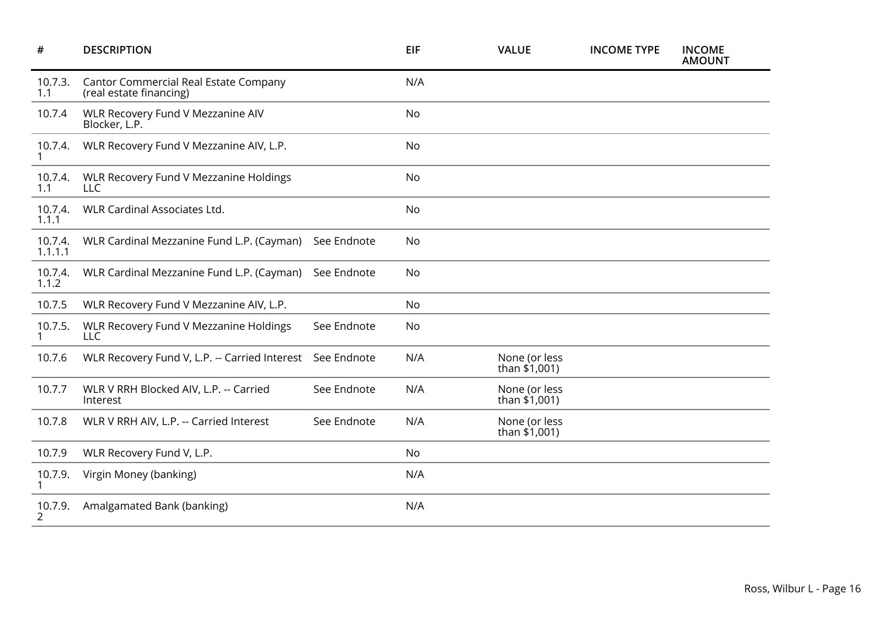| #                  | <b>DESCRIPTION</b>                                               |             | <b>EIF</b> | <b>VALUE</b>                     | <b>INCOME TYPE</b> | <b>INCOME</b><br><b>AMOUNT</b> |
|--------------------|------------------------------------------------------------------|-------------|------------|----------------------------------|--------------------|--------------------------------|
| 10.7.3.<br>1.1     | Cantor Commercial Real Estate Company<br>(real estate financing) |             | N/A        |                                  |                    |                                |
| 10.7.4             | WLR Recovery Fund V Mezzanine AIV<br>Blocker, L.P.               |             | No         |                                  |                    |                                |
| 10.7.4.            | WLR Recovery Fund V Mezzanine AIV, L.P.                          |             | No         |                                  |                    |                                |
| 10.7.4.<br>1.1     | WLR Recovery Fund V Mezzanine Holdings<br><b>LLC</b>             |             | No         |                                  |                    |                                |
| 10.7.4.<br>1.1.1   | WLR Cardinal Associates Ltd.                                     |             | No         |                                  |                    |                                |
| 10.7.4.<br>1.1.1.1 | WLR Cardinal Mezzanine Fund L.P. (Cayman)                        | See Endnote | No         |                                  |                    |                                |
| 10.7.4.<br>1.1.2   | WLR Cardinal Mezzanine Fund L.P. (Cayman)                        | See Endnote | No         |                                  |                    |                                |
| 10.7.5             | WLR Recovery Fund V Mezzanine AIV, L.P.                          |             | No         |                                  |                    |                                |
| 10.7.5.            | WLR Recovery Fund V Mezzanine Holdings<br><b>LLC</b>             | See Endnote | No         |                                  |                    |                                |
| 10.7.6             | WLR Recovery Fund V, L.P. -- Carried Interest See Endnote        |             | N/A        | None (or less<br>than \$1,001)   |                    |                                |
| 10.7.7             | WLR V RRH Blocked AIV, L.P. -- Carried<br>Interest               | See Endnote | N/A        | None (or less<br>than $$1,001$ ) |                    |                                |
| 10.7.8             | WLR V RRH AIV, L.P. -- Carried Interest                          | See Endnote | N/A        | None (or less<br>than $$1,001$ ) |                    |                                |
| 10.7.9             | WLR Recovery Fund V, L.P.                                        |             | No         |                                  |                    |                                |
| 10.7.9.            | Virgin Money (banking)                                           |             | N/A        |                                  |                    |                                |
| 10.7.9.            | Amalgamated Bank (banking)                                       |             | N/A        |                                  |                    |                                |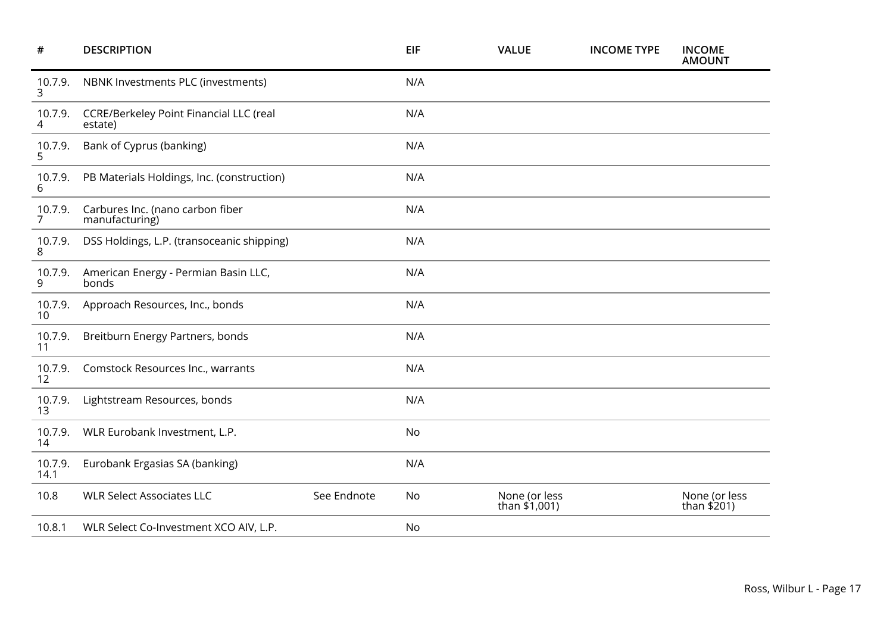| #                         | <b>DESCRIPTION</b>                                 |             | EIF | <b>VALUE</b>                     | <b>INCOME TYPE</b> | <b>INCOME</b><br><b>AMOUNT</b> |
|---------------------------|----------------------------------------------------|-------------|-----|----------------------------------|--------------------|--------------------------------|
| 10.7.9.<br>3              | NBNK Investments PLC (investments)                 |             | N/A |                                  |                    |                                |
| 10.7.9.<br>4              | CCRE/Berkeley Point Financial LLC (real<br>estate) |             | N/A |                                  |                    |                                |
| 10.7.9.<br>5.             | Bank of Cyprus (banking)                           |             | N/A |                                  |                    |                                |
| 10.7.9.<br>6              | PB Materials Holdings, Inc. (construction)         |             | N/A |                                  |                    |                                |
| 10.7.9.<br>$\overline{7}$ | Carbures Inc. (nano carbon fiber<br>manufacturing) |             | N/A |                                  |                    |                                |
| 10.7.9.<br>8              | DSS Holdings, L.P. (transoceanic shipping)         |             | N/A |                                  |                    |                                |
| 10.7.9.<br>9              | American Energy - Permian Basin LLC,<br>bonds      |             | N/A |                                  |                    |                                |
| 10.7.9.<br>10             | Approach Resources, Inc., bonds                    |             | N/A |                                  |                    |                                |
| 10.7.9.<br>11             | Breitburn Energy Partners, bonds                   |             | N/A |                                  |                    |                                |
| 10.7.9.<br>12             | Comstock Resources Inc., warrants                  |             | N/A |                                  |                    |                                |
| 10.7.9.<br>13             | Lightstream Resources, bonds                       |             | N/A |                                  |                    |                                |
| 10.7.9.<br>14             | WLR Eurobank Investment, L.P.                      |             | No  |                                  |                    |                                |
| 10.7.9.<br>14.1           | Eurobank Ergasias SA (banking)                     |             | N/A |                                  |                    |                                |
| 10.8                      | <b>WLR Select Associates LLC</b>                   | See Endnote | No  | None (or less<br>than $$1,001$ ) |                    | None (or less<br>than \$201)   |
| 10.8.1                    | WLR Select Co-Investment XCO AIV, L.P.             |             | No  |                                  |                    |                                |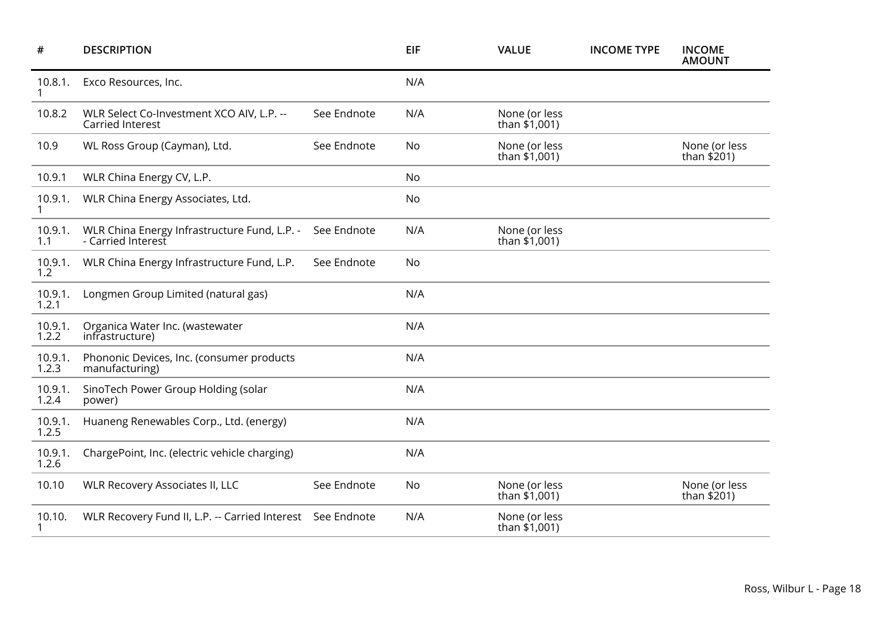| #                | <b>DESCRIPTION</b>                                                 |             | <b>EIF</b> | <b>VALUE</b>                     | <b>INCOME TYPE</b> | <b>INCOME</b><br><b>AMOUNT</b> |
|------------------|--------------------------------------------------------------------|-------------|------------|----------------------------------|--------------------|--------------------------------|
| 10.8.1.          | Exco Resources, Inc.                                               |             | N/A        |                                  |                    |                                |
| 10.8.2           | WLR Select Co-Investment XCO AIV, L.P. --<br>Carried Interest      | See Endnote | N/A        | None (or less<br>than \$1,001)   |                    |                                |
| 10.9             | WL Ross Group (Cayman), Ltd.                                       | See Endnote | No         | None (or less<br>than \$1,001)   |                    | None (or less<br>than \$201)   |
| 10.9.1           | WLR China Energy CV, L.P.                                          |             | No         |                                  |                    |                                |
| 10.9.1.          | WLR China Energy Associates, Ltd.                                  |             | No         |                                  |                    |                                |
| 10.9.1.<br>1.1   | WLR China Energy Infrastructure Fund, L.P. -<br>- Carried Interest | See Endnote | N/A        | None (or less<br>than \$1,001)   |                    |                                |
| 10.9.1.<br>1.2   | WLR China Energy Infrastructure Fund, L.P.                         | See Endnote | No         |                                  |                    |                                |
| 10.9.1.<br>1.2.1 | Longmen Group Limited (natural gas)                                |             | N/A        |                                  |                    |                                |
| 10.9.1.<br>1.2.2 | Organica Water Inc. (wastewater<br>infrastructure)                 |             | N/A        |                                  |                    |                                |
| 10.9.1.<br>1.2.3 | Phononic Devices, Inc. (consumer products<br>manufacturing)        |             | N/A        |                                  |                    |                                |
| 10.9.1.<br>1.2.4 | SinoTech Power Group Holding (solar<br>power)                      |             | N/A        |                                  |                    |                                |
| 10.9.1.<br>1.2.5 | Huaneng Renewables Corp., Ltd. (energy)                            |             | N/A        |                                  |                    |                                |
| 10.9.1.<br>1.2.6 | ChargePoint, Inc. (electric vehicle charging)                      |             | N/A        |                                  |                    |                                |
| 10.10            | <b>WLR Recovery Associates II, LLC</b>                             | See Endnote | No         | None (or less<br>than $$1,001$ ) |                    | None (or less<br>than $$201)$  |
| 10.10.           | WLR Recovery Fund II, L.P. -- Carried Interest See Endnote         |             | N/A        | None (or less<br>than \$1,001)   |                    |                                |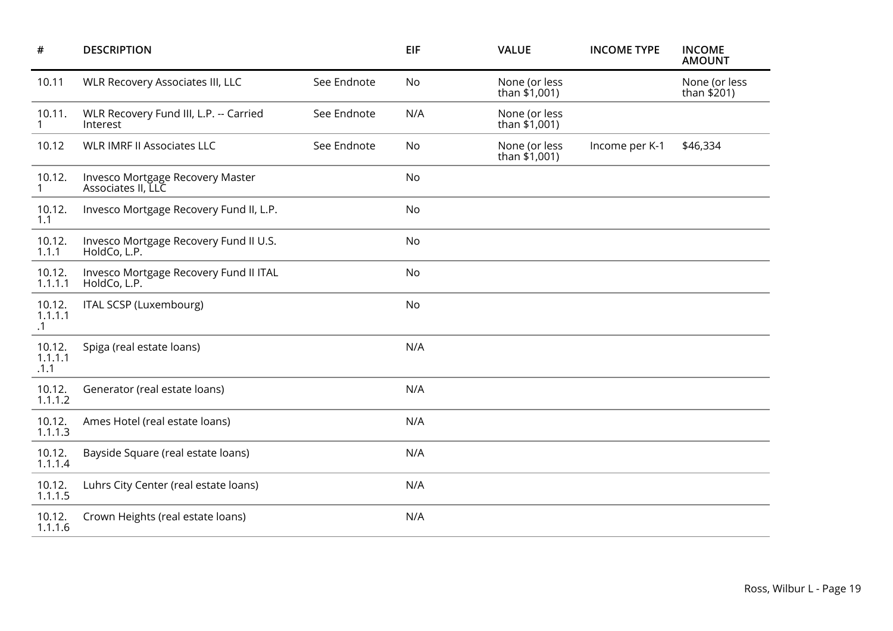| #                              | <b>DESCRIPTION</b>                                     |             | <b>EIF</b> | <b>VALUE</b>                     | <b>INCOME TYPE</b> | <b>INCOME</b><br><b>AMOUNT</b> |
|--------------------------------|--------------------------------------------------------|-------------|------------|----------------------------------|--------------------|--------------------------------|
| 10.11                          | <b>WLR Recovery Associates III, LLC</b>                | See Endnote | No         | None (or less<br>than \$1,001)   |                    | None (or less<br>than $$201)$  |
| 10.11.<br>1                    | WLR Recovery Fund III, L.P. -- Carried<br>Interest     | See Endnote | N/A        | None (or less<br>than \$1,001)   |                    |                                |
| 10.12                          | <b>WLR IMRF II Associates LLC</b>                      | See Endnote | No         | None (or less<br>than $$1,001$ ) | Income per K-1     | \$46,334                       |
| 10.12.<br>$\mathbf{1}$         | Invesco Mortgage Recovery Master<br>Associates II, LLC |             | No         |                                  |                    |                                |
| 10.12.<br>1.1                  | Invesco Mortgage Recovery Fund II, L.P.                |             | No         |                                  |                    |                                |
| 10.12.<br>1.1.1                | Invesco Mortgage Recovery Fund II U.S.<br>HoldCo, L.P. |             | No         |                                  |                    |                                |
| 10.12.<br>1.1.1.1              | Invesco Mortgage Recovery Fund II ITAL<br>HoldCo, L.P. |             | No         |                                  |                    |                                |
| 10.12.<br>1.1.1.1<br>$\cdot$ 1 | ITAL SCSP (Luxembourg)                                 |             | No         |                                  |                    |                                |
| 10.12.<br>1.1.1.1<br>.1.1      | Spiga (real estate loans)                              |             | N/A        |                                  |                    |                                |
| 10.12.<br>1.1.1.2              | Generator (real estate loans)                          |             | N/A        |                                  |                    |                                |
| 10.12.<br>1.1.1.3              | Ames Hotel (real estate loans)                         |             | N/A        |                                  |                    |                                |
| 10.12.<br>1.1.1.4              | Bayside Square (real estate loans)                     |             | N/A        |                                  |                    |                                |
| 10.12.<br>1.1.1.5              | Luhrs City Center (real estate loans)                  |             | N/A        |                                  |                    |                                |
| 10.12.<br>1.1.1.6              | Crown Heights (real estate loans)                      |             | N/A        |                                  |                    |                                |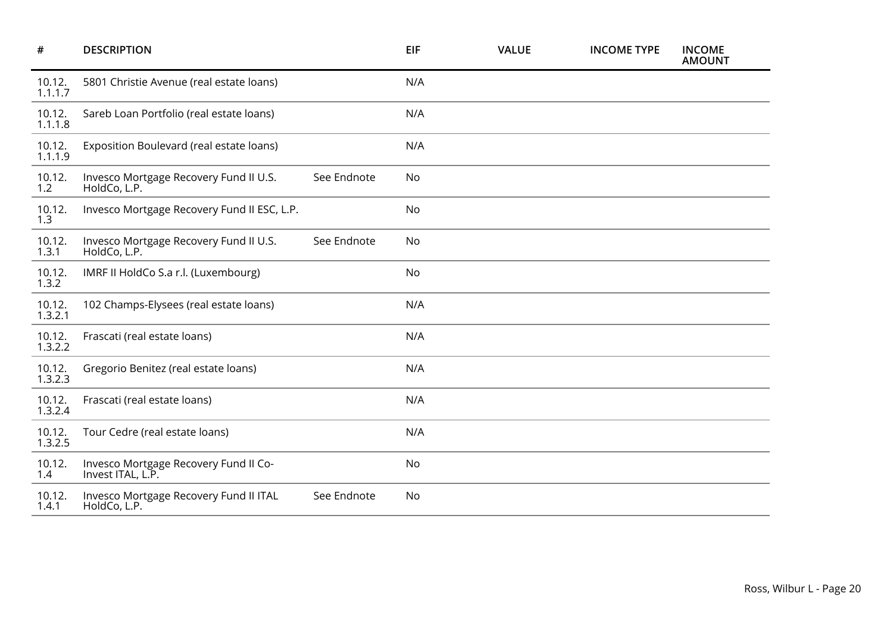| $\#$              | <b>DESCRIPTION</b>                                         |             | <b>EIF</b> | <b>VALUE</b> | <b>INCOME TYPE</b> | <b>INCOME</b><br><b>AMOUNT</b> |
|-------------------|------------------------------------------------------------|-------------|------------|--------------|--------------------|--------------------------------|
| 10.12.<br>1.1.1.7 | 5801 Christie Avenue (real estate loans)                   |             | N/A        |              |                    |                                |
| 10.12.<br>1.1.1.8 | Sareb Loan Portfolio (real estate loans)                   |             | N/A        |              |                    |                                |
| 10.12.<br>1.1.1.9 | Exposition Boulevard (real estate loans)                   |             | N/A        |              |                    |                                |
| 10.12.<br>1.2     | Invesco Mortgage Recovery Fund II U.S.<br>HoldCo, L.P.     | See Endnote | No         |              |                    |                                |
| 10.12.<br>1.3     | Invesco Mortgage Recovery Fund II ESC, L.P.                |             | <b>No</b>  |              |                    |                                |
| 10.12.<br>1.3.1   | Invesco Mortgage Recovery Fund II U.S.<br>HoldCo, L.P.     | See Endnote | No         |              |                    |                                |
| 10.12.<br>1.3.2   | IMRF II HoldCo S.a r.l. (Luxembourg)                       |             | No         |              |                    |                                |
| 10.12.<br>1.3.2.1 | 102 Champs-Elysees (real estate loans)                     |             | N/A        |              |                    |                                |
| 10.12.<br>1.3.2.2 | Frascati (real estate loans)                               |             | N/A        |              |                    |                                |
| 10.12.<br>1.3.2.3 | Gregorio Benitez (real estate loans)                       |             | N/A        |              |                    |                                |
| 10.12.<br>1.3.2.4 | Frascati (real estate loans)                               |             | N/A        |              |                    |                                |
| 10.12.<br>1.3.2.5 | Tour Cedre (real estate loans)                             |             | N/A        |              |                    |                                |
| 10.12.<br>1.4     | Invesco Mortgage Recovery Fund II Co-<br>Invest ITAL, L.P. |             | <b>No</b>  |              |                    |                                |
| 10.12.<br>1.4.1   | Invesco Mortgage Recovery Fund II ITAL<br>HoldCo, L.P.     | See Endnote | No         |              |                    |                                |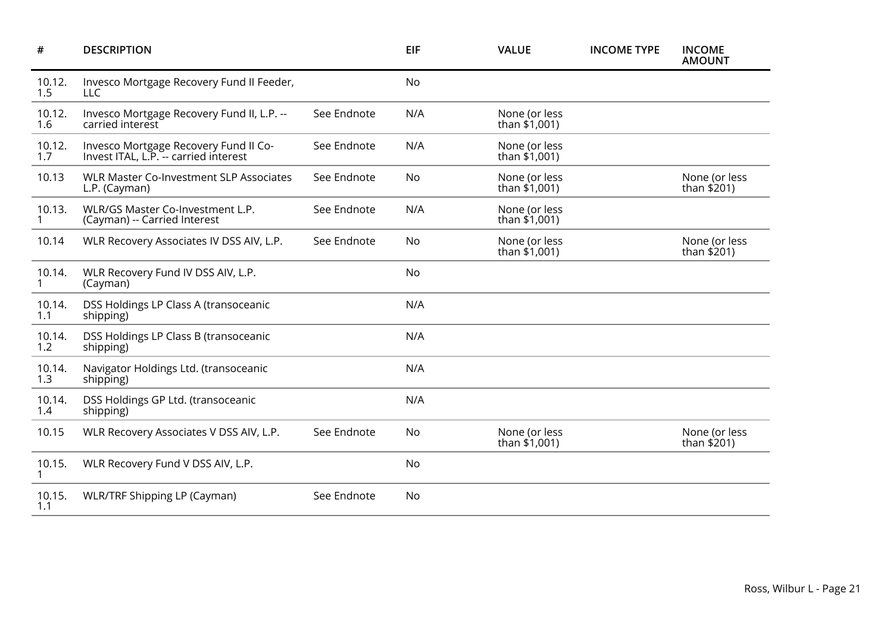| $\#$          | <b>DESCRIPTION</b>                                                             |             | EIF | <b>VALUE</b>                     | <b>INCOME TYPE</b> | <b>INCOME</b><br><b>AMOUNT</b> |
|---------------|--------------------------------------------------------------------------------|-------------|-----|----------------------------------|--------------------|--------------------------------|
| 10.12.<br>1.5 | Invesco Mortgage Recovery Fund II Feeder,<br>LLC                               |             | No  |                                  |                    |                                |
| 10.12.<br>1.6 | Invesco Mortgage Recovery Fund II, L.P. --<br>carried interest                 | See Endnote | N/A | None (or less<br>than \$1,001)   |                    |                                |
| 10.12.<br>1.7 | Invesco Mortgage Recovery Fund II Co-<br>Invest ITAL, L.P. -- carried interest | See Endnote | N/A | None (or less<br>than \$1,001)   |                    |                                |
| 10.13         | <b>WLR Master Co-Investment SLP Associates</b><br>L.P. (Cayman)                | See Endnote | No  | None (or less<br>than \$1,001)   |                    | None (or less<br>than \$201)   |
| 10.13.        | WLR/GS Master Co-Investment L.P.<br>(Cayman) -- Carried Interest               | See Endnote | N/A | None (or less<br>than $$1,001$ ) |                    |                                |
| 10.14         | WLR Recovery Associates IV DSS AIV, L.P.                                       | See Endnote | No  | None (or less<br>than \$1,001)   |                    | None (or less<br>than \$201)   |
| 10.14.        | WLR Recovery Fund IV DSS AIV, L.P.<br>(Cayman)                                 |             | No  |                                  |                    |                                |
| 10.14.<br>1.1 | DSS Holdings LP Class A (transoceanic<br>shipping)                             |             | N/A |                                  |                    |                                |
| 10.14.<br>1.2 | DSS Holdings LP Class B (transoceanic<br>shipping)                             |             | N/A |                                  |                    |                                |
| 10.14.<br>1.3 | Navigator Holdings Ltd. (transoceanic<br>shipping)                             |             | N/A |                                  |                    |                                |
| 10.14.<br>1.4 | DSS Holdings GP Ltd. (transoceanic<br>shipping)                                |             | N/A |                                  |                    |                                |
| 10.15         | WLR Recovery Associates V DSS AIV, L.P.                                        | See Endnote | No  | None (or less<br>than \$1,001)   |                    | None (or less<br>than \$201)   |
| 10.15.<br>1   | WLR Recovery Fund V DSS AIV, L.P.                                              |             | No  |                                  |                    |                                |
| 10.15.<br>1.1 | <b>WLR/TRF Shipping LP (Cayman)</b>                                            | See Endnote | No  |                                  |                    |                                |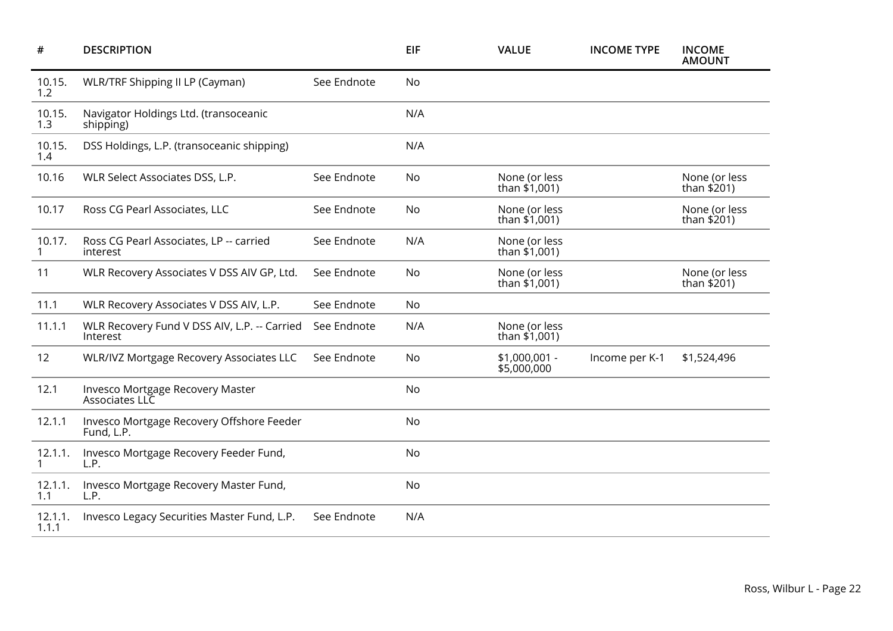| #                | <b>DESCRIPTION</b>                                       |             | <b>EIF</b> | <b>VALUE</b>                     | <b>INCOME TYPE</b> | <b>INCOME</b><br><b>AMOUNT</b> |
|------------------|----------------------------------------------------------|-------------|------------|----------------------------------|--------------------|--------------------------------|
| 10.15.<br>1.2    | <b>WLR/TRF Shipping II LP (Cayman)</b>                   | See Endnote | No         |                                  |                    |                                |
| 10.15.<br>1.3    | Navigator Holdings Ltd. (transoceanic<br>shipping)       |             | N/A        |                                  |                    |                                |
| 10.15.<br>1.4    | DSS Holdings, L.P. (transoceanic shipping)               |             | N/A        |                                  |                    |                                |
| 10.16            | WLR Select Associates DSS, L.P.                          | See Endnote | No         | None (or less<br>than $$1,001$ ) |                    | None (or less<br>than $$201$ ) |
| 10.17            | Ross CG Pearl Associates, LLC                            | See Endnote | No         | None (or less<br>than \$1,001)   |                    | None (or less<br>than \$201)   |
| 10.17.           | Ross CG Pearl Associates, LP -- carried<br>interest      | See Endnote | N/A        | None (or less<br>than $$1,001$ ) |                    |                                |
| 11               | WLR Recovery Associates V DSS AIV GP, Ltd.               | See Endnote | No         | None (or less<br>than \$1,001)   |                    | None (or less<br>than \$201)   |
| 11.1             | WLR Recovery Associates V DSS AIV, L.P.                  | See Endnote | No         |                                  |                    |                                |
| 11.1.1           | WLR Recovery Fund V DSS AIV, L.P. -- Carried<br>Interest | See Endnote | N/A        | None (or less<br>than \$1,001)   |                    |                                |
| 12               | <b>WLR/IVZ Mortgage Recovery Associates LLC</b>          | See Endnote | No         | \$1,000,001 -<br>\$5,000,000     | Income per K-1     | \$1,524,496                    |
| 12.1             | Invesco Mortgage Recovery Master<br>Associates LLC       |             | No         |                                  |                    |                                |
| 12.1.1           | Invesco Mortgage Recovery Offshore Feeder<br>Fund, L.P.  |             | No         |                                  |                    |                                |
| 12.1.1.          | Invesco Mortgage Recovery Feeder Fund,<br>L.P.           |             | No         |                                  |                    |                                |
| 12.1.1.<br>1.1   | Invesco Mortgage Recovery Master Fund,<br>L.P.           |             | No         |                                  |                    |                                |
| 12.1.1.<br>1.1.1 | Invesco Legacy Securities Master Fund, L.P.              | See Endnote | N/A        |                                  |                    |                                |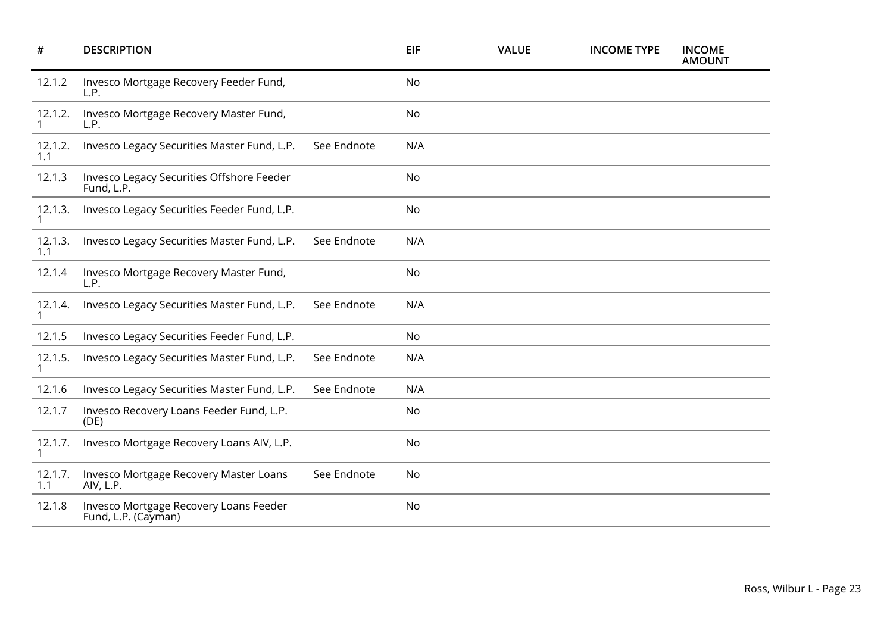| #                       | <b>DESCRIPTION</b>                                            |             | <b>EIF</b> | <b>VALUE</b> | <b>INCOME TYPE</b> | <b>INCOME</b><br><b>AMOUNT</b> |
|-------------------------|---------------------------------------------------------------|-------------|------------|--------------|--------------------|--------------------------------|
| 12.1.2                  | Invesco Mortgage Recovery Feeder Fund,<br>L.P.                |             | No         |              |                    |                                |
| 12.1.2.<br>$\mathbf{1}$ | Invesco Mortgage Recovery Master Fund,<br>L.P.                |             | No         |              |                    |                                |
| 12.1.2.<br>1.1          | Invesco Legacy Securities Master Fund, L.P.                   | See Endnote | N/A        |              |                    |                                |
| 12.1.3                  | Invesco Legacy Securities Offshore Feeder<br>Fund, L.P.       |             | No         |              |                    |                                |
| 12.1.3.                 | Invesco Legacy Securities Feeder Fund, L.P.                   |             | No         |              |                    |                                |
| 12.1.3.<br>1.1          | Invesco Legacy Securities Master Fund, L.P.                   | See Endnote | N/A        |              |                    |                                |
| 12.1.4                  | Invesco Mortgage Recovery Master Fund,<br>L.P.                |             | No         |              |                    |                                |
| 12.1.4.<br>1            | Invesco Legacy Securities Master Fund, L.P.                   | See Endnote | N/A        |              |                    |                                |
| 12.1.5                  | Invesco Legacy Securities Feeder Fund, L.P.                   |             | <b>No</b>  |              |                    |                                |
| 12.1.5.                 | Invesco Legacy Securities Master Fund, L.P.                   | See Endnote | N/A        |              |                    |                                |
| 12.1.6                  | Invesco Legacy Securities Master Fund, L.P.                   | See Endnote | N/A        |              |                    |                                |
| 12.1.7                  | Invesco Recovery Loans Feeder Fund, L.P.<br>(DE)              |             | No         |              |                    |                                |
| 12.1.7.                 | Invesco Mortgage Recovery Loans AIV, L.P.                     |             | No         |              |                    |                                |
| 12.1.7.<br>1.1          | Invesco Mortgage Recovery Master Loans<br>AIV, L.P.           | See Endnote | No         |              |                    |                                |
| 12.1.8                  | Invesco Mortgage Recovery Loans Feeder<br>Fund, L.P. (Cayman) |             | No         |              |                    |                                |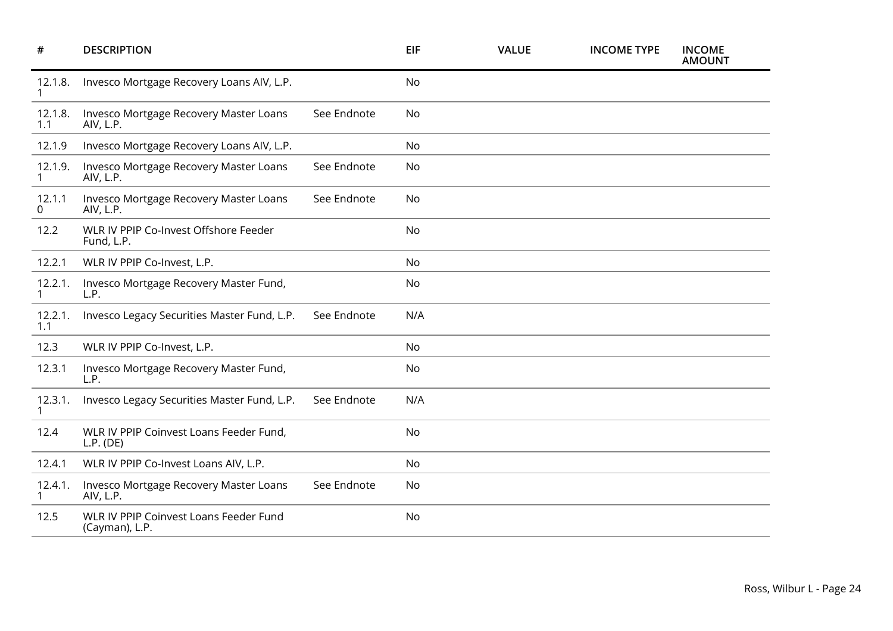| #                       | <b>DESCRIPTION</b>                                       |             | EIF       | <b>VALUE</b> | <b>INCOME TYPE</b> | <b>INCOME</b><br><b>AMOUNT</b> |
|-------------------------|----------------------------------------------------------|-------------|-----------|--------------|--------------------|--------------------------------|
| 12.1.8.                 | Invesco Mortgage Recovery Loans AIV, L.P.                |             | <b>No</b> |              |                    |                                |
| 12.1.8.<br>1.1          | Invesco Mortgage Recovery Master Loans<br>AIV, L.P.      | See Endnote | No        |              |                    |                                |
| 12.1.9                  | Invesco Mortgage Recovery Loans AIV, L.P.                |             | <b>No</b> |              |                    |                                |
| 12.1.9.<br>$\mathbf{1}$ | Invesco Mortgage Recovery Master Loans<br>AIV, L.P.      | See Endnote | <b>No</b> |              |                    |                                |
| 12.1.1<br>0             | Invesco Mortgage Recovery Master Loans<br>AIV, L.P.      | See Endnote | <b>No</b> |              |                    |                                |
| 12.2                    | WLR IV PPIP Co-Invest Offshore Feeder<br>Fund, L.P.      |             | <b>No</b> |              |                    |                                |
| 12.2.1                  | WLR IV PPIP Co-Invest, L.P.                              |             | No        |              |                    |                                |
| 12.2.1.                 | Invesco Mortgage Recovery Master Fund,<br>L.P.           |             | No        |              |                    |                                |
| 12.2.1.<br>1.1          | Invesco Legacy Securities Master Fund, L.P.              | See Endnote | N/A       |              |                    |                                |
| 12.3                    | WLR IV PPIP Co-Invest, L.P.                              |             | No        |              |                    |                                |
| 12.3.1                  | Invesco Mortgage Recovery Master Fund,<br>L.P.           |             | No        |              |                    |                                |
| 12.3.1.                 | Invesco Legacy Securities Master Fund, L.P.              | See Endnote | N/A       |              |                    |                                |
| 12.4                    | WLR IV PPIP Coinvest Loans Feeder Fund,<br>L.P. (DE)     |             | <b>No</b> |              |                    |                                |
| 12.4.1                  | WLR IV PPIP Co-Invest Loans AIV, L.P.                    |             | <b>No</b> |              |                    |                                |
| 12.4.1.<br>1            | Invesco Mortgage Recovery Master Loans<br>AIV, L.P.      | See Endnote | No        |              |                    |                                |
| 12.5                    | WLR IV PPIP Coinvest Loans Feeder Fund<br>(Cayman), L.P. |             | <b>No</b> |              |                    |                                |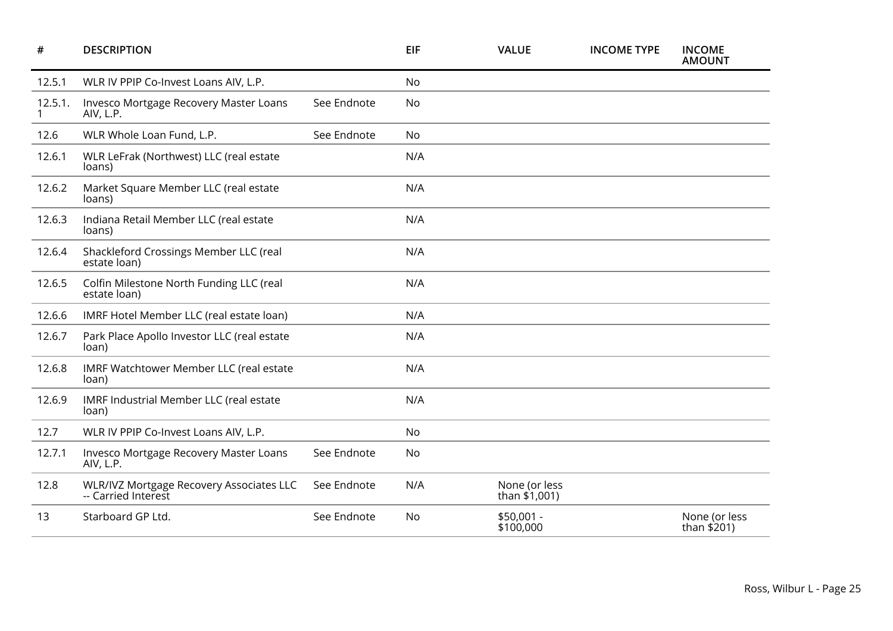| #       | <b>DESCRIPTION</b>                                              |             | <b>EIF</b> | <b>VALUE</b>                     | <b>INCOME TYPE</b> | <b>INCOME</b><br><b>AMOUNT</b> |
|---------|-----------------------------------------------------------------|-------------|------------|----------------------------------|--------------------|--------------------------------|
| 12.5.1  | WLR IV PPIP Co-Invest Loans AIV, L.P.                           |             | No         |                                  |                    |                                |
| 12.5.1. | Invesco Mortgage Recovery Master Loans<br>AIV, L.P.             | See Endnote | No         |                                  |                    |                                |
| 12.6    | WLR Whole Loan Fund, L.P.                                       | See Endnote | No         |                                  |                    |                                |
| 12.6.1  | WLR LeFrak (Northwest) LLC (real estate<br>loans)               |             | N/A        |                                  |                    |                                |
| 12.6.2  | Market Square Member LLC (real estate<br>loans)                 |             | N/A        |                                  |                    |                                |
| 12.6.3  | Indiana Retail Member LLC (real estate<br>loans)                |             | N/A        |                                  |                    |                                |
| 12.6.4  | Shackleford Crossings Member LLC (real<br>estate loan)          |             | N/A        |                                  |                    |                                |
| 12.6.5  | Colfin Milestone North Funding LLC (real<br>estate loan)        |             | N/A        |                                  |                    |                                |
| 12.6.6  | IMRF Hotel Member LLC (real estate loan)                        |             | N/A        |                                  |                    |                                |
| 12.6.7  | Park Place Apollo Investor LLC (real estate<br>loan)            |             | N/A        |                                  |                    |                                |
| 12.6.8  | IMRF Watchtower Member LLC (real estate<br>loan)                |             | N/A        |                                  |                    |                                |
| 12.6.9  | IMRF Industrial Member LLC (real estate<br>loan)                |             | N/A        |                                  |                    |                                |
| 12.7    | WLR IV PPIP Co-Invest Loans AIV, L.P.                           |             | No         |                                  |                    |                                |
| 12.7.1  | Invesco Mortgage Recovery Master Loans<br>AIV, L.P.             | See Endnote | No         |                                  |                    |                                |
| 12.8    | WLR/IVZ Mortgage Recovery Associates LLC<br>-- Carried Interest | See Endnote | N/A        | None (or less<br>than $$1,001$ ) |                    |                                |
| 13      | Starboard GP Ltd.                                               | See Endnote | No         | \$50,001 -<br>\$100,000          |                    | None (or less<br>than $$201$ ) |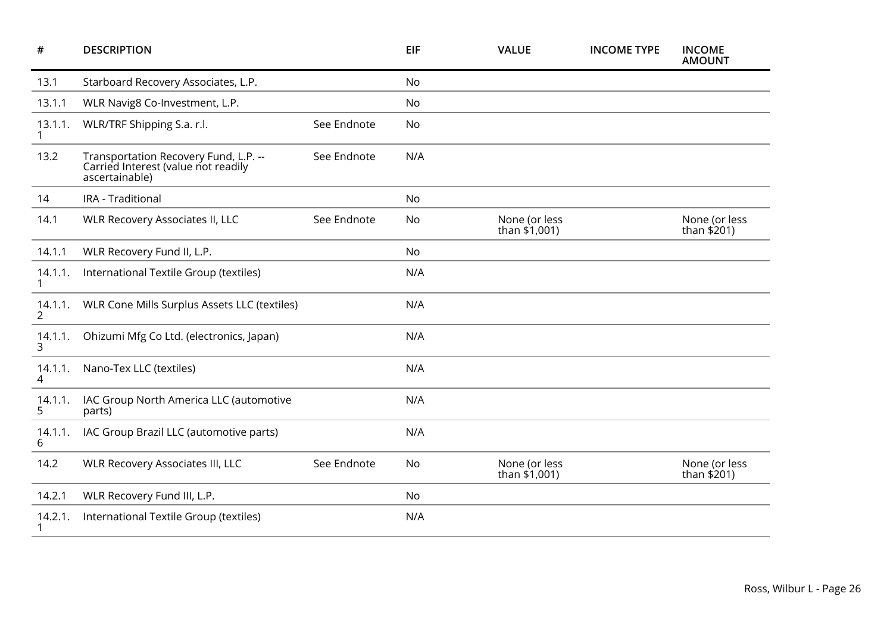| #                         | <b>DESCRIPTION</b>                                                                             |             | <b>EIF</b> | <b>VALUE</b>                     | <b>INCOME TYPE</b> | <b>INCOME</b><br><b>AMOUNT</b> |
|---------------------------|------------------------------------------------------------------------------------------------|-------------|------------|----------------------------------|--------------------|--------------------------------|
| 13.1                      | Starboard Recovery Associates, L.P.                                                            |             | No         |                                  |                    |                                |
| 13.1.1                    | WLR Navig8 Co-Investment, L.P.                                                                 |             | No         |                                  |                    |                                |
| 13.1.1.                   | WLR/TRF Shipping S.a. r.l.                                                                     | See Endnote | No         |                                  |                    |                                |
| 13.2                      | Transportation Recovery Fund, L.P. --<br>Carried Interest (value not readily<br>ascertainable) | See Endnote | N/A        |                                  |                    |                                |
| 14                        | IRA - Traditional                                                                              |             | No         |                                  |                    |                                |
| 14.1                      | <b>WLR Recovery Associates II, LLC</b>                                                         | See Endnote | No         | None (or less<br>than $$1,001$ ) |                    | None (or less<br>than $$201$ ) |
| 14.1.1                    | WLR Recovery Fund II, L.P.                                                                     |             | No         |                                  |                    |                                |
| 14.1.1.<br>1              | International Textile Group (textiles)                                                         |             | N/A        |                                  |                    |                                |
| 14.1.1.<br>$\overline{2}$ | WLR Cone Mills Surplus Assets LLC (textiles)                                                   |             | N/A        |                                  |                    |                                |
| 14.1.1.<br>3              | Ohizumi Mfg Co Ltd. (electronics, Japan)                                                       |             | N/A        |                                  |                    |                                |
| 14.1.1.<br>4              | Nano-Tex LLC (textiles)                                                                        |             | N/A        |                                  |                    |                                |
| 14.1.1.<br>5              | IAC Group North America LLC (automotive<br>parts)                                              |             | N/A        |                                  |                    |                                |
| 14.1.1.<br>6              | IAC Group Brazil LLC (automotive parts)                                                        |             | N/A        |                                  |                    |                                |
| 14.2                      | <b>WLR Recovery Associates III, LLC</b>                                                        | See Endnote | No         | None (or less<br>than \$1,001)   |                    | None (or less<br>than $$201)$  |
| 14.2.1                    | WLR Recovery Fund III, L.P.                                                                    |             | No         |                                  |                    |                                |
| 14.2.1.                   | International Textile Group (textiles)                                                         |             | N/A        |                                  |                    |                                |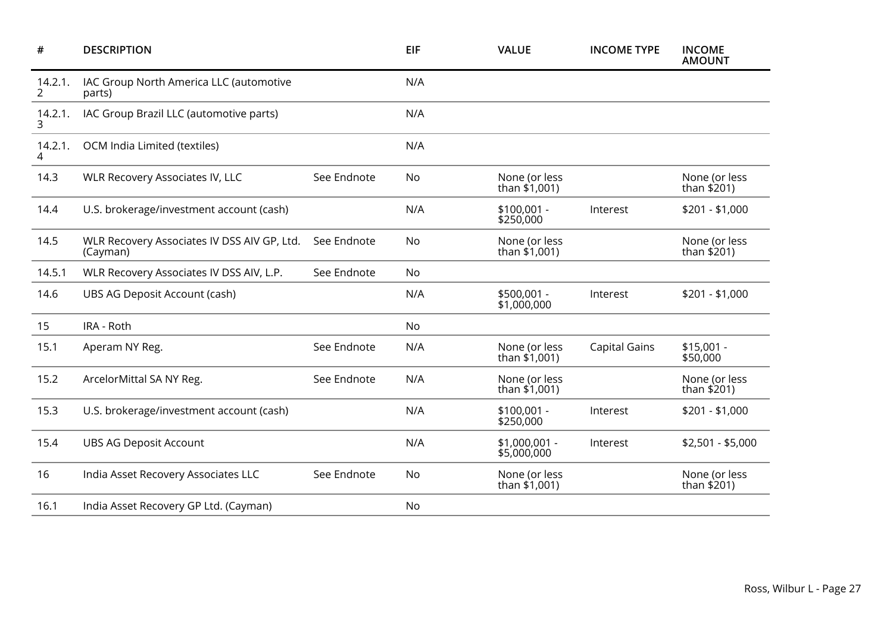| $\#$                      | <b>DESCRIPTION</b>                                      |             | <b>EIF</b> | <b>VALUE</b>                     | <b>INCOME TYPE</b>   | <b>INCOME</b><br><b>AMOUNT</b> |
|---------------------------|---------------------------------------------------------|-------------|------------|----------------------------------|----------------------|--------------------------------|
| 14.2.1.<br>$\overline{2}$ | IAC Group North America LLC (automotive<br>parts)       |             | N/A        |                                  |                      |                                |
| 14.2.1.<br>3              | IAC Group Brazil LLC (automotive parts)                 |             | N/A        |                                  |                      |                                |
| 14.2.1.<br>4              | OCM India Limited (textiles)                            |             | N/A        |                                  |                      |                                |
| 14.3                      | <b>WLR Recovery Associates IV, LLC</b>                  | See Endnote | No         | None (or less<br>than \$1,001)   |                      | None (or less<br>than \$201)   |
| 14.4                      | U.S. brokerage/investment account (cash)                |             | N/A        | $$100,001 -$<br>\$250,000        | Interest             | $$201 - $1,000$                |
| 14.5                      | WLR Recovery Associates IV DSS AIV GP, Ltd.<br>(Cayman) | See Endnote | No         | None (or less<br>than \$1,001)   |                      | None (or less<br>than \$201)   |
| 14.5.1                    | WLR Recovery Associates IV DSS AIV, L.P.                | See Endnote | No         |                                  |                      |                                |
| 14.6                      | UBS AG Deposit Account (cash)                           |             | N/A        | \$500,001 -<br>\$1,000,000       | Interest             | $$201 - $1,000$                |
| 15                        | IRA - Roth                                              |             | No         |                                  |                      |                                |
| 15.1                      | Aperam NY Reg.                                          | See Endnote | N/A        | None (or less<br>than $$1,001$ ) | <b>Capital Gains</b> | $$15,001 -$<br>\$50,000        |
| 15.2                      | ArcelorMittal SA NY Reg.                                | See Endnote | N/A        | None (or less<br>than \$1,001)   |                      | None (or less<br>than \$201)   |
| 15.3                      | U.S. brokerage/investment account (cash)                |             | N/A        | \$100,001 -<br>\$250,000         | Interest             | $$201 - $1,000$                |
| 15.4                      | <b>UBS AG Deposit Account</b>                           |             | N/A        | \$1,000,001 -<br>\$5,000,000     | Interest             | $$2,501 - $5,000$              |
| 16                        | India Asset Recovery Associates LLC                     | See Endnote | No         | None (or less<br>than \$1,001)   |                      | None (or less<br>than \$201)   |
| 16.1                      | India Asset Recovery GP Ltd. (Cayman)                   |             | No         |                                  |                      |                                |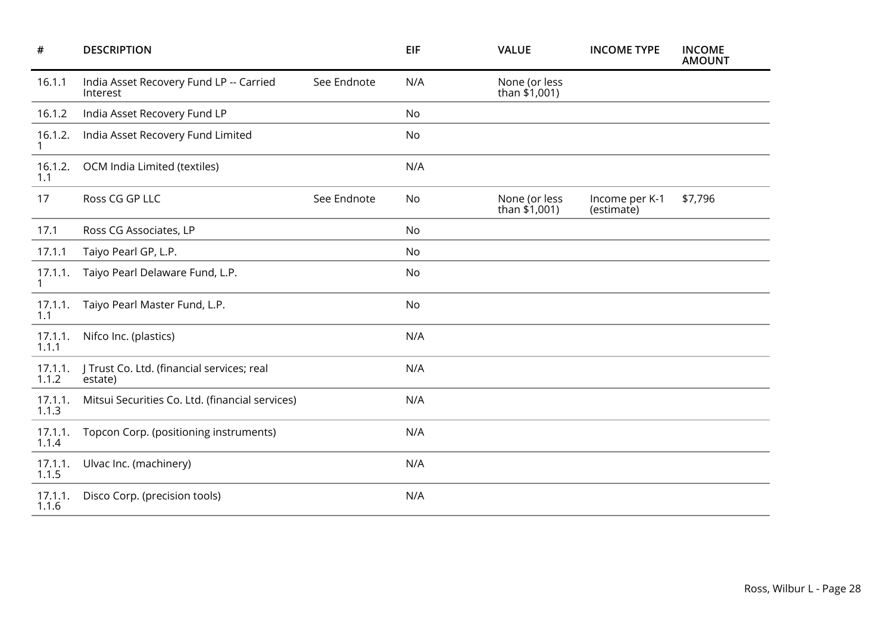| #                       | <b>DESCRIPTION</b>                                    |             | <b>EIF</b> | <b>VALUE</b>                     | <b>INCOME TYPE</b>           | <b>INCOME</b><br><b>AMOUNT</b> |
|-------------------------|-------------------------------------------------------|-------------|------------|----------------------------------|------------------------------|--------------------------------|
| 16.1.1                  | India Asset Recovery Fund LP -- Carried<br>Interest   | See Endnote | N/A        | None (or less<br>than \$1,001)   |                              |                                |
| 16.1.2                  | India Asset Recovery Fund LP                          |             | <b>No</b>  |                                  |                              |                                |
| 16.1.2.<br>1            | India Asset Recovery Fund Limited                     |             | No         |                                  |                              |                                |
| 16.1.2.<br>1.1          | OCM India Limited (textiles)                          |             | N/A        |                                  |                              |                                |
| 17                      | Ross CG GP LLC                                        | See Endnote | No         | None (or less<br>than $$1,001$ ) | Income per K-1<br>(estimate) | \$7,796                        |
| 17.1                    | Ross CG Associates, LP                                |             | No         |                                  |                              |                                |
| 17.1.1                  | Taiyo Pearl GP, L.P.                                  |             | No         |                                  |                              |                                |
| 17.1.1.<br>$\mathbf{1}$ | Taiyo Pearl Delaware Fund, L.P.                       |             | No         |                                  |                              |                                |
| 17.1.1.<br>1.1          | Taiyo Pearl Master Fund, L.P.                         |             | No         |                                  |                              |                                |
| 17.1.1.<br>1.1.1        | Nifco Inc. (plastics)                                 |             | N/A        |                                  |                              |                                |
| 17.1.1.<br>1.1.2        | J Trust Co. Ltd. (financial services; real<br>estate) |             | N/A        |                                  |                              |                                |
| 17.1.1.<br>1.1.3        | Mitsui Securities Co. Ltd. (financial services)       |             | N/A        |                                  |                              |                                |
| 17.1.1.<br>1.1.4        | Topcon Corp. (positioning instruments)                |             | N/A        |                                  |                              |                                |
| 17.1.1.<br>1.1.5        | Ulvac Inc. (machinery)                                |             | N/A        |                                  |                              |                                |
| 17.1.1.<br>1.1.6        | Disco Corp. (precision tools)                         |             | N/A        |                                  |                              |                                |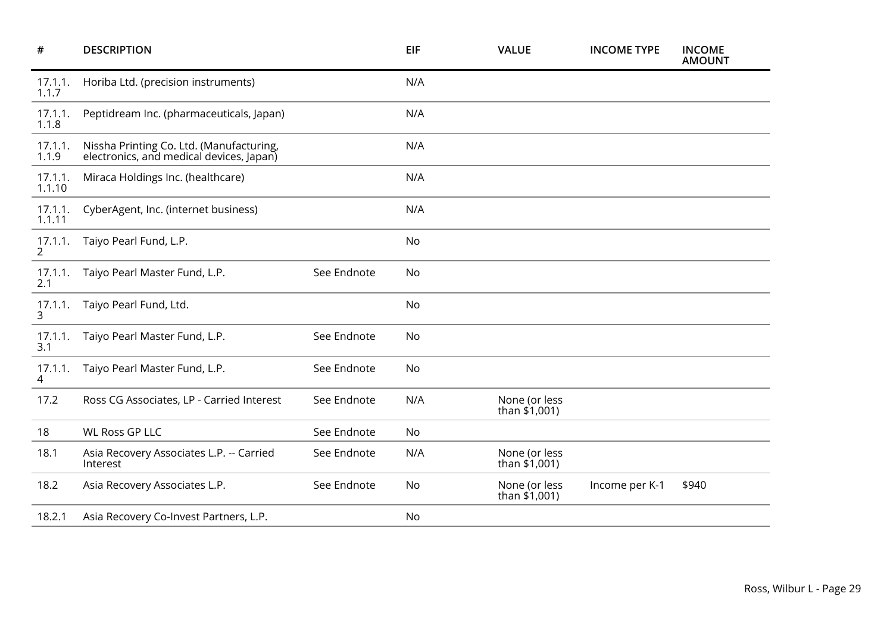| <b>DESCRIPTION</b>                                                                   |             | EIF | <b>VALUE</b>                     | <b>INCOME TYPE</b> | <b>INCOME</b><br><b>AMOUNT</b> |
|--------------------------------------------------------------------------------------|-------------|-----|----------------------------------|--------------------|--------------------------------|
| Horiba Ltd. (precision instruments)                                                  |             | N/A |                                  |                    |                                |
| Peptidream Inc. (pharmaceuticals, Japan)                                             |             | N/A |                                  |                    |                                |
| Nissha Printing Co. Ltd. (Manufacturing,<br>electronics, and medical devices, Japan) |             | N/A |                                  |                    |                                |
| Miraca Holdings Inc. (healthcare)                                                    |             | N/A |                                  |                    |                                |
| CyberAgent, Inc. (internet business)                                                 |             | N/A |                                  |                    |                                |
| Taiyo Pearl Fund, L.P.                                                               |             | No  |                                  |                    |                                |
| Taiyo Pearl Master Fund, L.P.                                                        | See Endnote | No  |                                  |                    |                                |
| Taiyo Pearl Fund, Ltd.                                                               |             | No  |                                  |                    |                                |
| Taiyo Pearl Master Fund, L.P.                                                        | See Endnote | No  |                                  |                    |                                |
| Taiyo Pearl Master Fund, L.P.                                                        | See Endnote | No  |                                  |                    |                                |
| Ross CG Associates, LP - Carried Interest                                            | See Endnote | N/A | None (or less<br>than \$1,001)   |                    |                                |
| <b>WL Ross GP LLC</b>                                                                | See Endnote | No  |                                  |                    |                                |
| Asia Recovery Associates L.P. -- Carried<br>Interest                                 | See Endnote | N/A | None (or less<br>than $$1,001$ ) |                    |                                |
| Asia Recovery Associates L.P.                                                        | See Endnote | No  | None (or less<br>than \$1,001)   | Income per K-1     | \$940                          |
| Asia Recovery Co-Invest Partners, L.P.                                               |             | No  |                                  |                    |                                |
|                                                                                      |             |     |                                  |                    |                                |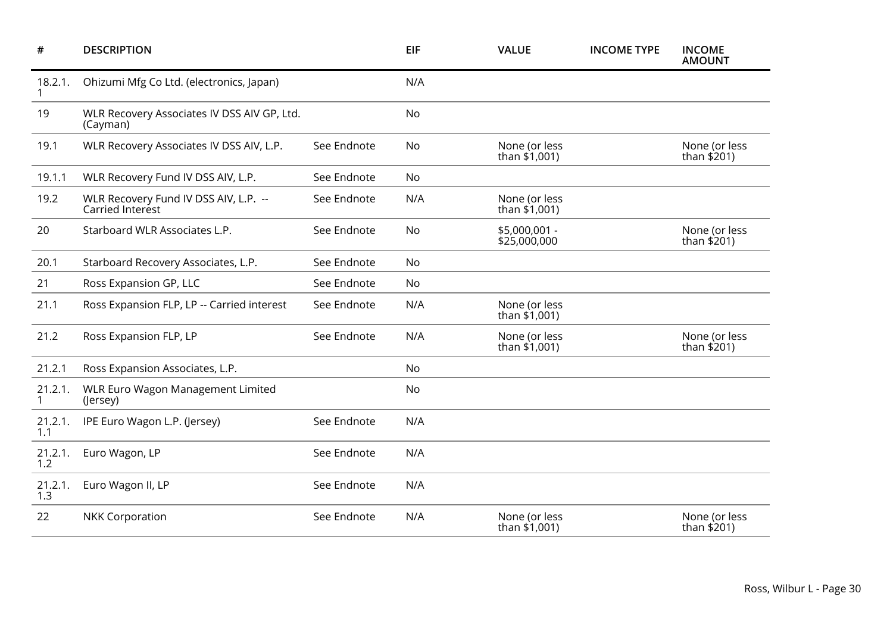| #                       | <b>DESCRIPTION</b>                                        |             | <b>EIF</b> | <b>VALUE</b>                     | <b>INCOME TYPE</b> | <b>INCOME</b><br><b>AMOUNT</b> |
|-------------------------|-----------------------------------------------------------|-------------|------------|----------------------------------|--------------------|--------------------------------|
| 18.2.1.                 | Ohizumi Mfg Co Ltd. (electronics, Japan)                  |             | N/A        |                                  |                    |                                |
| 19                      | WLR Recovery Associates IV DSS AIV GP, Ltd.<br>(Cayman)   |             | No         |                                  |                    |                                |
| 19.1                    | WLR Recovery Associates IV DSS AIV, L.P.                  | See Endnote | No         | None (or less<br>than \$1,001)   |                    | None (or less<br>than $$201)$  |
| 19.1.1                  | WLR Recovery Fund IV DSS AIV, L.P.                        | See Endnote | No         |                                  |                    |                                |
| 19.2                    | WLR Recovery Fund IV DSS AIV, L.P. --<br>Carried Interest | See Endnote | N/A        | None (or less<br>than \$1,001)   |                    |                                |
| 20                      | Starboard WLR Associates L.P.                             | See Endnote | <b>No</b>  | \$5,000,001 -<br>\$25,000,000    |                    | None (or less<br>than \$201)   |
| 20.1                    | Starboard Recovery Associates, L.P.                       | See Endnote | No         |                                  |                    |                                |
| 21                      | Ross Expansion GP, LLC                                    | See Endnote | No         |                                  |                    |                                |
| 21.1                    | Ross Expansion FLP, LP -- Carried interest                | See Endnote | N/A        | None (or less<br>than \$1,001)   |                    |                                |
| 21.2                    | Ross Expansion FLP, LP                                    | See Endnote | N/A        | None (or less<br>than \$1,001)   |                    | None (or less<br>than \$201)   |
| 21.2.1                  | Ross Expansion Associates, L.P.                           |             | No         |                                  |                    |                                |
| 21.2.1.<br>$\mathbf{1}$ | <b>WLR Euro Wagon Management Limited</b><br>(Jersey)      |             | No         |                                  |                    |                                |
| 21.2.1.<br>1.1          | IPE Euro Wagon L.P. (Jersey)                              | See Endnote | N/A        |                                  |                    |                                |
| 21.2.1.<br>1.2          | Euro Wagon, LP                                            | See Endnote | N/A        |                                  |                    |                                |
| 21.2.1.<br>1.3          | Euro Wagon II, LP                                         | See Endnote | N/A        |                                  |                    |                                |
| 22                      | <b>NKK Corporation</b>                                    | See Endnote | N/A        | None (or less<br>than $$1,001$ ) |                    | None (or less<br>than \$201)   |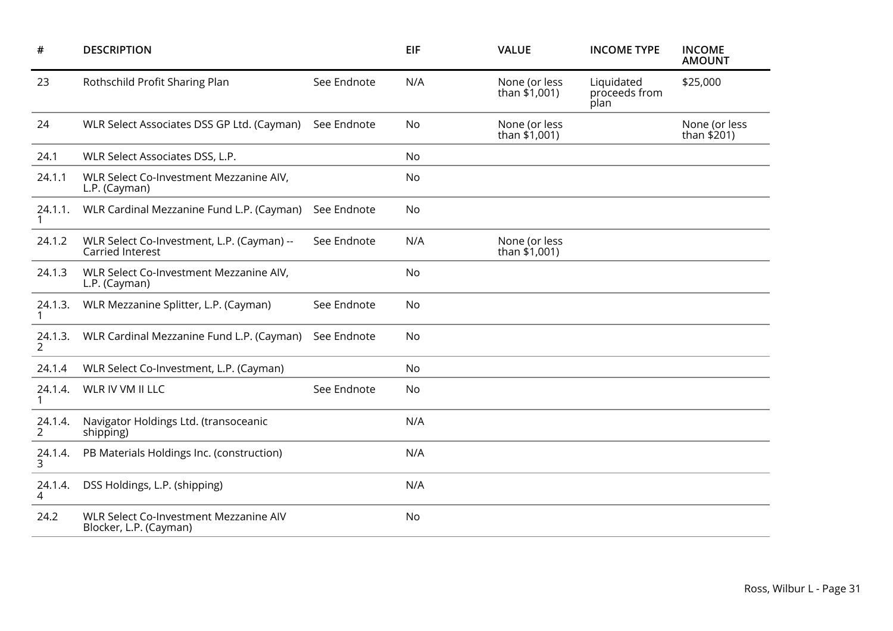| #            | <b>DESCRIPTION</b>                                               |             | <b>EIF</b> | <b>VALUE</b>                     | <b>INCOME TYPE</b>                  | <b>INCOME</b><br><b>AMOUNT</b> |
|--------------|------------------------------------------------------------------|-------------|------------|----------------------------------|-------------------------------------|--------------------------------|
| 23           | Rothschild Profit Sharing Plan                                   | See Endnote | N/A        | None (or less<br>than $$1,001$ ) | Liquidated<br>proceeds from<br>plan | \$25,000                       |
| 24           | WLR Select Associates DSS GP Ltd. (Cayman)                       | See Endnote | No         | None (or less<br>than \$1,001)   |                                     | None (or less<br>than $$201$ ) |
| 24.1         | WLR Select Associates DSS, L.P.                                  |             | No         |                                  |                                     |                                |
| 24.1.1       | WLR Select Co-Investment Mezzanine AIV,<br>L.P. (Cayman)         |             | No         |                                  |                                     |                                |
| 24.1.1.      | WLR Cardinal Mezzanine Fund L.P. (Cayman)                        | See Endnote | No         |                                  |                                     |                                |
| 24.1.2       | WLR Select Co-Investment, L.P. (Cayman) --<br>Carried Interest   | See Endnote | N/A        | None (or less<br>than \$1,001)   |                                     |                                |
| 24.1.3       | WLR Select Co-Investment Mezzanine AIV,<br>L.P. (Cayman)         |             | No         |                                  |                                     |                                |
| 24.1.3.      | WLR Mezzanine Splitter, L.P. (Cayman)                            | See Endnote | No         |                                  |                                     |                                |
| 24.1.3.<br>2 | WLR Cardinal Mezzanine Fund L.P. (Cayman)                        | See Endnote | No         |                                  |                                     |                                |
| 24.1.4       | WLR Select Co-Investment, L.P. (Cayman)                          |             | No         |                                  |                                     |                                |
| 24.1.4.<br>1 | WLR IV VM II LLC                                                 | See Endnote | No         |                                  |                                     |                                |
| 24.1.4.<br>2 | Navigator Holdings Ltd. (transoceanic<br>shipping)               |             | N/A        |                                  |                                     |                                |
| 24.1.4.<br>3 | PB Materials Holdings Inc. (construction)                        |             | N/A        |                                  |                                     |                                |
| 24.1.4.<br>4 | DSS Holdings, L.P. (shipping)                                    |             | N/A        |                                  |                                     |                                |
| 24.2         | WLR Select Co-Investment Mezzanine AIV<br>Blocker, L.P. (Cayman) |             | No         |                                  |                                     |                                |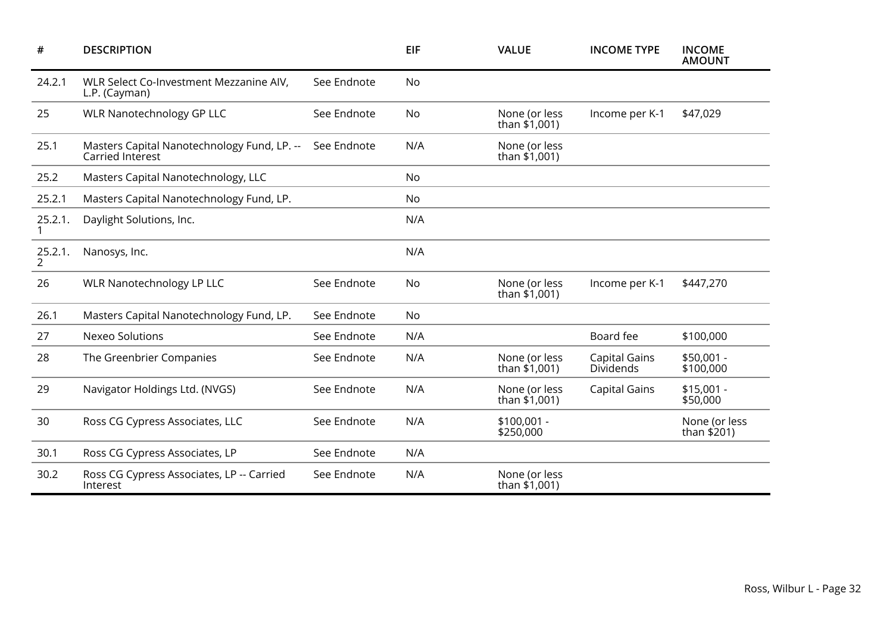| #            | <b>DESCRIPTION</b>                                              |             | <b>EIF</b> | <b>VALUE</b>                     | <b>INCOME TYPE</b>                | <b>INCOME</b><br><b>AMOUNT</b> |
|--------------|-----------------------------------------------------------------|-------------|------------|----------------------------------|-----------------------------------|--------------------------------|
| 24.2.1       | WLR Select Co-Investment Mezzanine AIV,<br>L.P. (Cayman)        | See Endnote | <b>No</b>  |                                  |                                   |                                |
| 25           | <b>WLR Nanotechnology GP LLC</b>                                | See Endnote | No         | None (or less<br>than \$1,001)   | Income per K-1                    | \$47,029                       |
| 25.1         | Masters Capital Nanotechnology Fund, LP. --<br>Carried Interest | See Endnote | N/A        | None (or less<br>than \$1,001)   |                                   |                                |
| 25.2         | Masters Capital Nanotechnology, LLC                             |             | <b>No</b>  |                                  |                                   |                                |
| 25.2.1       | Masters Capital Nanotechnology Fund, LP.                        |             | No         |                                  |                                   |                                |
| 25.2.1.      | Daylight Solutions, Inc.                                        |             | N/A        |                                  |                                   |                                |
| 25.2.1.<br>2 | Nanosys, Inc.                                                   |             | N/A        |                                  |                                   |                                |
| 26           | <b>WLR Nanotechnology LP LLC</b>                                | See Endnote | No         | None (or less<br>than $$1,001$ ) | Income per K-1                    | \$447,270                      |
| 26.1         | Masters Capital Nanotechnology Fund, LP.                        | See Endnote | No         |                                  |                                   |                                |
| 27           | <b>Nexeo Solutions</b>                                          | See Endnote | N/A        |                                  | Board fee                         | \$100,000                      |
| 28           | The Greenbrier Companies                                        | See Endnote | N/A        | None (or less<br>than $$1,001$ ) | <b>Capital Gains</b><br>Dividends | $$50,001 -$<br>\$100,000       |
| 29           | Navigator Holdings Ltd. (NVGS)                                  | See Endnote | N/A        | None (or less<br>than $$1,001$ ) | <b>Capital Gains</b>              | $$15,001 -$<br>\$50,000        |
| 30           | Ross CG Cypress Associates, LLC                                 | See Endnote | N/A        | $$100,001 -$<br>\$250,000        |                                   | None (or less<br>than $$201)$  |
| 30.1         | Ross CG Cypress Associates, LP                                  | See Endnote | N/A        |                                  |                                   |                                |
| 30.2         | Ross CG Cypress Associates, LP -- Carried<br>Interest           | See Endnote | N/A        | None (or less<br>than \$1,001)   |                                   |                                |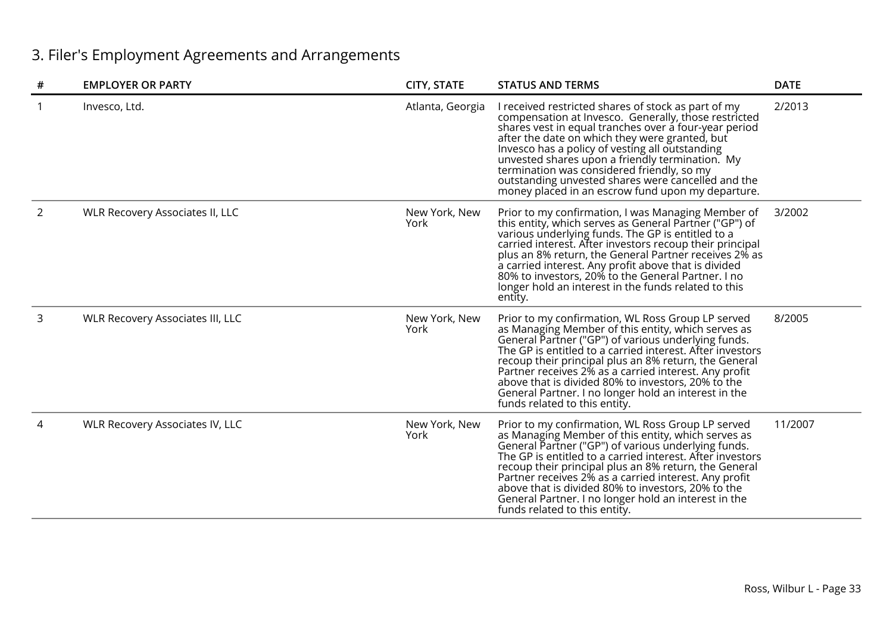# 3. Filer's Employment Agreements and Arrangements

| #              | <b>EMPLOYER OR PARTY</b>                | <b>CITY, STATE</b>    | <b>STATUS AND TERMS</b>                                                                                                                                                                                                                                                                                                                                                                                                                                                                      | <b>DATE</b> |
|----------------|-----------------------------------------|-----------------------|----------------------------------------------------------------------------------------------------------------------------------------------------------------------------------------------------------------------------------------------------------------------------------------------------------------------------------------------------------------------------------------------------------------------------------------------------------------------------------------------|-------------|
|                | Invesco, Ltd.                           | Atlanta, Georgia      | I received restricted shares of stock as part of my<br>compensation at Invesco. Generally, those restricted<br>shares vest in equal tranches over a four-year period<br>after the date on which they were granted, but<br>Invesco has a policy of vesting all outstanding<br>unvested shares upon a friendly termination. My<br>termination was considered friendly, so my<br>outstanding unvested shares were cancelled and the<br>money placed in an escrow fund upon my departure.        | 2/2013      |
| $\overline{2}$ | <b>WLR Recovery Associates II, LLC</b>  | New York, New<br>York | Prior to my confirmation, I was Managing Member of<br>this entity, which serves as General Partner ("GP") of<br>various underlying funds. The GP is entitled to a<br>carried interest. After investors recoup their principal<br>plus an 8% return, the General Partner receives 2% as<br>a carried interest. Any profit above that is divided<br>80% to investors, 20% to the General Partner. I no<br>longer hold an interest in the funds related to this<br>entity.                      | 3/2002      |
| 3              | <b>WLR Recovery Associates III, LLC</b> | New York, New<br>York | Prior to my confirmation, WL Ross Group LP served<br>as Managing Member of this entity, which serves as<br>General Partner ("GP") of various underlying funds.<br>The GP is entitled to a carried interest. After investors<br>recoup their principal plus an 8% return, the General<br>Partner receives 2% as a carried interest. Any profit<br>above that is divided 80% to investors, 20% to the<br>General Partner. I no longer hold an interest in the<br>funds related to this entity. | 8/2005      |
|                | <b>WLR Recovery Associates IV, LLC</b>  | New York, New<br>York | Prior to my confirmation, WL Ross Group LP served<br>as Managing Member of this entity, which serves as<br>General Partner ("GP") of various underlying funds.<br>The GP is entitled to a carried interest. After investors<br>recoup their principal plus an 8% return, the General<br>Partner receives 2% as a carried interest. Any profit<br>above that is divided 80% to investors, 20% to the<br>General Partner. I no longer hold an interest in the<br>funds related to this entity. | 11/2007     |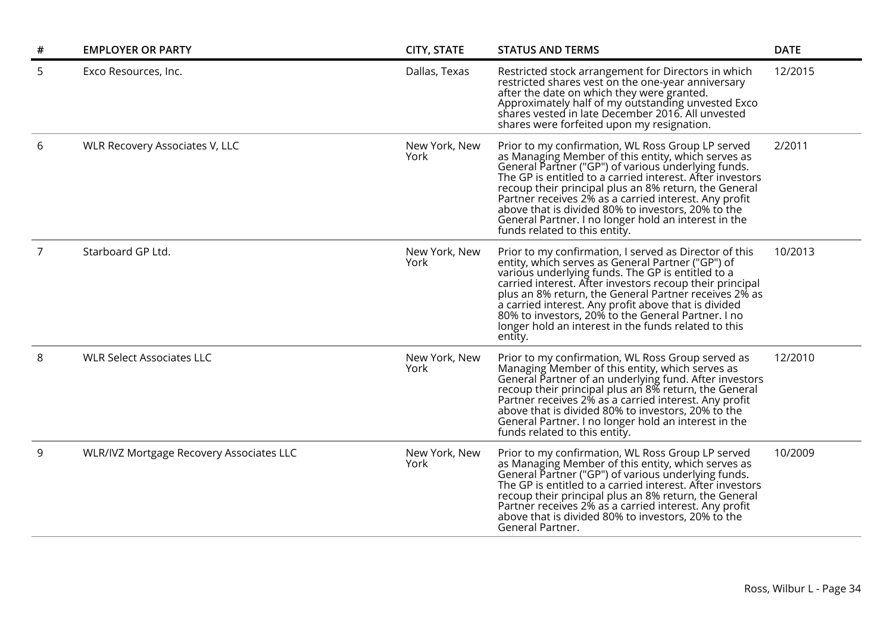| # | <b>EMPLOYER OR PARTY</b>                 | <b>CITY, STATE</b>    | <b>STATUS AND TERMS</b>                                                                                                                                                                                                                                                                                                                                                                                                                                                                      | <b>DATE</b> |
|---|------------------------------------------|-----------------------|----------------------------------------------------------------------------------------------------------------------------------------------------------------------------------------------------------------------------------------------------------------------------------------------------------------------------------------------------------------------------------------------------------------------------------------------------------------------------------------------|-------------|
| 5 | Exco Resources, Inc.                     | Dallas, Texas         | Restricted stock arrangement for Directors in which<br>restricted shares vest on the one-year anniversary<br>after the date on which they were granted.<br>Approximately half of my outstanding unvested Exco<br>shares vested in late December 2016. All unvested<br>shares were forfeited upon my resignation.                                                                                                                                                                             | 12/2015     |
| 6 | WLR Recovery Associates V, LLC           | New York, New<br>York | Prior to my confirmation, WL Ross Group LP served<br>as Managing Member of this entity, which serves as<br>General Partner ("GP") of various underlying funds.<br>The GP is entitled to a carried interest. After investors<br>recoup their principal plus an 8% return, the General<br>Partner receives 2% as a carried interest. Any profit<br>above that is divided 80% to investors, 20% to the<br>General Partner. I no longer hold an interest in the<br>funds related to this entity. | 2/2011      |
| 7 | Starboard GP Ltd.                        | New York, New<br>York | Prior to my confirmation, I served as Director of this<br>entity, which serves as General Partner ("GP") of<br>various underlying funds. The GP is entitled to a<br>carried interest. After investors recoup their principal<br>plus an 8% return, the General Partner receives 2% as<br>a carried interest. Any profit above that is divided<br>80% to investors, 20% to the General Partner. I no<br>longer hold an interest in the funds related to this<br>entity.                       | 10/2013     |
| 8 | <b>WLR Select Associates LLC</b>         | New York, New<br>York | Prior to my confirmation, WL Ross Group served as<br>Managing Member of this entity, which serves as<br>General Partner of an underlying fund. After investors<br>recoup their principal plus an 8% return, the General<br>Partner receives 2% as a carried interest. Any profit<br>above that is divided 80% to investors, 20% to the<br>General Partner. I no longer hold an interest in the<br>funds related to this entity.                                                              | 12/2010     |
| 9 | WLR/IVZ Mortgage Recovery Associates LLC | New York, New<br>York | Prior to my confirmation, WL Ross Group LP served<br>as Managing Member of this entity, which serves as<br>General Partner ("GP") of various underlying funds.<br>The GP is entitled to a carried interest. After investors<br>recoup their principal plus an 8% return, the General<br>Partner receives 2% as a carried interest. Any profit<br>above that is divided 80% to investors, 20% to the<br>General Partner.                                                                      | 10/2009     |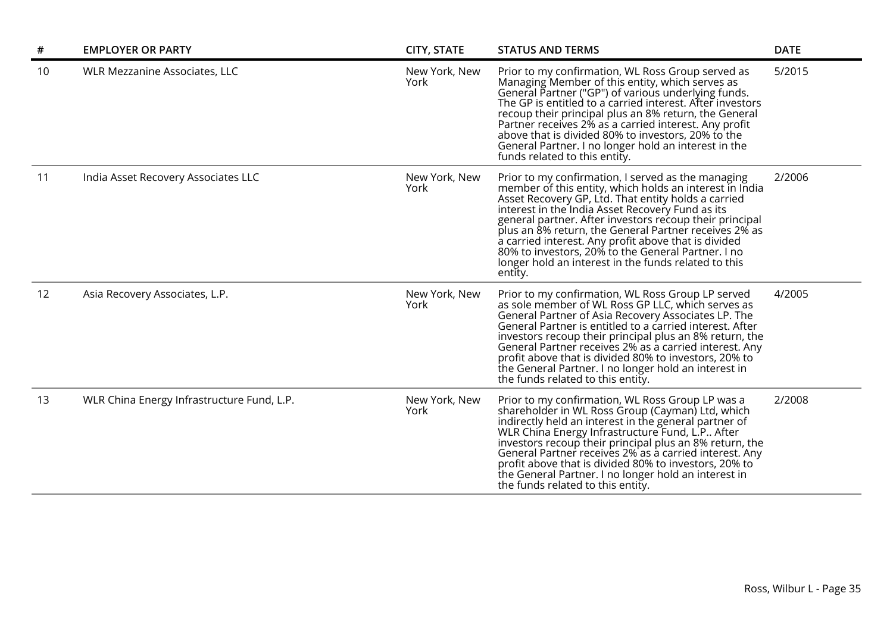| $\#$ | <b>EMPLOYER OR PARTY</b>                   | <b>CITY, STATE</b>    | <b>STATUS AND TERMS</b>                                                                                                                                                                                                                                                                                                                                                                                                                                                                                                       | <b>DATE</b> |
|------|--------------------------------------------|-----------------------|-------------------------------------------------------------------------------------------------------------------------------------------------------------------------------------------------------------------------------------------------------------------------------------------------------------------------------------------------------------------------------------------------------------------------------------------------------------------------------------------------------------------------------|-------------|
| 10   | WLR Mezzanine Associates, LLC              | New York, New<br>York | Prior to my confirmation, WL Ross Group served as<br>Managing Member of this entity, which serves as<br>General Partner ("GP") of various underlying funds.<br>The GP is entitled to a carried interest. After investors<br>recoup their principal plus an 8% return, the General<br>Partner receives 2% as a carried interest. Any profit<br>above that is divided 80% to investors, 20% to the<br>General Partner. I no longer hold an interest in the<br>funds related to this entity.                                     | 5/2015      |
| 11   | India Asset Recovery Associates LLC        | New York, New<br>York | Prior to my confirmation, I served as the managing<br>member of this entity, which holds an interest in India<br>Asset Recovery GP, Ltd. That entity holds a carried<br>interest in the India Asset Recovery Fund as its<br>general partner. After investors recoup their principal<br>plus an 8% return, the General Partner receives 2% as<br>a carried interest. Any profit above that is divided<br>80% to investors, 20% to the General Partner. I no<br>longer hold an interest in the funds related to this<br>entity. | 2/2006      |
| 12   | Asia Recovery Associates, L.P.             | New York, New<br>York | Prior to my confirmation, WL Ross Group LP served<br>as sole member of WL Ross GP LLC, which serves as<br>General Partner of Asia Recovery Associates LP. The<br>General Partner is entitled to a carried interest. After<br>investors recoup their principal plus an 8% return, the<br>General Partner receives 2% as a carried interest. Any<br>profit above that is divided 80% to investors, 20% to<br>the General Partner. I no longer hold an interest in<br>the funds related to this entity.                          | 4/2005      |
| 13   | WLR China Energy Infrastructure Fund, L.P. | New York, New<br>York | Prior to my confirmation, WL Ross Group LP was a<br>shareholder in WL Ross Group (Cayman) Ltd, which<br>indirectly held an interest in the general partner of<br>WLR China Energy Infrastructure Fund, L.P After<br>investors recoup their principal plus an 8% return, the<br>General Partner receives 2% as a carried interest. Any<br>profit above that is divided 80% to investors, 20% to<br>the General Partner. I no longer hold an interest in<br>the funds related to this entity.                                   | 2/2008      |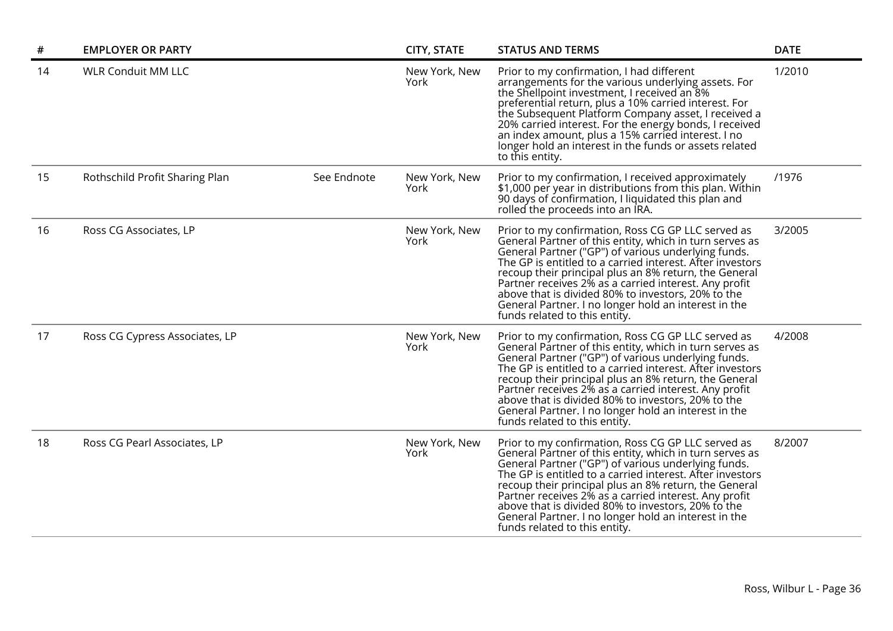| #  | <b>EMPLOYER OR PARTY</b>       |             | <b>CITY, STATE</b>    | <b>STATUS AND TERMS</b>                                                                                                                                                                                                                                                                                                                                                                                                                                                                            | <b>DATE</b> |
|----|--------------------------------|-------------|-----------------------|----------------------------------------------------------------------------------------------------------------------------------------------------------------------------------------------------------------------------------------------------------------------------------------------------------------------------------------------------------------------------------------------------------------------------------------------------------------------------------------------------|-------------|
| 14 | <b>WLR Conduit MM LLC</b>      |             | New York, New<br>York | Prior to my confirmation, I had different<br>arrangements for the various underlying assets. For<br>the Shellpoint investment, I received an 8%<br>preferential return, plus a 10% carried interest. For<br>the Subsequent Platform Company asset, I received a<br>20% carried interest. For the energy bonds, I received<br>an index amount, plus a 15% carried interest. I no<br>longer hold an interest in the funds or assets related<br>to this entity.                                       | 1/2010      |
| 15 | Rothschild Profit Sharing Plan | See Endnote | New York, New<br>York | Prior to my confirmation, I received approximately<br>\$1,000 per year in distributions from this plan. Within<br>90 days of confirmation, I liquidated this plan and<br>rolled the proceeds into an IRA.                                                                                                                                                                                                                                                                                          | /1976       |
| 16 | Ross CG Associates, LP         |             | New York, New<br>York | Prior to my confirmation, Ross CG GP LLC served as<br>General Partner of this entity, which in turn serves as<br>General Partner ("GP") of various underlying funds.<br>The GP is entitled to a carried interest. After investors<br>recoup their principal plus an 8% return, the General<br>Partner receives 2% as a carried interest. Any profit<br>above that is divided 80% to investors, 20% to the<br>General Partner. I no longer hold an interest in the<br>funds related to this entity. | 3/2005      |
| 17 | Ross CG Cypress Associates, LP |             | New York, New<br>York | Prior to my confirmation, Ross CG GP LLC served as<br>General Partner of this entity, which in turn serves as<br>General Partner ("GP") of various underlying funds.<br>The GP is entitled to a carried interest. After investors<br>recoup their principal plus an 8% return, the General<br>Partner receives 2% as a carried interest. Any profit<br>above that is divided 80% to investors, 20% to the<br>General Partner. I no longer hold an interest in the<br>funds related to this entity. | 4/2008      |
| 18 | Ross CG Pearl Associates, LP   |             | New York, New<br>York | Prior to my confirmation, Ross CG GP LLC served as<br>General Partner of this entity, which in turn serves as<br>General Partner ("GP") of various underlying funds.<br>The GP is entitled to a carried interest. After investors<br>recoup their principal plus an 8% return, the General<br>Partner receives 2% as a carried interest. Any profit<br>above that is divided 80% to investors, 20% to the<br>General Partner. I no longer hold an interest in the<br>funds related to this entity. | 8/2007      |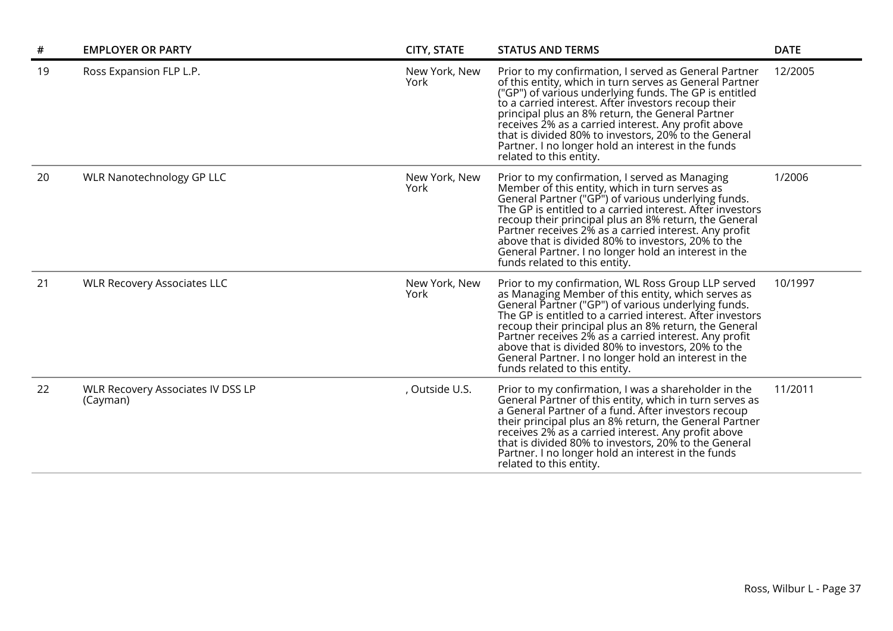| #  | <b>EMPLOYER OR PARTY</b>                             | <b>CITY, STATE</b>    | <b>STATUS AND TERMS</b>                                                                                                                                                                                                                                                                                                                                                                                                                                                                       | <b>DATE</b> |
|----|------------------------------------------------------|-----------------------|-----------------------------------------------------------------------------------------------------------------------------------------------------------------------------------------------------------------------------------------------------------------------------------------------------------------------------------------------------------------------------------------------------------------------------------------------------------------------------------------------|-------------|
| 19 | Ross Expansion FLP L.P.                              | New York, New<br>York | Prior to my confirmation, I served as General Partner<br>of this entity, which in turn serves as General Partner<br>("GP") of various underlying funds. The GP is entitled<br>to a carried interest. After investors recoup their<br>principal plus an 8% return, the General Partner<br>receives 2% as a carried interest. Any profit above<br>that is divided 80% to investors, 20% to the General<br>Partner. I no longer hold an interest in the funds<br>related to this entity.         | 12/2005     |
| 20 | WLR Nanotechnology GP LLC                            | New York, New<br>York | Prior to my confirmation, I served as Managing<br>Member of this entity, which in turn serves as<br>General Partner ("GP") of various underlying funds.<br>The GP is entitled to a carried interest. After investors<br>recoup their principal plus an 8% return, the General<br>Partner receives 2% as a carried interest. Any profit<br>above that is divided 80% to investors, 20% to the<br>General Partner. I no longer hold an interest in the<br>funds related to this entity.         | 1/2006      |
| 21 | <b>WLR Recovery Associates LLC</b>                   | New York, New<br>York | Prior to my confirmation, WL Ross Group LLP served<br>as Managing Member of this entity, which serves as<br>General Partner ("GP") of various underlying funds.<br>The GP is entitled to a carried interest. After investors<br>recoup their principal plus an 8% return, the General<br>Partner receives 2% as a carried interest. Any profit<br>above that is divided 80% to investors, 20% to the<br>General Partner. I no longer hold an interest in the<br>funds related to this entity. | 10/1997     |
| 22 | <b>WLR Recovery Associates IV DSS LP</b><br>(Cayman) | , Outside U.S.        | Prior to my confirmation, I was a shareholder in the<br>General Partner of this entity, which in turn serves as<br>a General Partner of a fund. After investors recoup<br>their principal plus an 8% return, the General Partner<br>receives 2% as a carried interest. Any profit above<br>that is divided 80% to investors, 20% to the General<br>Partner. I no longer hold an interest in the funds<br>related to this entity.                                                              | 11/2011     |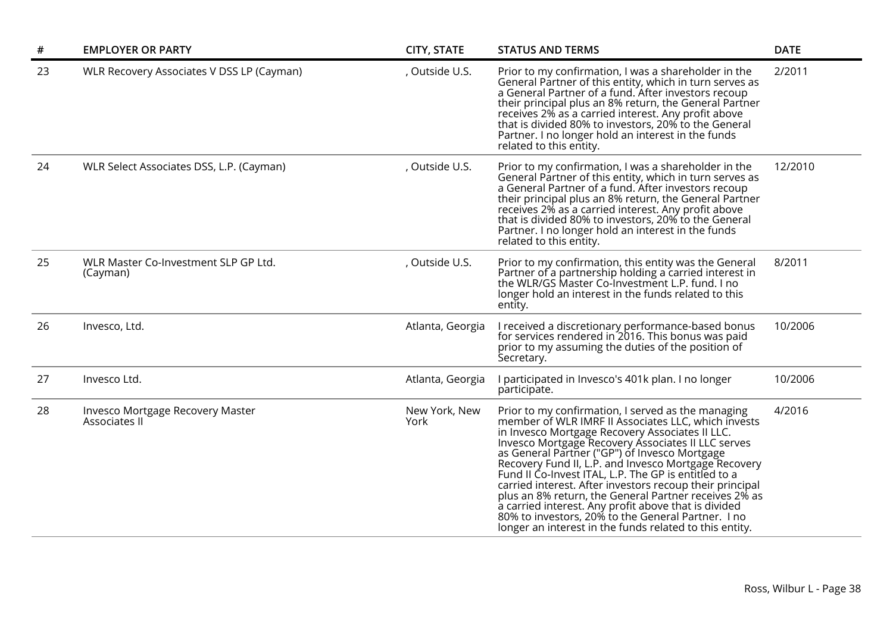| $\#$ | <b>EMPLOYER OR PARTY</b>                          | <b>CITY, STATE</b>    | <b>STATUS AND TERMS</b>                                                                                                                                                                                                                                                                                                                                                                                                                                                                                                                                                                                                                                                           | <b>DATE</b> |
|------|---------------------------------------------------|-----------------------|-----------------------------------------------------------------------------------------------------------------------------------------------------------------------------------------------------------------------------------------------------------------------------------------------------------------------------------------------------------------------------------------------------------------------------------------------------------------------------------------------------------------------------------------------------------------------------------------------------------------------------------------------------------------------------------|-------------|
| 23   | WLR Recovery Associates V DSS LP (Cayman)         | , Outside U.S.        | Prior to my confirmation, I was a shareholder in the<br>General Partner of this entity, which in turn serves as<br>a General Partner of a fund. After investors recoup<br>their principal plus an 8% return, the General Partner<br>receives 2% as a carried interest. Any profit above<br>that is divided 80% to investors, 20% to the General<br>Partner. I no longer hold an interest in the funds<br>related to this entity.                                                                                                                                                                                                                                                  | 2/2011      |
| 24   | WLR Select Associates DSS, L.P. (Cayman)          | , Outside U.S.        | Prior to my confirmation, I was a shareholder in the<br>General Partner of this entity, which in turn serves as<br>a General Partner of a fund. After investors recoup<br>their principal plus an 8% return, the General Partner<br>receives 2% as a carried interest. Any profit above<br>that is divided 80% to investors, 20% to the General<br>Partner. I no longer hold an interest in the funds<br>related to this entity.                                                                                                                                                                                                                                                  | 12/2010     |
| 25   | WLR Master Co-Investment SLP GP Ltd.<br>(Cayman)  | , Outside U.S.        | Prior to my confirmation, this entity was the General<br>Partner of a partnership holding a carried interest in<br>the WLR/GS Master Co-Investment L.P. fund. I no<br>longer hold an interest in the funds related to this<br>entity.                                                                                                                                                                                                                                                                                                                                                                                                                                             | 8/2011      |
| 26   | Invesco, Ltd.                                     | Atlanta, Georgia      | I received a discretionary performance-based bonus<br>for services rendered in 2016. This bonus was paid<br>prior to my assuming the duties of the position of<br>Secretary.                                                                                                                                                                                                                                                                                                                                                                                                                                                                                                      | 10/2006     |
| 27   | Invesco Ltd.                                      | Atlanta, Georgia      | I participated in Invesco's 401k plan. I no longer<br>participate.                                                                                                                                                                                                                                                                                                                                                                                                                                                                                                                                                                                                                | 10/2006     |
| 28   | Invesco Mortgage Recovery Master<br>Associates II | New York, New<br>York | Prior to my confirmation, I served as the managing<br>member of WLR IMRF II Associates LLC, which invests<br>in Invesco Mortgage Recovery Associates II LLC.<br>Invesco Mortgage Recovery Associates II LLC serves<br>as General Partner ("GP") of Invesco Mortgage<br>Recovery Fund II, L.P. and Invesco Mortgage Recovery<br>Fund II Co-Invest ITAL, L.P. The GP is entitled to a<br>carried interest. After investors recoup their principal<br>plus an 8% return, the General Partner receives 2% as<br>a carried interest. Any profit above that is divided<br>80% to investors, 20% to the General Partner. I no<br>longer an interest in the funds related to this entity. | 4/2016      |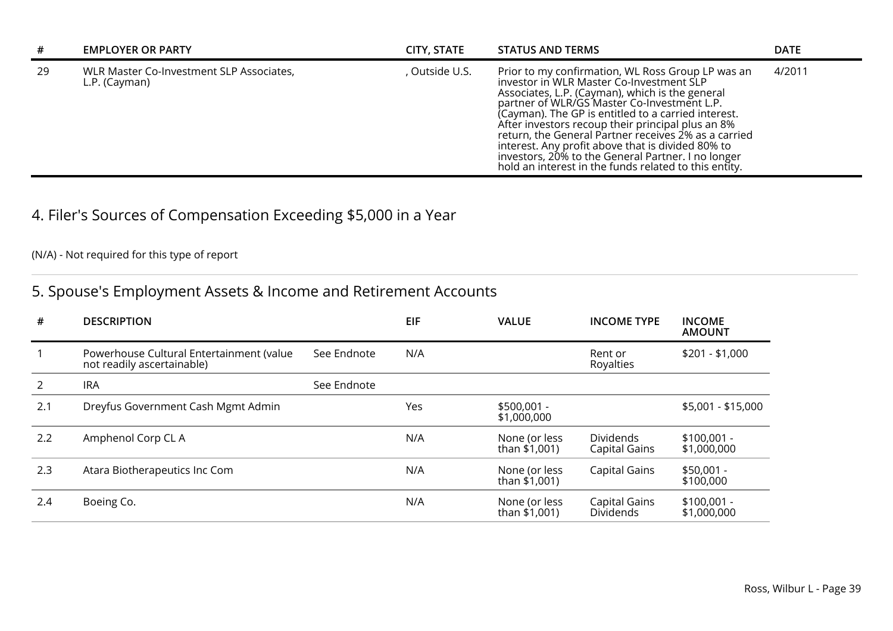| #  | <b>EMPLOYER OR PARTY</b>                                  | CITY, STATE  | <b>STATUS AND TERMS</b>                                                                                                                                                                                                                                                                                                                                                                                                                                                                                                                 | <b>DATE</b> |
|----|-----------------------------------------------------------|--------------|-----------------------------------------------------------------------------------------------------------------------------------------------------------------------------------------------------------------------------------------------------------------------------------------------------------------------------------------------------------------------------------------------------------------------------------------------------------------------------------------------------------------------------------------|-------------|
| 29 | WLR Master Co-Investment SLP Associates,<br>L.P. (Cayman) | Outside U.S. | Prior to my confirmation, WL Ross Group LP was an<br>investor in WLR Master Co-Investment SLP<br>Associates, L.P. (Cayman), which is the general<br>partner of WLR/GS Master Co-Investment L.P.<br>(Cayman). The GP is entitled to a carried interest.<br>After investors recoup their principal plus an 8%<br>return, the General Partner receives 2% as a carried<br>interest. Any profit above that is divided 80% to<br>investors, 20% to the General Partner. I no longer<br>hold an interest in the funds related to this entity. | 4/2011      |

# 4. Filer's Sources of Compensation Exceeding \$5,000 in a Year

## (N/A) - Not required for this type of report

## 5. Spouse's Employment Assets & Income and Retirement Accounts

| #   | <b>DESCRIPTION</b>                                                     |             | EIF | <b>VALUE</b>                   | <b>INCOME TYPE</b>                       | <b>INCOME</b><br><b>AMOUNT</b> |
|-----|------------------------------------------------------------------------|-------------|-----|--------------------------------|------------------------------------------|--------------------------------|
|     | Powerhouse Cultural Entertainment (value<br>not readily ascertainable) | See Endnote | N/A |                                | Rent or<br>Royalties                     | $$201 - $1,000$                |
|     | <b>IRA</b>                                                             | See Endnote |     |                                |                                          |                                |
| 2.1 | Dreyfus Government Cash Mgmt Admin                                     |             | Yes | $$500,001 -$<br>\$1,000,000    |                                          | \$5,001 - \$15,000             |
| 2.2 | Amphenol Corp CL A                                                     |             | N/A | None (or less<br>than \$1,001) | <b>Dividends</b><br><b>Capital Gains</b> | $$100,001 -$<br>\$1,000,000    |
| 2.3 | Atara Biotherapeutics Inc Com                                          |             | N/A | None (or less<br>than \$1,001) | Capital Gains                            | $$50,001 -$<br>\$100,000       |
| 2.4 | Boeing Co.                                                             |             | N/A | None (or less<br>than \$1,001) | Capital Gains<br><b>Dividends</b>        | $$100,001 -$<br>\$1,000,000    |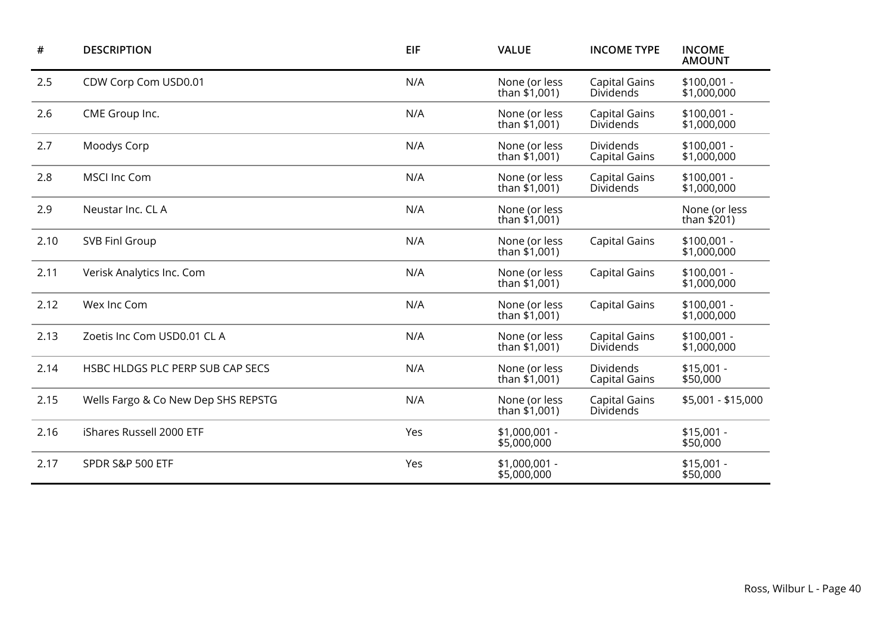| #    | <b>DESCRIPTION</b>                  | <b>EIF</b> | <b>VALUE</b>                     | <b>INCOME TYPE</b>                       | <b>INCOME</b><br><b>AMOUNT</b> |
|------|-------------------------------------|------------|----------------------------------|------------------------------------------|--------------------------------|
| 2.5  | CDW Corp Com USD0.01                | N/A        | None (or less<br>than $$1,001$ ) | <b>Capital Gains</b><br><b>Dividends</b> | $$100,001 -$<br>\$1,000,000    |
| 2.6  | CME Group Inc.                      | N/A        | None (or less<br>than \$1,001)   | <b>Capital Gains</b><br><b>Dividends</b> | $$100,001 -$<br>\$1,000,000    |
| 2.7  | Moodys Corp                         | N/A        | None (or less<br>than $$1,001$ ) | <b>Dividends</b><br><b>Capital Gains</b> | $$100,001 -$<br>\$1,000,000    |
| 2.8  | <b>MSCI Inc Com</b>                 | N/A        | None (or less<br>than $$1,001$ ) | <b>Capital Gains</b><br>Dividends        | $$100,001 -$<br>\$1,000,000    |
| 2.9  | Neustar Inc. CL A                   | N/A        | None (or less<br>than \$1,001)   |                                          | None (or less<br>than \$201)   |
| 2.10 | <b>SVB Finl Group</b>               | N/A        | None (or less<br>than $$1,001$ ) | <b>Capital Gains</b>                     | $$100,001 -$<br>\$1,000,000    |
| 2.11 | Verisk Analytics Inc. Com           | N/A        | None (or less<br>than \$1,001)   | <b>Capital Gains</b>                     | $$100,001 -$<br>\$1,000,000    |
| 2.12 | Wex Inc Com                         | N/A        | None (or less<br>than \$1,001)   | <b>Capital Gains</b>                     | $$100,001 -$<br>\$1,000,000    |
| 2.13 | Zoetis Inc Com USD0.01 CL A         | N/A        | None (or less<br>than $$1,001$ ) | <b>Capital Gains</b><br><b>Dividends</b> | $$100,001 -$<br>\$1,000,000    |
| 2.14 | HSBC HLDGS PLC PERP SUB CAP SECS    | N/A        | None (or less<br>than \$1,001)   | Dividends<br><b>Capital Gains</b>        | $$15,001 -$<br>\$50,000        |
| 2.15 | Wells Fargo & Co New Dep SHS REPSTG | N/A        | None (or less<br>than \$1,001)   | <b>Capital Gains</b><br><b>Dividends</b> | \$5,001 - \$15,000             |
| 2.16 | iShares Russell 2000 ETF            | Yes        | $$1,000,001 -$<br>\$5,000,000    |                                          | \$15,001 -<br>\$50,000         |
| 2.17 | SPDR S&P 500 ETF                    | Yes        | $$1,000,001 -$<br>\$5,000,000    |                                          | $$15,001 -$<br>\$50,000        |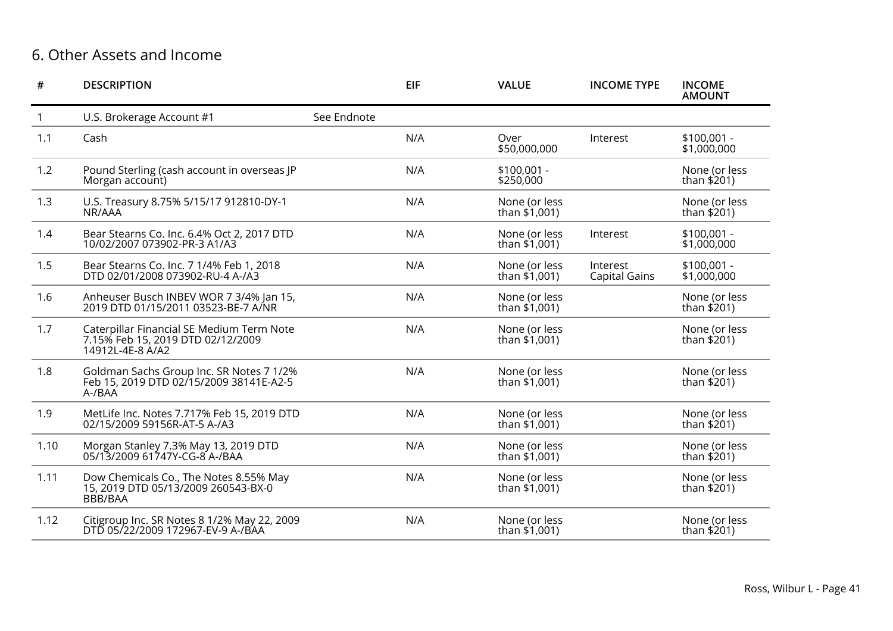## 6. Other Assets and Income

| #            | <b>DESCRIPTION</b>                                                                                 |             | <b>EIF</b> | <b>VALUE</b>                     | <b>INCOME TYPE</b>               | <b>INCOME</b><br><b>AMOUNT</b> |
|--------------|----------------------------------------------------------------------------------------------------|-------------|------------|----------------------------------|----------------------------------|--------------------------------|
| $\mathbf{1}$ | U.S. Brokerage Account #1                                                                          | See Endnote |            |                                  |                                  |                                |
| 1.1          | Cash                                                                                               |             | N/A        | Over<br>\$50,000,000             | Interest                         | $$100,001 -$<br>\$1,000,000    |
| 1.2          | Pound Sterling (cash account in overseas JP<br>Morgan account)                                     |             | N/A        | $$100,001 -$<br>\$250,000        |                                  | None (or less<br>than \$201)   |
| 1.3          | U.S. Treasury 8.75% 5/15/17 912810-DY-1<br>NR/AAA                                                  |             | N/A        | None (or less<br>than \$1,001)   |                                  | None (or less<br>than \$201)   |
| 1.4          | Bear Stearns Co. Inc. 6.4% Oct 2, 2017 DTD<br>10/02/2007 073902-PR-3 A1/A3                         |             | N/A        | None (or less<br>than \$1,001)   | Interest                         | $$100,001 -$<br>\$1,000,000    |
| 1.5          | Bear Stearns Co. Inc. 7 1/4% Feb 1, 2018<br>DTD 02/01/2008 073902-RU-4 A-/A3                       |             | N/A        | None (or less<br>than \$1,001)   | Interest<br><b>Capital Gains</b> | $$100,001 -$<br>\$1,000,000    |
| 1.6          | Anheuser Busch INBEV WOR 7 3/4% Jan 15,<br>2019 DTD 01/15/2011 03523-BE-7 A/NR                     |             | N/A        | None (or less<br>than $$1,001$ ) |                                  | None (or less<br>than \$201)   |
| 1.7          | Caterpillar Financial SE Medium Term Note<br>7.15% Feb 15, 2019 DTD 02/12/2009<br>14912L-4E-8 A/A2 |             | N/A        | None (or less<br>than \$1,001)   |                                  | None (or less<br>than \$201)   |
| 1.8          | Goldman Sachs Group Inc. SR Notes 7 1/2%<br>Feb 15, 2019 DTD 02/15/2009 38141E-A2-5<br>A-/BAA      |             | N/A        | None (or less<br>than \$1,001)   |                                  | None (or less<br>than \$201)   |
| 1.9          | MetLife Inc. Notes 7.717% Feb 15, 2019 DTD<br>02/15/2009 59156R-AT-5 A-/A3                         |             | N/A        | None (or less<br>than \$1,001)   |                                  | None (or less<br>than \$201)   |
| 1.10         | Morgan Stanley 7.3% May 13, 2019 DTD<br>05/13/2009 61747Y-CG-8 A-/BAA                              |             | N/A        | None (or less<br>than \$1,001)   |                                  | None (or less<br>than \$201)   |
| 1.11         | Dow Chemicals Co., The Notes 8.55% May<br>15, 2019 DTD 05/13/2009 260543-BX-0<br>BBB/BAA           |             | N/A        | None (or less<br>than $$1,001$ ) |                                  | None (or less<br>than \$201)   |
| 1.12         | Citigroup Inc. SR Notes 8 1/2% May 22, 2009<br>DTD 05/22/2009 172967-EV-9 A-/BAA                   |             | N/A        | None (or less<br>than $$1,001$ ) |                                  | None (or less<br>than $$201$ ) |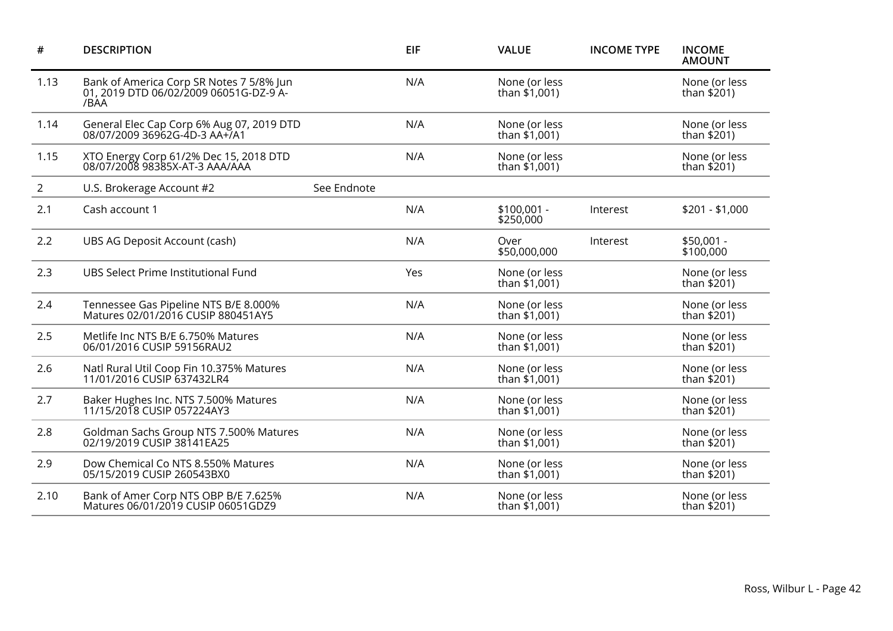| #              | <b>DESCRIPTION</b>                                                                         |             | <b>EIF</b> | <b>VALUE</b>                     | <b>INCOME TYPE</b> | <b>INCOME</b><br><b>AMOUNT</b> |
|----------------|--------------------------------------------------------------------------------------------|-------------|------------|----------------------------------|--------------------|--------------------------------|
| 1.13           | Bank of America Corp SR Notes 7 5/8% Jun<br>01, 2019 DTD 06/02/2009 06051G-DZ-9 A-<br>/BAA |             | N/A        | None (or less<br>than \$1,001)   |                    | None (or less<br>than \$201)   |
| 1.14           | General Elec Cap Corp 6% Aug 07, 2019 DTD<br>08/07/2009 36962G-4D-3 AA+/A1                 |             | N/A        | None (or less<br>than $$1,001$ ) |                    | None (or less<br>than \$201)   |
| 1.15           | XTO Energy Corp 61/2% Dec 15, 2018 DTD<br>08/07/2008 98385X-AT-3 AAA/AAA                   |             | N/A        | None (or less<br>than $$1,001$ ) |                    | None (or less<br>than $$201)$  |
| $\overline{2}$ | U.S. Brokerage Account #2                                                                  | See Endnote |            |                                  |                    |                                |
| 2.1            | Cash account 1                                                                             |             | N/A        | $$100,001 -$<br>\$250,000        | Interest           | $$201 - $1,000$                |
| 2.2            | UBS AG Deposit Account (cash)                                                              |             | N/A        | Over<br>\$50,000,000             | Interest           | $$50,001 -$<br>\$100,000       |
| 2.3            | UBS Select Prime Institutional Fund                                                        |             | Yes        | None (or less<br>than \$1,001)   |                    | None (or less<br>than \$201)   |
| 2.4            | Tennessee Gas Pipeline NTS B/E 8.000%<br>Matures 02/01/2016 CUSIP 880451AY5                |             | N/A        | None (or less<br>than \$1,001)   |                    | None (or less<br>than \$201)   |
| 2.5            | Metlife Inc NTS B/E 6.750% Matures<br>06/01/2016 CUSIP 59156RAU2                           |             | N/A        | None (or less<br>than \$1,001)   |                    | None (or less<br>than \$201)   |
| 2.6            | Natl Rural Util Coop Fin 10.375% Matures<br>11/01/2016 CUSIP 637432LR4                     |             | N/A        | None (or less<br>than \$1,001)   |                    | None (or less<br>than \$201)   |
| 2.7            | Baker Hughes Inc. NTS 7.500% Matures<br>11/15/2018 CUSIP 057224AY3                         |             | N/A        | None (or less<br>than \$1,001)   |                    | None (or less<br>than $$201$ ) |
| 2.8            | Goldman Sachs Group NTS 7.500% Matures<br>02/19/2019 CUSIP 38141EA25                       |             | N/A        | None (or less<br>than \$1,001)   |                    | None (or less<br>than \$201)   |
| 2.9            | Dow Chemical Co NTS 8.550% Matures<br>05/15/2019 CUSIP 260543BX0                           |             | N/A        | None (or less<br>than \$1,001)   |                    | None (or less<br>than $$201$ ) |
| 2.10           | Bank of Amer Corp NTS OBP B/E 7.625%<br>Matures 06/01/2019 CUSIP 06051GDZ9                 |             | N/A        | None (or less<br>than \$1,001)   |                    | None (or less<br>than \$201)   |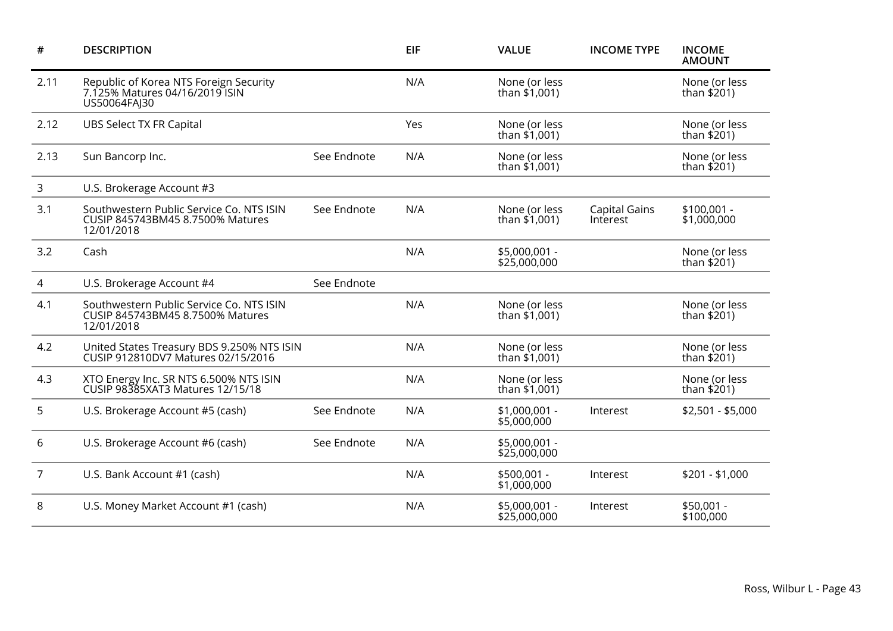| #              | <b>DESCRIPTION</b>                                                                         |             | <b>EIF</b> | <b>VALUE</b>                     | <b>INCOME TYPE</b>               | <b>INCOME</b><br><b>AMOUNT</b> |
|----------------|--------------------------------------------------------------------------------------------|-------------|------------|----------------------------------|----------------------------------|--------------------------------|
| 2.11           | Republic of Korea NTS Foreign Security<br>7.125% Matures 04/16/2019 ISIN<br>US50064FAJ30   |             | N/A        | None (or less<br>than \$1,001)   |                                  | None (or less<br>than \$201)   |
| 2.12           | <b>UBS Select TX FR Capital</b>                                                            |             | Yes        | None (or less<br>than \$1,001)   |                                  | None (or less<br>than $$201$ ) |
| 2.13           | Sun Bancorp Inc.                                                                           | See Endnote | N/A        | None (or less<br>than $$1,001$ ) |                                  | None (or less<br>than $$201$ ) |
| 3              | U.S. Brokerage Account #3                                                                  |             |            |                                  |                                  |                                |
| 3.1            | Southwestern Public Service Co. NTS ISIN<br>CUSIP 845743BM45 8.7500% Matures<br>12/01/2018 | See Endnote | N/A        | None (or less<br>than $$1,001$ ) | <b>Capital Gains</b><br>Interest | $$100,001 -$<br>\$1,000,000    |
| 3.2            | Cash                                                                                       |             | N/A        | \$5,000,001 -<br>\$25,000,000    |                                  | None (or less<br>than $$201)$  |
| 4              | U.S. Brokerage Account #4                                                                  | See Endnote |            |                                  |                                  |                                |
| 4.1            | Southwestern Public Service Co. NTS ISIN<br>CUSIP 845743BM45 8.7500% Matures<br>12/01/2018 |             | N/A        | None (or less<br>than \$1,001)   |                                  | None (or less<br>than \$201)   |
| 4.2            | United States Treasury BDS 9.250% NTS ISIN<br>CUSIP 912810DV7 Matures 02/15/2016           |             | N/A        | None (or less<br>than \$1,001)   |                                  | None (or less<br>than \$201)   |
| 4.3            | XTO Energy Inc. SR NTS 6.500% NTS ISIN<br>CUSIP 98385XAT3 Matures 12/15/18                 |             | N/A        | None (or less<br>than $$1,001$ ) |                                  | None (or less<br>than $$201)$  |
| 5              | U.S. Brokerage Account #5 (cash)                                                           | See Endnote | N/A        | \$1,000,001 -<br>\$5,000,000     | Interest                         | $$2,501 - $5,000$              |
| 6              | U.S. Brokerage Account #6 (cash)                                                           | See Endnote | N/A        | \$5,000,001 -<br>\$25,000,000    |                                  |                                |
| $\overline{7}$ | U.S. Bank Account #1 (cash)                                                                |             | N/A        | \$500,001 -<br>\$1,000,000       | Interest                         | $$201 - $1,000$                |
| 8              | U.S. Money Market Account #1 (cash)                                                        |             | N/A        | \$5,000,001 -<br>\$25,000,000    | Interest                         | $$50,001 -$<br>\$100,000       |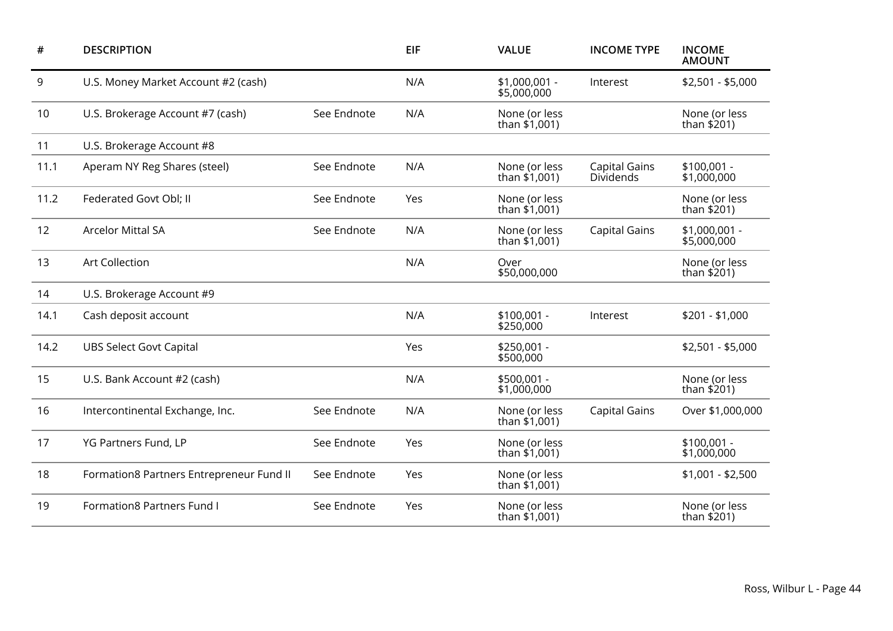| #    | <b>DESCRIPTION</b>                       |             | <b>EIF</b> | <b>VALUE</b>                     | <b>INCOME TYPE</b>                       | <b>INCOME</b><br><b>AMOUNT</b> |
|------|------------------------------------------|-------------|------------|----------------------------------|------------------------------------------|--------------------------------|
| 9    | U.S. Money Market Account #2 (cash)      |             | N/A        | $$1,000,001 -$<br>\$5,000,000    | Interest                                 | $$2,501 - $5,000$              |
| 10   | U.S. Brokerage Account #7 (cash)         | See Endnote | N/A        | None (or less<br>than \$1,001)   |                                          | None (or less<br>than \$201)   |
| 11   | U.S. Brokerage Account #8                |             |            |                                  |                                          |                                |
| 11.1 | Aperam NY Reg Shares (steel)             | See Endnote | N/A        | None (or less<br>than \$1,001)   | <b>Capital Gains</b><br><b>Dividends</b> | \$100,001 -<br>\$1,000,000     |
| 11.2 | Federated Govt Obl; II                   | See Endnote | Yes        | None (or less<br>than $$1,001$ ) |                                          | None (or less<br>than \$201)   |
| 12   | <b>Arcelor Mittal SA</b>                 | See Endnote | N/A        | None (or less<br>than \$1,001)   | <b>Capital Gains</b>                     | \$1,000,001 -<br>\$5,000,000   |
| 13   | <b>Art Collection</b>                    |             | N/A        | Over<br>\$50,000,000             |                                          | None (or less<br>than $$201)$  |
| 14   | U.S. Brokerage Account #9                |             |            |                                  |                                          |                                |
| 14.1 | Cash deposit account                     |             | N/A        | $$100,001 -$<br>\$250,000        | Interest                                 | $$201 - $1,000$                |
| 14.2 | <b>UBS Select Govt Capital</b>           |             | Yes        | $$250,001 -$<br>\$500,000        |                                          | $$2,501 - $5,000$              |
| 15   | U.S. Bank Account #2 (cash)              |             | N/A        | \$500,001 -<br>\$1,000,000       |                                          | None (or less<br>than \$201)   |
| 16   | Intercontinental Exchange, Inc.          | See Endnote | N/A        | None (or less<br>than $$1,001$ ) | <b>Capital Gains</b>                     | Over \$1,000,000               |
| 17   | YG Partners Fund, LP                     | See Endnote | Yes        | None (or less<br>than \$1,001)   |                                          | \$100,001 -<br>\$1,000,000     |
| 18   | Formation8 Partners Entrepreneur Fund II | See Endnote | Yes        | None (or less<br>than \$1,001)   |                                          | $$1,001 - $2,500$              |
| 19   | <b>Formation8 Partners Fund I</b>        | See Endnote | Yes        | None (or less<br>than \$1,001)   |                                          | None (or less<br>than \$201)   |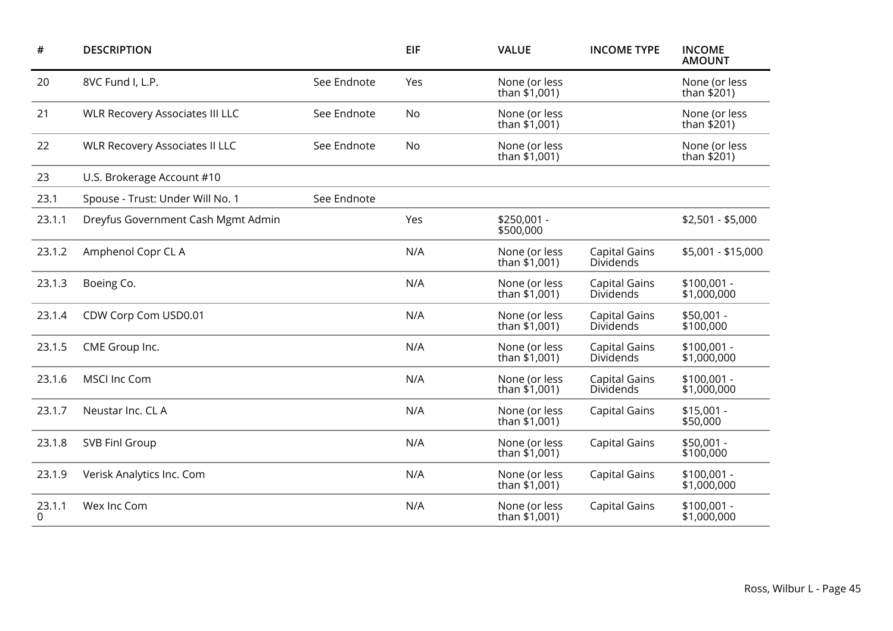| #           | <b>DESCRIPTION</b>                     |             | <b>EIF</b> | <b>VALUE</b>                     | <b>INCOME TYPE</b>                       | <b>INCOME</b><br><b>AMOUNT</b> |
|-------------|----------------------------------------|-------------|------------|----------------------------------|------------------------------------------|--------------------------------|
| 20          | 8VC Fund I, L.P.                       | See Endnote | Yes        | None (or less<br>than \$1,001)   |                                          | None (or less<br>than \$201)   |
| 21          | <b>WLR Recovery Associates III LLC</b> | See Endnote | No         | None (or less<br>than \$1,001)   |                                          | None (or less<br>than $$201)$  |
| 22          | <b>WLR Recovery Associates II LLC</b>  | See Endnote | No         | None (or less<br>than \$1,001)   |                                          | None (or less<br>than \$201)   |
| 23          | U.S. Brokerage Account #10             |             |            |                                  |                                          |                                |
| 23.1        | Spouse - Trust: Under Will No. 1       | See Endnote |            |                                  |                                          |                                |
| 23.1.1      | Dreyfus Government Cash Mgmt Admin     |             | Yes        | \$250,001 -<br>\$500,000         |                                          | $$2,501 - $5,000$              |
| 23.1.2      | Amphenol Copr CL A                     |             | N/A        | None (or less<br>than \$1,001)   | <b>Capital Gains</b><br>Dividends        | \$5,001 - \$15,000             |
| 23.1.3      | Boeing Co.                             |             | N/A        | None (or less<br>than \$1,001)   | <b>Capital Gains</b><br>Dividends        | \$100,001 -<br>\$1,000,000     |
| 23.1.4      | CDW Corp Com USD0.01                   |             | N/A        | None (or less<br>than \$1,001)   | <b>Capital Gains</b><br><b>Dividends</b> | \$50,001 -<br>\$100,000        |
| 23.1.5      | CME Group Inc.                         |             | N/A        | None (or less<br>than \$1,001)   | <b>Capital Gains</b><br>Dividends        | $$100,001 -$<br>\$1,000,000    |
| 23.1.6      | <b>MSCI Inc Com</b>                    |             | N/A        | None (or less<br>than $$1,001$ ) | <b>Capital Gains</b><br>Dividends        | $$100,001 -$<br>\$1,000,000    |
| 23.1.7      | Neustar Inc. CL A                      |             | N/A        | None (or less<br>than $$1,001$ ) | <b>Capital Gains</b>                     | $$15,001 -$<br>\$50,000        |
| 23.1.8      | SVB Finl Group                         |             | N/A        | None (or less<br>than \$1,001)   | <b>Capital Gains</b>                     | \$50,001 -<br>\$100,000        |
| 23.1.9      | Verisk Analytics Inc. Com              |             | N/A        | None (or less<br>than $$1,001$ ) | <b>Capital Gains</b>                     | \$100,001 -<br>\$1,000,000     |
| 23.1.1<br>0 | Wex Inc Com                            |             | N/A        | None (or less<br>than \$1,001)   | <b>Capital Gains</b>                     | $$100,001 -$<br>\$1,000,000    |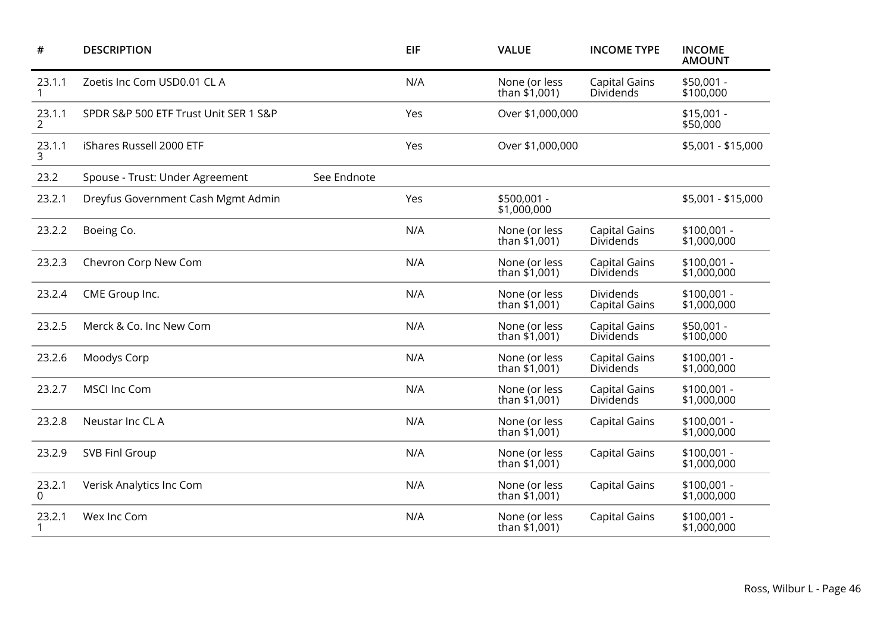| #                        | <b>DESCRIPTION</b>                    |             | EIF | <b>VALUE</b>                     | <b>INCOME TYPE</b>                       | <b>INCOME</b><br><b>AMOUNT</b> |
|--------------------------|---------------------------------------|-------------|-----|----------------------------------|------------------------------------------|--------------------------------|
| 23.1.1                   | Zoetis Inc Com USD0.01 CL A           |             | N/A | None (or less<br>than $$1,001$ ) | <b>Capital Gains</b><br>Dividends        | \$50,001 -<br>\$100,000        |
| 23.1.1<br>$\overline{2}$ | SPDR S&P 500 ETF Trust Unit SER 1 S&P |             | Yes | Over \$1,000,000                 |                                          | $$15,001 -$<br>\$50,000        |
| 23.1.1<br>3              | iShares Russell 2000 ETF              |             | Yes | Over \$1,000,000                 |                                          | \$5,001 - \$15,000             |
| 23.2                     | Spouse - Trust: Under Agreement       | See Endnote |     |                                  |                                          |                                |
| 23.2.1                   | Dreyfus Government Cash Mgmt Admin    |             | Yes | \$500,001 -<br>\$1,000,000       |                                          | \$5,001 - \$15,000             |
| 23.2.2                   | Boeing Co.                            |             | N/A | None (or less<br>than \$1,001)   | <b>Capital Gains</b><br>Dividends        | $$100,001 -$<br>\$1,000,000    |
| 23.2.3                   | Chevron Corp New Com                  |             | N/A | None (or less<br>than \$1,001)   | <b>Capital Gains</b><br>Dividends        | $$100,001 -$<br>\$1,000,000    |
| 23.2.4                   | CME Group Inc.                        |             | N/A | None (or less<br>than \$1,001)   | <b>Dividends</b><br><b>Capital Gains</b> | $$100,001 -$<br>\$1,000,000    |
| 23.2.5                   | Merck & Co. Inc New Com               |             | N/A | None (or less<br>than $$1,001$ ) | <b>Capital Gains</b><br>Dividends        | \$50,001 -<br>\$100,000        |
| 23.2.6                   | Moodys Corp                           |             | N/A | None (or less<br>than $$1,001$ ) | <b>Capital Gains</b><br>Dividends        | $$100,001 -$<br>\$1,000,000    |
| 23.2.7                   | <b>MSCI Inc Com</b>                   |             | N/A | None (or less<br>than $$1,001$ ) | <b>Capital Gains</b><br>Dividends        | $$100,001 -$<br>\$1,000,000    |
| 23.2.8                   | Neustar Inc CL A                      |             | N/A | None (or less<br>than \$1,001)   | <b>Capital Gains</b>                     | \$100,001 -<br>\$1,000,000     |
| 23.2.9                   | SVB Finl Group                        |             | N/A | None (or less<br>than \$1,001)   | <b>Capital Gains</b>                     | $$100,001 -$<br>\$1,000,000    |
| 23.2.1<br>0              | Verisk Analytics Inc Com              |             | N/A | None (or less<br>than $$1,001$ ) | <b>Capital Gains</b>                     | \$100,001 -<br>\$1,000,000     |
| 23.2.1                   | Wex Inc Com                           |             | N/A | None (or less<br>than \$1,001)   | <b>Capital Gains</b>                     | \$100,001 -<br>\$1,000,000     |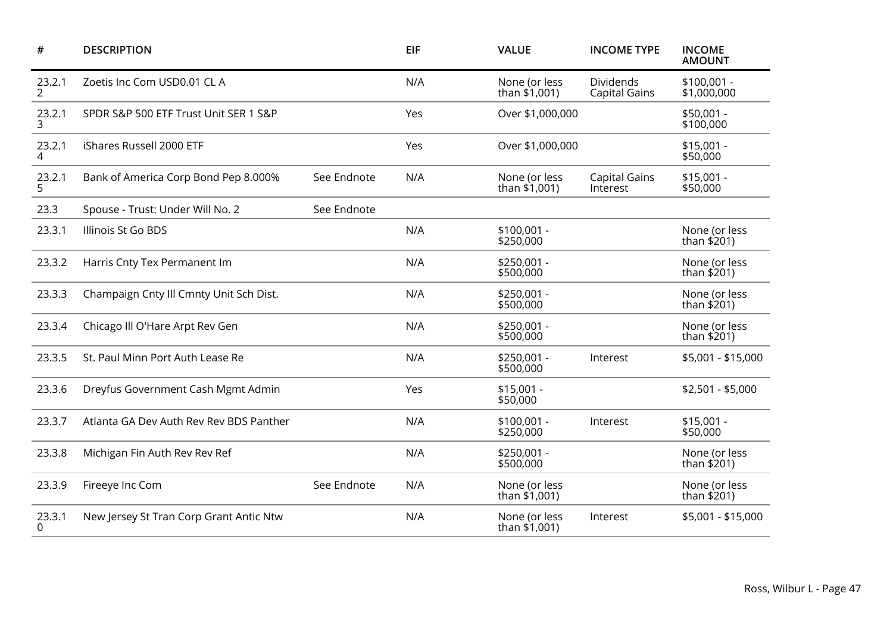| #           | <b>DESCRIPTION</b>                      |             | <b>EIF</b> | <b>VALUE</b>                     | <b>INCOME TYPE</b>                | <b>INCOME</b><br><b>AMOUNT</b> |
|-------------|-----------------------------------------|-------------|------------|----------------------------------|-----------------------------------|--------------------------------|
| 23.2.1<br>2 | Zoetis Inc Com USD0.01 CL A             |             | N/A        | None (or less<br>than $$1,001$ ) | Dividends<br><b>Capital Gains</b> | $$100,001 -$<br>\$1,000,000    |
| 23.2.1<br>3 | SPDR S&P 500 ETF Trust Unit SER 1 S&P   |             | Yes        | Over \$1,000,000                 |                                   | \$50,001 -<br>\$100,000        |
| 23.2.1<br>4 | iShares Russell 2000 ETF                |             | Yes        | Over \$1,000,000                 |                                   | $$15,001 -$<br>\$50,000        |
| 23.2.1<br>5 | Bank of America Corp Bond Pep 8.000%    | See Endnote | N/A        | None (or less<br>than \$1,001)   | <b>Capital Gains</b><br>Interest  | $$15,001 -$<br>\$50,000        |
| 23.3        | Spouse - Trust: Under Will No. 2        | See Endnote |            |                                  |                                   |                                |
| 23.3.1      | Illinois St Go BDS                      |             | N/A        | $$100,001 -$<br>\$250,000        |                                   | None (or less<br>than \$201)   |
| 23.3.2      | Harris Cnty Tex Permanent Im            |             | N/A        | \$250,001 -<br>\$500,000         |                                   | None (or less<br>than \$201)   |
| 23.3.3      | Champaign Cnty Ill Cmnty Unit Sch Dist. |             | N/A        | \$250,001 -<br>\$500,000         |                                   | None (or less<br>than $$201)$  |
| 23.3.4      | Chicago III O'Hare Arpt Rev Gen         |             | N/A        | \$250,001 -<br>\$500,000         |                                   | None (or less<br>than $$201)$  |
| 23.3.5      | St. Paul Minn Port Auth Lease Re        |             | N/A        | \$250,001 -<br>\$500,000         | Interest                          | \$5,001 - \$15,000             |
| 23.3.6      | Dreyfus Government Cash Mgmt Admin      |             | Yes        | $$15,001 -$<br>\$50,000          |                                   | $$2,501 - $5,000$              |
| 23.3.7      | Atlanta GA Dev Auth Rev Rev BDS Panther |             | N/A        | \$100,001 -<br>\$250,000         | Interest                          | $$15,001 -$<br>\$50,000        |
| 23.3.8      | Michigan Fin Auth Rev Rev Ref           |             | N/A        | \$250,001 -<br>\$500,000         |                                   | None (or less<br>than $$201)$  |
| 23.3.9      | Fireeye Inc Com                         | See Endnote | N/A        | None (or less<br>than $$1,001$ ) |                                   | None (or less<br>than $$201)$  |
| 23.3.1<br>0 | New Jersey St Tran Corp Grant Antic Ntw |             | N/A        | None (or less<br>than \$1,001)   | Interest                          | \$5,001 - \$15,000             |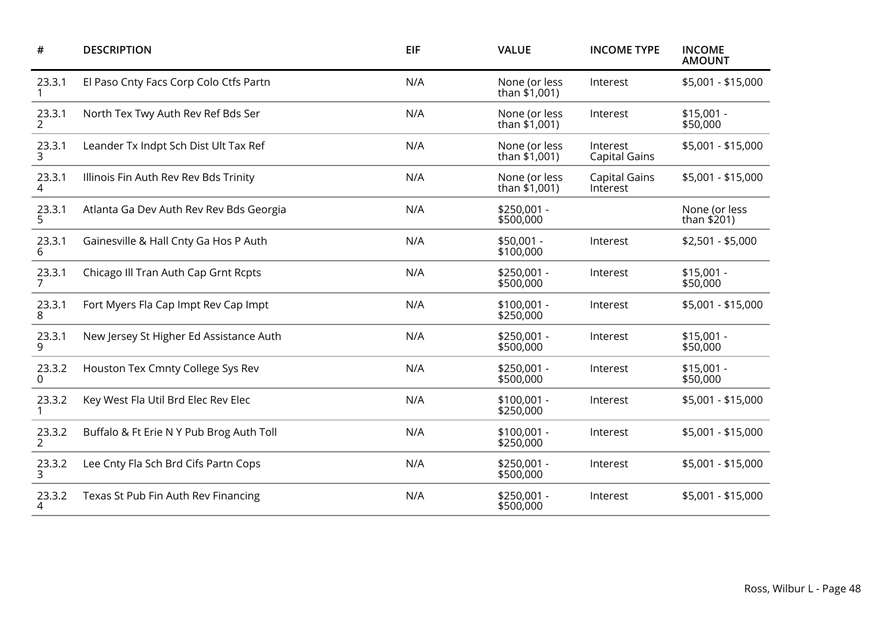| $\#$                     | <b>DESCRIPTION</b>                       | <b>EIF</b> | <b>VALUE</b>                   | <b>INCOME TYPE</b>               | <b>INCOME</b><br><b>AMOUNT</b> |
|--------------------------|------------------------------------------|------------|--------------------------------|----------------------------------|--------------------------------|
| 23.3.1                   | El Paso Cnty Facs Corp Colo Ctfs Partn   | N/A        | None (or less<br>than \$1,001) | Interest                         | \$5,001 - \$15,000             |
| 23.3.1<br>$\overline{2}$ | North Tex Twy Auth Rev Ref Bds Ser       | N/A        | None (or less<br>than \$1,001) | Interest                         | $$15,001 -$<br>\$50,000        |
| 23.3.1<br>3              | Leander Tx Indpt Sch Dist Ult Tax Ref    | N/A        | None (or less<br>than \$1,001) | Interest<br><b>Capital Gains</b> | \$5,001 - \$15,000             |
| 23.3.1<br>4              | Illinois Fin Auth Rev Rev Bds Trinity    | N/A        | None (or less<br>than \$1,001) | <b>Capital Gains</b><br>Interest | \$5,001 - \$15,000             |
| 23.3.1<br>5              | Atlanta Ga Dev Auth Rev Rev Bds Georgia  | N/A        | \$250,001 -<br>\$500,000       |                                  | None (or less<br>than \$201)   |
| 23.3.1<br>6              | Gainesville & Hall Cnty Ga Hos P Auth    | N/A        | $$50,001 -$<br>\$100,000       | Interest                         | $$2,501 - $5,000$              |
| 23.3.1<br>$\overline{7}$ | Chicago III Tran Auth Cap Grnt Rcpts     | N/A        | \$250,001 -<br>\$500,000       | Interest                         | $$15,001 -$<br>\$50,000        |
| 23.3.1<br>8              | Fort Myers Fla Cap Impt Rev Cap Impt     | N/A        | $$100,001 -$<br>\$250,000      | Interest                         | \$5,001 - \$15,000             |
| 23.3.1<br>9              | New Jersey St Higher Ed Assistance Auth  | N/A        | $$250,001 -$<br>\$500,000      | Interest                         | $$15,001 -$<br>\$50,000        |
| 23.3.2<br>$\Omega$       | Houston Tex Cmnty College Sys Rev        | N/A        | \$250,001 -<br>\$500,000       | Interest                         | $$15,001 -$<br>\$50,000        |
| 23.3.2                   | Key West Fla Util Brd Elec Rev Elec      | N/A        | $$100,001 -$<br>\$250,000      | Interest                         | \$5,001 - \$15,000             |
| 23.3.2<br>2              | Buffalo & Ft Erie N Y Pub Brog Auth Toll | N/A        | $$100,001 -$<br>\$250,000      | Interest                         | \$5,001 - \$15,000             |
| 23.3.2<br>3              | Lee Cnty Fla Sch Brd Cifs Partn Cops     | N/A        | $$250,001 -$<br>\$500,000      | Interest                         | \$5,001 - \$15,000             |
| 23.3.2<br>4              | Texas St Pub Fin Auth Rev Financing      | N/A        | \$250,001 -<br>\$500,000       | Interest                         | \$5,001 - \$15,000             |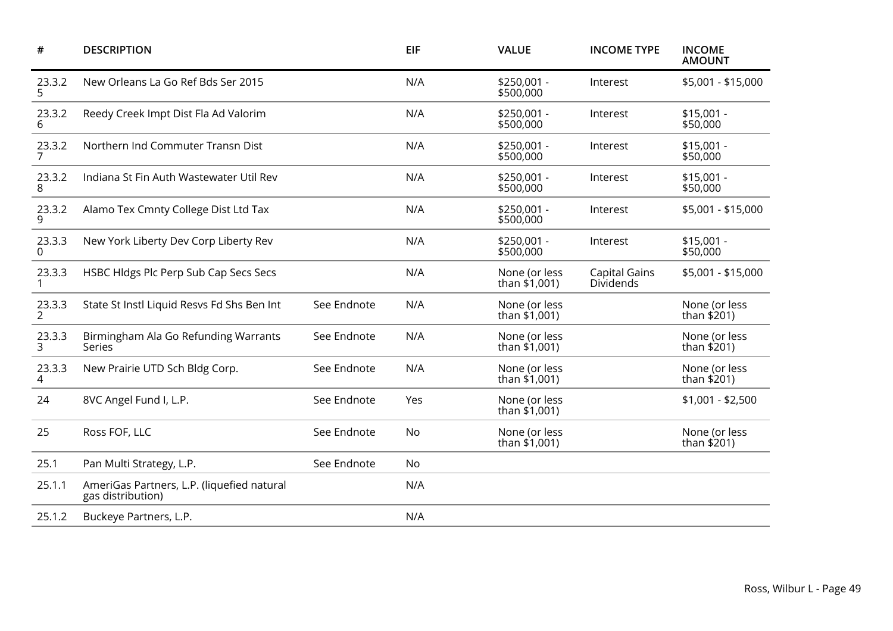| #                        | <b>DESCRIPTION</b>                                              |             | <b>EIF</b> | <b>VALUE</b>                   | <b>INCOME TYPE</b>                | <b>INCOME</b><br><b>AMOUNT</b> |
|--------------------------|-----------------------------------------------------------------|-------------|------------|--------------------------------|-----------------------------------|--------------------------------|
| 23.3.2<br>5              | New Orleans La Go Ref Bds Ser 2015                              |             | N/A        | \$250,001 -<br>\$500,000       | Interest                          | \$5,001 - \$15,000             |
| 23.3.2<br>6              | Reedy Creek Impt Dist Fla Ad Valorim                            |             | N/A        | \$250,001 -<br>\$500,000       | Interest                          | $$15,001 -$<br>\$50,000        |
| 23.3.2<br>$\overline{7}$ | Northern Ind Commuter Transn Dist                               |             | N/A        | \$250,001 -<br>\$500,000       | Interest                          | $$15,001 -$<br>\$50,000        |
| 23.3.2<br>8              | Indiana St Fin Auth Wastewater Util Rev                         |             | N/A        | \$250,001 -<br>\$500,000       | Interest                          | $$15,001 -$<br>\$50,000        |
| 23.3.2<br>9              | Alamo Tex Cmnty College Dist Ltd Tax                            |             | N/A        | \$250,001 -<br>\$500,000       | Interest                          | \$5,001 - \$15,000             |
| 23.3.3<br>$\Omega$       | New York Liberty Dev Corp Liberty Rev                           |             | N/A        | \$250,001 -<br>\$500,000       | Interest                          | $$15,001 -$<br>\$50,000        |
| 23.3.3                   | HSBC Hldgs Plc Perp Sub Cap Secs Secs                           |             | N/A        | None (or less<br>than \$1,001) | <b>Capital Gains</b><br>Dividends | \$5,001 - \$15,000             |
| 23.3.3<br>2              | State St Instl Liquid Resvs Fd Shs Ben Int                      | See Endnote | N/A        | None (or less<br>than \$1,001) |                                   | None (or less<br>than $$201)$  |
| 23.3.3<br>3              | Birmingham Ala Go Refunding Warrants<br>Series                  | See Endnote | N/A        | None (or less<br>than \$1,001) |                                   | None (or less<br>than \$201)   |
| 23.3.3<br>4              | New Prairie UTD Sch Bldg Corp.                                  | See Endnote | N/A        | None (or less<br>than \$1,001) |                                   | None (or less<br>than \$201)   |
| 24                       | 8VC Angel Fund I, L.P.                                          | See Endnote | Yes        | None (or less<br>than \$1,001) |                                   | $$1,001 - $2,500$              |
| 25                       | Ross FOF, LLC                                                   | See Endnote | No         | None (or less<br>than \$1,001) |                                   | None (or less<br>than \$201)   |
| 25.1                     | Pan Multi Strategy, L.P.                                        | See Endnote | No         |                                |                                   |                                |
| 25.1.1                   | AmeriGas Partners, L.P. (liquefied natural<br>gas distribution) |             | N/A        |                                |                                   |                                |
| 25.1.2                   | Buckeye Partners, L.P.                                          |             | N/A        |                                |                                   |                                |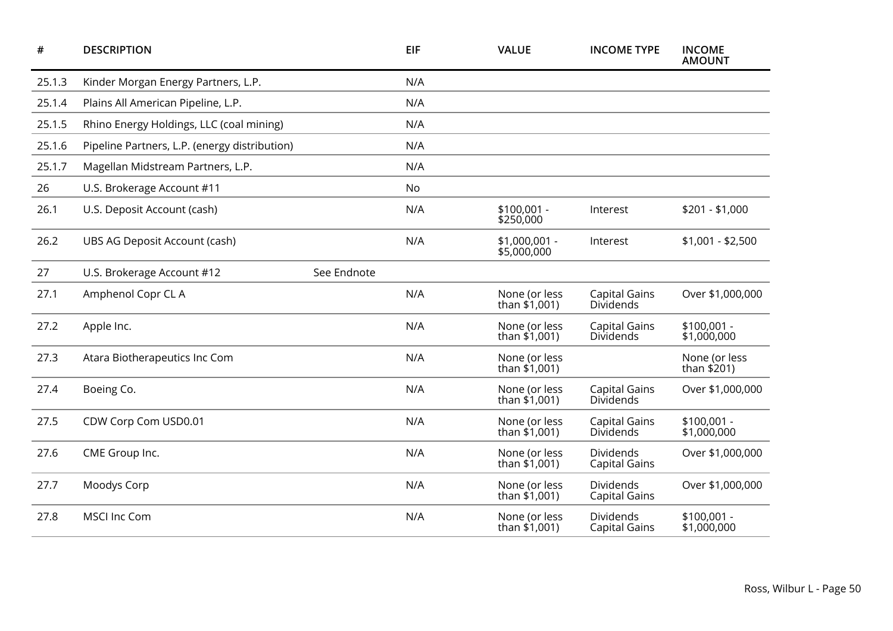| #      | <b>DESCRIPTION</b>                            |             | <b>EIF</b> | <b>VALUE</b>                     | <b>INCOME TYPE</b>                       | <b>INCOME</b><br><b>AMOUNT</b> |
|--------|-----------------------------------------------|-------------|------------|----------------------------------|------------------------------------------|--------------------------------|
| 25.1.3 | Kinder Morgan Energy Partners, L.P.           |             | N/A        |                                  |                                          |                                |
| 25.1.4 | Plains All American Pipeline, L.P.            |             | N/A        |                                  |                                          |                                |
| 25.1.5 | Rhino Energy Holdings, LLC (coal mining)      |             | N/A        |                                  |                                          |                                |
| 25.1.6 | Pipeline Partners, L.P. (energy distribution) |             | N/A        |                                  |                                          |                                |
| 25.1.7 | Magellan Midstream Partners, L.P.             |             | N/A        |                                  |                                          |                                |
| 26     | U.S. Brokerage Account #11                    |             | No         |                                  |                                          |                                |
| 26.1   | U.S. Deposit Account (cash)                   |             | N/A        | $$100,001 -$<br>\$250,000        | Interest                                 | $$201 - $1,000$                |
| 26.2   | UBS AG Deposit Account (cash)                 |             | N/A        | \$1,000,001 -<br>\$5,000,000     | Interest                                 | $$1,001 - $2,500$              |
| 27     | U.S. Brokerage Account #12                    | See Endnote |            |                                  |                                          |                                |
| 27.1   | Amphenol Copr CL A                            |             | N/A        | None (or less<br>than $$1,001$ ) | <b>Capital Gains</b><br><b>Dividends</b> | Over \$1,000,000               |
| 27.2   | Apple Inc.                                    |             | N/A        | None (or less<br>than $$1,001$ ) | <b>Capital Gains</b><br>Dividends        | $$100,001 -$<br>\$1,000,000    |
| 27.3   | Atara Biotherapeutics Inc Com                 |             | N/A        | None (or less<br>than $$1,001$ ) |                                          | None (or less<br>than $$201$ ) |
| 27.4   | Boeing Co.                                    |             | N/A        | None (or less<br>than $$1,001$ ) | <b>Capital Gains</b><br>Dividends        | Over \$1,000,000               |
| 27.5   | CDW Corp Com USD0.01                          |             | N/A        | None (or less<br>than $$1,001$ ) | <b>Capital Gains</b><br>Dividends        | $$100,001 -$<br>\$1,000,000    |
| 27.6   | CME Group Inc.                                |             | N/A        | None (or less<br>than \$1,001)   | <b>Dividends</b><br><b>Capital Gains</b> | Over \$1,000,000               |
| 27.7   | Moodys Corp                                   |             | N/A        | None (or less<br>than $$1,001$ ) | Dividends<br>Capital Gains               | Over \$1,000,000               |
| 27.8   | <b>MSCI Inc Com</b>                           |             | N/A        | None (or less<br>than \$1,001)   | Dividends<br><b>Capital Gains</b>        | $$100,001 -$<br>\$1,000,000    |
|        |                                               |             |            |                                  |                                          |                                |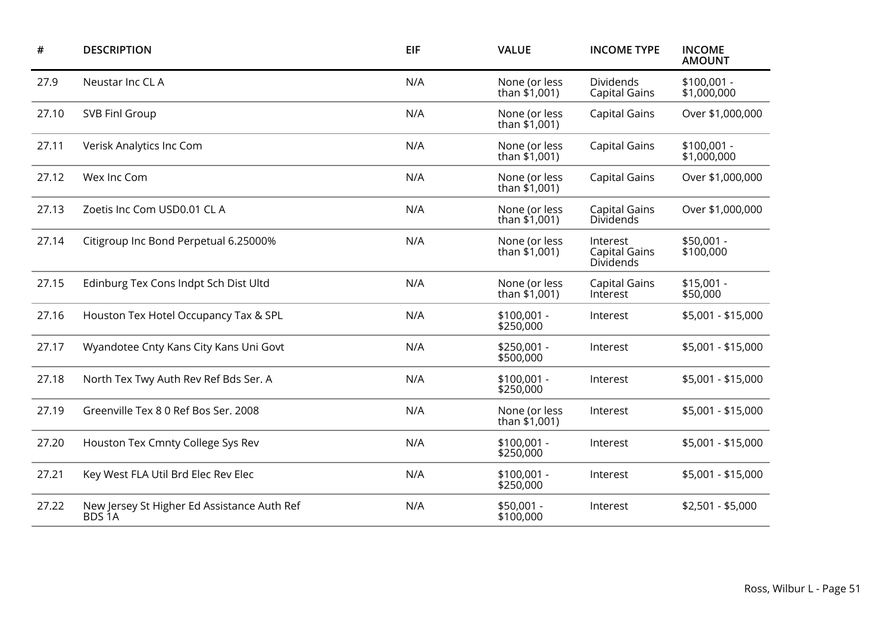| #     | <b>DESCRIPTION</b>                                                | <b>EIF</b> | <b>VALUE</b>                     | <b>INCOME TYPE</b>                            | <b>INCOME</b><br><b>AMOUNT</b> |
|-------|-------------------------------------------------------------------|------------|----------------------------------|-----------------------------------------------|--------------------------------|
| 27.9  | Neustar Inc CL A                                                  | N/A        | None (or less<br>than \$1,001)   | Dividends<br><b>Capital Gains</b>             | \$100,001 -<br>\$1,000,000     |
| 27.10 | SVB Finl Group                                                    | N/A        | None (or less<br>than \$1,001)   | <b>Capital Gains</b>                          | Over \$1,000,000               |
| 27.11 | Verisk Analytics Inc Com                                          | N/A        | None (or less<br>than $$1,001$ ) | <b>Capital Gains</b>                          | $$100,001 -$<br>\$1,000,000    |
| 27.12 | Wex Inc Com                                                       | N/A        | None (or less<br>than $$1,001$ ) | <b>Capital Gains</b>                          | Over \$1,000,000               |
| 27.13 | Zoetis Inc Com USD0.01 CL A                                       | N/A        | None (or less<br>than $$1,001$ ) | <b>Capital Gains</b><br>Dividends             | Over \$1,000,000               |
| 27.14 | Citigroup Inc Bond Perpetual 6.25000%                             | N/A        | None (or less<br>than \$1,001)   | Interest<br><b>Capital Gains</b><br>Dividends | \$50,001 -<br>\$100,000        |
| 27.15 | Edinburg Tex Cons Indpt Sch Dist Ultd                             | N/A        | None (or less<br>than \$1,001)   | <b>Capital Gains</b><br>Interest              | $$15,001 -$<br>\$50,000        |
| 27.16 | Houston Tex Hotel Occupancy Tax & SPL                             | N/A        | $$100,001 -$<br>\$250,000        | Interest                                      | \$5,001 - \$15,000             |
| 27.17 | Wyandotee Cnty Kans City Kans Uni Govt                            | N/A        | \$250,001 -<br>\$500,000         | Interest                                      | \$5,001 - \$15,000             |
| 27.18 | North Tex Twy Auth Rev Ref Bds Ser. A                             | N/A        | $$100,001 -$<br>\$250,000        | Interest                                      | \$5,001 - \$15,000             |
| 27.19 | Greenville Tex 8 0 Ref Bos Ser. 2008                              | N/A        | None (or less<br>than \$1,001)   | Interest                                      | \$5,001 - \$15,000             |
| 27.20 | Houston Tex Cmnty College Sys Rev                                 | N/A        | $$100,001 -$<br>\$250,000        | Interest                                      | \$5,001 - \$15,000             |
| 27.21 | Key West FLA Util Brd Elec Rev Elec                               | N/A        | $$100,001 -$<br>\$250,000        | Interest                                      | \$5,001 - \$15,000             |
| 27.22 | New Jersey St Higher Ed Assistance Auth Ref<br>BDS <sub>1</sub> A | N/A        | $$50,001 -$<br>\$100,000         | Interest                                      | $$2,501 - $5,000$              |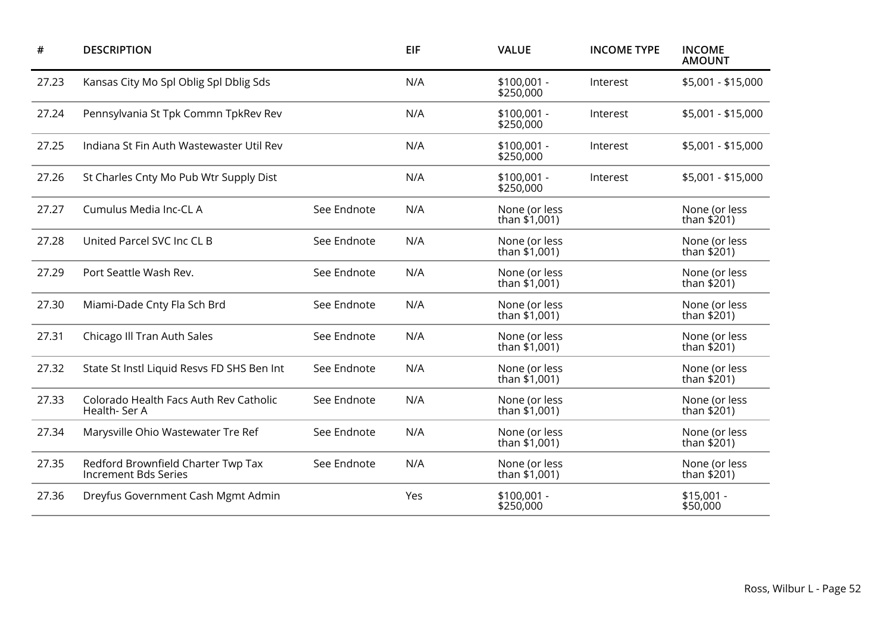| #     | <b>DESCRIPTION</b>                                                |             | <b>EIF</b> | <b>VALUE</b>                   | <b>INCOME TYPE</b> | <b>INCOME</b><br><b>AMOUNT</b> |
|-------|-------------------------------------------------------------------|-------------|------------|--------------------------------|--------------------|--------------------------------|
| 27.23 | Kansas City Mo Spl Oblig Spl Dblig Sds                            |             | N/A        | $$100,001 -$<br>\$250,000      | Interest           | \$5,001 - \$15,000             |
| 27.24 | Pennsylvania St Tpk Commn TpkRev Rev                              |             | N/A        | $$100,001 -$<br>\$250,000      | Interest           | \$5,001 - \$15,000             |
| 27.25 | Indiana St Fin Auth Wastewaster Util Rev                          |             | N/A        | $$100,001 -$<br>\$250,000      | Interest           | \$5,001 - \$15,000             |
| 27.26 | St Charles Cnty Mo Pub Wtr Supply Dist                            |             | N/A        | $$100,001 -$<br>\$250,000      | Interest           | \$5,001 - \$15,000             |
| 27.27 | Cumulus Media Inc-CL A                                            | See Endnote | N/A        | None (or less<br>than \$1,001) |                    | None (or less<br>than \$201)   |
| 27.28 | United Parcel SVC Inc CL B                                        | See Endnote | N/A        | None (or less<br>than \$1,001) |                    | None (or less<br>than \$201)   |
| 27.29 | Port Seattle Wash Rev.                                            | See Endnote | N/A        | None (or less<br>than \$1,001) |                    | None (or less<br>than \$201)   |
| 27.30 | Miami-Dade Cnty Fla Sch Brd                                       | See Endnote | N/A        | None (or less<br>than \$1,001) |                    | None (or less<br>than \$201)   |
| 27.31 | Chicago Ill Tran Auth Sales                                       | See Endnote | N/A        | None (or less<br>than \$1,001) |                    | None (or less<br>than \$201)   |
| 27.32 | State St Instl Liquid Resvs FD SHS Ben Int                        | See Endnote | N/A        | None (or less<br>than \$1,001) |                    | None (or less<br>than \$201)   |
| 27.33 | Colorado Health Facs Auth Rev Catholic<br>Health-Ser A            | See Endnote | N/A        | None (or less<br>than \$1,001) |                    | None (or less<br>than \$201)   |
| 27.34 | Marysville Ohio Wastewater Tre Ref                                | See Endnote | N/A        | None (or less<br>than \$1,001) |                    | None (or less<br>than \$201)   |
| 27.35 | Redford Brownfield Charter Twp Tax<br><b>Increment Bds Series</b> | See Endnote | N/A        | None (or less<br>than \$1,001) |                    | None (or less<br>than \$201)   |
| 27.36 | Dreyfus Government Cash Mgmt Admin                                |             | Yes        | $$100,001 -$<br>\$250,000      |                    | $$15,001 -$<br>\$50,000        |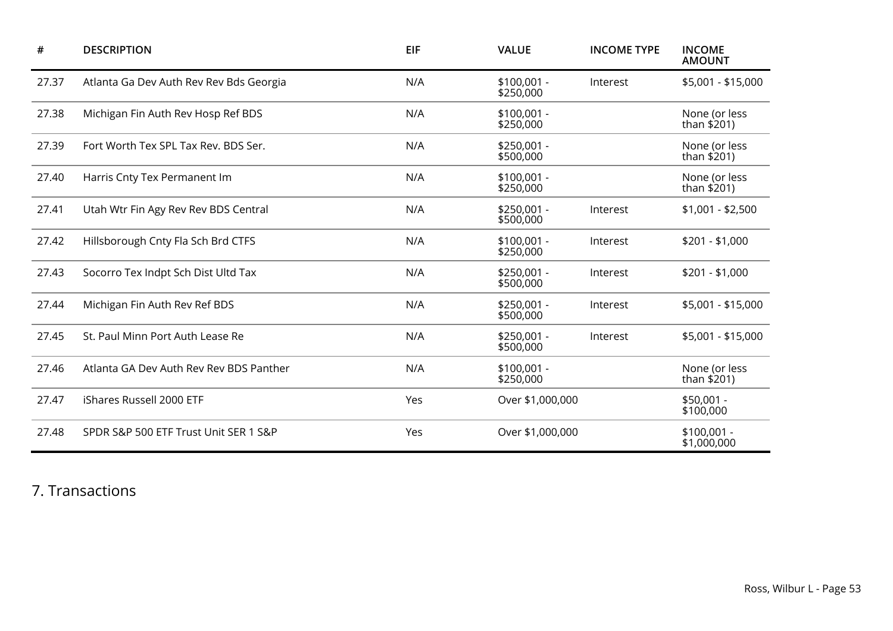| #     | <b>DESCRIPTION</b>                      | <b>EIF</b> | <b>VALUE</b>              | <b>INCOME TYPE</b> | <b>INCOME</b><br><b>AMOUNT</b> |
|-------|-----------------------------------------|------------|---------------------------|--------------------|--------------------------------|
| 27.37 | Atlanta Ga Dev Auth Rev Rev Bds Georgia | N/A        | $$100,001 -$<br>\$250,000 | Interest           | \$5,001 - \$15,000             |
| 27.38 | Michigan Fin Auth Rev Hosp Ref BDS      | N/A        | $$100,001 -$<br>\$250,000 |                    | None (or less<br>than $$201)$  |
| 27.39 | Fort Worth Tex SPL Tax Rev. BDS Ser.    | N/A        | $$250,001 -$<br>\$500,000 |                    | None (or less<br>than \$201)   |
| 27.40 | Harris Cnty Tex Permanent Im            | N/A        | $$100,001 -$<br>\$250,000 |                    | None (or less<br>than \$201)   |
| 27.41 | Utah Wtr Fin Agy Rev Rev BDS Central    | N/A        | $$250,001 -$<br>\$500,000 | Interest           | $$1,001 - $2,500$              |
| 27.42 | Hillsborough Cnty Fla Sch Brd CTFS      | N/A        | $$100,001 -$<br>\$250,000 | Interest           | $$201 - $1,000$                |
| 27.43 | Socorro Tex Indpt Sch Dist Ultd Tax     | N/A        | $$250,001 -$<br>\$500,000 | Interest           | $$201 - $1,000$                |
| 27.44 | Michigan Fin Auth Rev Ref BDS           | N/A        | $$250,001 -$<br>\$500,000 | Interest           | \$5,001 - \$15,000             |
| 27.45 | St. Paul Minn Port Auth Lease Re        | N/A        | $$250,001 -$<br>\$500,000 | Interest           | \$5,001 - \$15,000             |
| 27.46 | Atlanta GA Dev Auth Rev Rev BDS Panther | N/A        | $$100,001 -$<br>\$250,000 |                    | None (or less<br>than \$201)   |
| 27.47 | iShares Russell 2000 ETF                | Yes        | Over \$1,000,000          |                    | $$50,001 -$<br>\$100,000       |
| 27.48 | SPDR S&P 500 ETF Trust Unit SER 1 S&P   | Yes        | Over \$1,000,000          |                    | $$100,001 -$<br>\$1,000,000    |

7. Transactions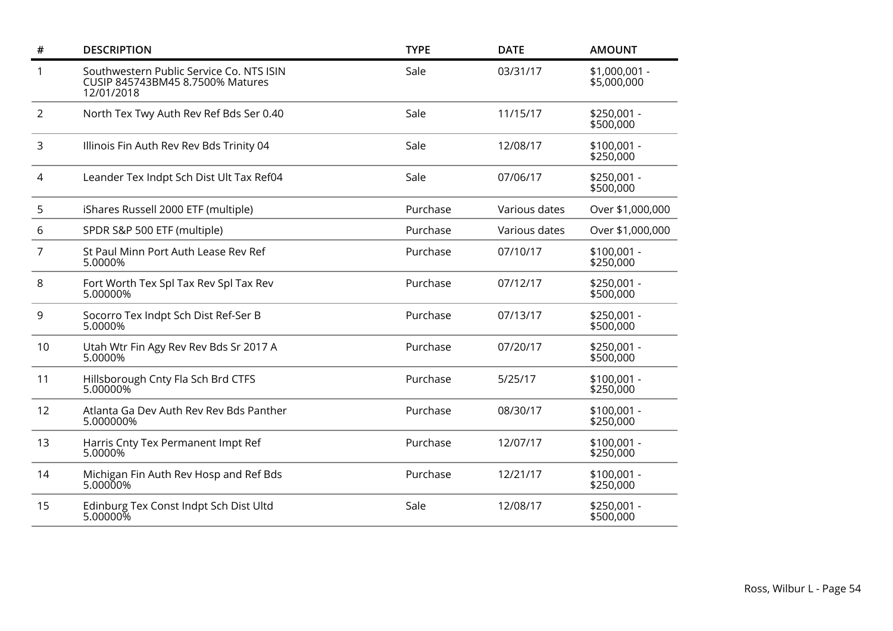| $\#$           | <b>DESCRIPTION</b>                                                                         | <b>TYPE</b> | <b>DATE</b>   | <b>AMOUNT</b>                |
|----------------|--------------------------------------------------------------------------------------------|-------------|---------------|------------------------------|
| 1              | Southwestern Public Service Co. NTS ISIN<br>CUSIP 845743BM45 8.7500% Matures<br>12/01/2018 | Sale        | 03/31/17      | \$1,000,001 -<br>\$5,000,000 |
| $\overline{2}$ | North Tex Twy Auth Rev Ref Bds Ser 0.40                                                    | Sale        | 11/15/17      | \$250,001 -<br>\$500,000     |
| 3              | Illinois Fin Auth Rev Rev Bds Trinity 04                                                   | Sale        | 12/08/17      | $$100,001 -$<br>\$250,000    |
| 4              | Leander Tex Indpt Sch Dist Ult Tax Ref04                                                   | Sale        | 07/06/17      | \$250,001 -<br>\$500,000     |
| 5              | iShares Russell 2000 ETF (multiple)                                                        | Purchase    | Various dates | Over \$1,000,000             |
| 6              | SPDR S&P 500 ETF (multiple)                                                                | Purchase    | Various dates | Over \$1,000,000             |
| 7              | St Paul Minn Port Auth Lease Rev Ref<br>5.0000%                                            | Purchase    | 07/10/17      | $$100,001 -$<br>\$250,000    |
| 8              | Fort Worth Tex Spl Tax Rev Spl Tax Rev<br>5.00000%                                         | Purchase    | 07/12/17      | \$250,001 -<br>\$500,000     |
| 9              | Socorro Tex Indpt Sch Dist Ref-Ser B<br>5.0000%                                            | Purchase    | 07/13/17      | \$250,001 -<br>\$500,000     |
| 10             | Utah Wtr Fin Agy Rev Rev Bds Sr 2017 A<br>5.0000%                                          | Purchase    | 07/20/17      | \$250,001 -<br>\$500,000     |
| 11             | Hillsborough Cnty Fla Sch Brd CTFS<br>5.00000%                                             | Purchase    | 5/25/17       | $$100,001 -$<br>\$250,000    |
| 12             | Atlanta Ga Dev Auth Rev Rev Bds Panther<br>5.000000%                                       | Purchase    | 08/30/17      | \$100,001 -<br>\$250,000     |
| 13             | Harris Cnty Tex Permanent Impt Ref<br>5.0000%                                              | Purchase    | 12/07/17      | $$100,001 -$<br>\$250,000    |
| 14             | Michigan Fin Auth Rev Hosp and Ref Bds<br>5.00000%                                         | Purchase    | 12/21/17      | $$100,001 -$<br>\$250,000    |
| 15             | Edinburg Tex Const Indpt Sch Dist Ultd<br>$5.00000\%$                                      | Sale        | 12/08/17      | \$250,001 -<br>\$500,000     |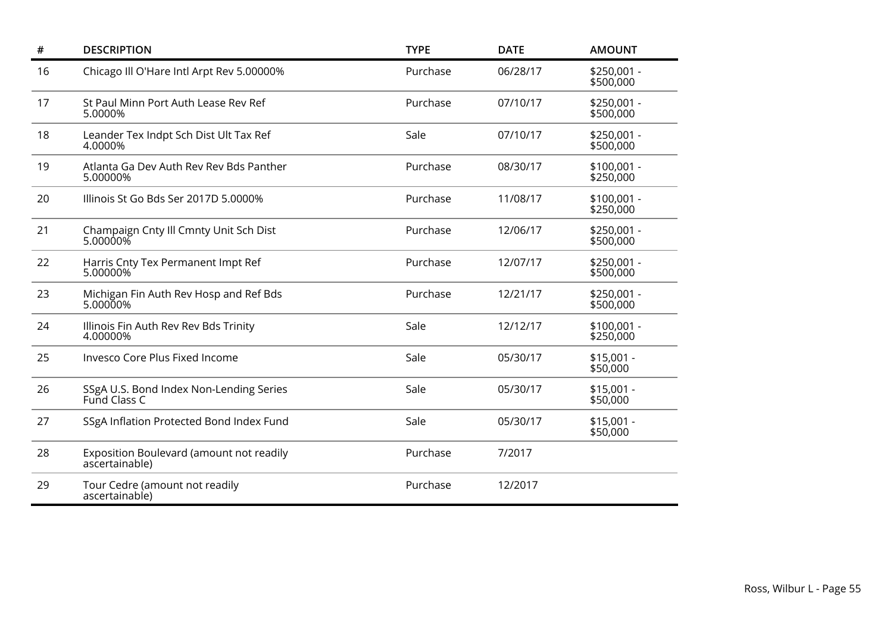| $\#$ | <b>DESCRIPTION</b>                                         | <b>TYPE</b> | <b>DATE</b> | <b>AMOUNT</b>             |
|------|------------------------------------------------------------|-------------|-------------|---------------------------|
| 16   | Chicago III O'Hare Intl Arpt Rev 5.00000%                  | Purchase    | 06/28/17    | $$250,001 -$<br>\$500,000 |
| 17   | St Paul Minn Port Auth Lease Rev Ref<br>5.0000%            | Purchase    | 07/10/17    | \$250,001 -<br>\$500,000  |
| 18   | Leander Tex Indpt Sch Dist Ult Tax Ref<br>4.0000%          | Sale        | 07/10/17    | \$250,001 -<br>\$500,000  |
| 19   | Atlanta Ga Dev Auth Rev Rev Bds Panther<br>5.00000%        | Purchase    | 08/30/17    | $$100,001 -$<br>\$250,000 |
| 20   | Illinois St Go Bds Ser 2017D 5.0000%                       | Purchase    | 11/08/17    | $$100,001 -$<br>\$250,000 |
| 21   | Champaign Cnty Ill Cmnty Unit Sch Dist<br>5.00000%         | Purchase    | 12/06/17    | \$250,001 -<br>\$500,000  |
| 22   | Harris Cnty Tex Permanent Impt Ref<br>5.00000%             | Purchase    | 12/07/17    | \$250,001 -<br>\$500,000  |
| 23   | Michigan Fin Auth Rev Hosp and Ref Bds<br>5.00000%         | Purchase    | 12/21/17    | \$250,001 -<br>\$500,000  |
| 24   | Illinois Fin Auth Rev Rev Bds Trinity<br>4.00000%          | Sale        | 12/12/17    | $$100,001 -$<br>\$250,000 |
| 25   | Invesco Core Plus Fixed Income                             | Sale        | 05/30/17    | $$15,001 -$<br>\$50,000   |
| 26   | SSgA U.S. Bond Index Non-Lending Series<br>Fund Class C    | Sale        | 05/30/17    | $$15,001 -$<br>\$50,000   |
| 27   | SSgA Inflation Protected Bond Index Fund                   | Sale        | 05/30/17    | $$15,001 -$<br>\$50,000   |
| 28   | Exposition Boulevard (amount not readily<br>ascertainable) | Purchase    | 7/2017      |                           |
| 29   | Tour Cedre (amount not readily<br>ascertainable)           | Purchase    | 12/2017     |                           |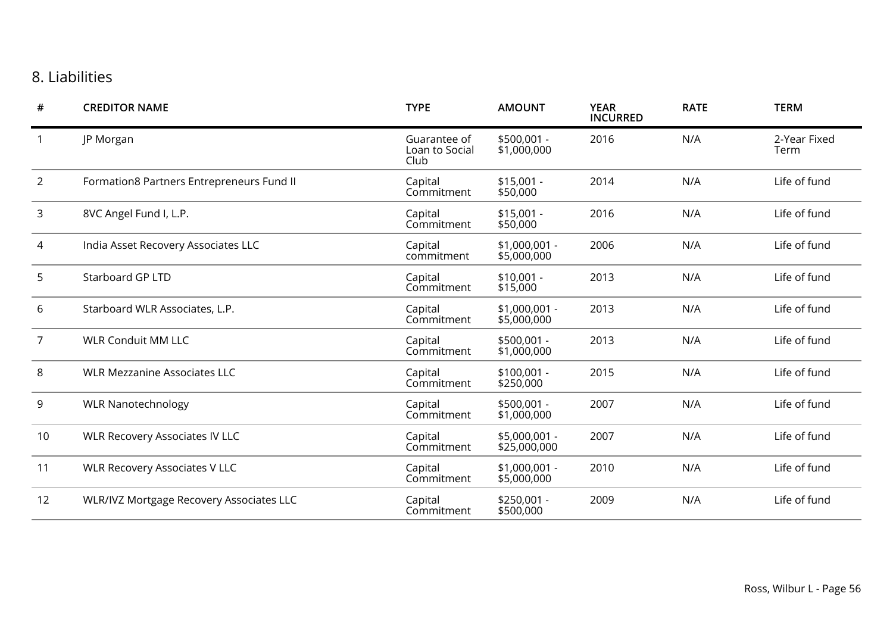## 8. Liabilities

| #              | <b>CREDITOR NAME</b>                            | <b>TYPE</b>                            | <b>AMOUNT</b>                 | <b>YEAR</b><br><b>INCURRED</b> | <b>RATE</b> | <b>TERM</b>          |
|----------------|-------------------------------------------------|----------------------------------------|-------------------------------|--------------------------------|-------------|----------------------|
|                | JP Morgan                                       | Guarantee of<br>Loan to Social<br>Club | $$500,001 -$<br>\$1,000,000   | 2016                           | N/A         | 2-Year Fixed<br>Term |
| $\overline{2}$ | Formation8 Partners Entrepreneurs Fund II       | Capital<br>Commitment                  | $$15,001 -$<br>\$50,000       | 2014                           | N/A         | Life of fund         |
| 3              | 8VC Angel Fund I, L.P.                          | Capital<br>Commitment                  | $$15,001 -$<br>\$50,000       | 2016                           | N/A         | Life of fund         |
| 4              | India Asset Recovery Associates LLC             | Capital<br>commitment                  | \$1,000,001 -<br>\$5,000,000  | 2006                           | N/A         | Life of fund         |
| 5              | Starboard GP LTD                                | Capital<br>Commitment                  | $$10,001 -$<br>\$15,000       | 2013                           | N/A         | Life of fund         |
| 6              | Starboard WLR Associates, L.P.                  | Capital<br>Commitment                  | \$1,000,001 -<br>\$5,000,000  | 2013                           | N/A         | Life of fund         |
| $\overline{7}$ | <b>WLR Conduit MM LLC</b>                       | Capital<br>Commitment                  | \$500,001 -<br>\$1,000,000    | 2013                           | N/A         | Life of fund         |
| 8              | <b>WLR Mezzanine Associates LLC</b>             | Capital<br>Commitment                  | \$100,001 -<br>\$250,000      | 2015                           | N/A         | Life of fund         |
| 9              | <b>WLR Nanotechnology</b>                       | Capital<br>Commitment                  | \$500,001 -<br>\$1,000,000    | 2007                           | N/A         | Life of fund         |
| 10             | <b>WLR Recovery Associates IV LLC</b>           | Capital<br>Commitment                  | \$5,000,001 -<br>\$25,000,000 | 2007                           | N/A         | Life of fund         |
| 11             | <b>WLR Recovery Associates V LLC</b>            | Capital<br>Commitment                  | $$1,000,001$ -<br>\$5,000,000 | 2010                           | N/A         | Life of fund         |
| 12             | <b>WLR/IVZ Mortgage Recovery Associates LLC</b> | Capital<br>Commitment                  | \$250,001 -<br>\$500,000      | 2009                           | N/A         | Life of fund         |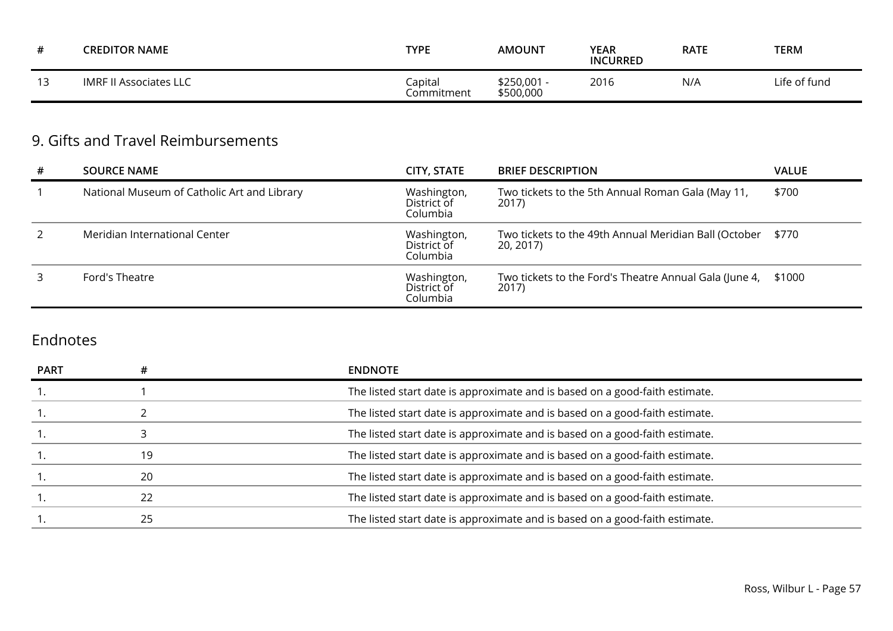|               | <b>CREDITOR NAME</b>   | <b>TYPE</b>           | <b>AMOUNT</b>          | <b>YEAR</b><br><b>INCURRED</b> | <b>RATE</b> | <b>TERM</b>  |
|---------------|------------------------|-----------------------|------------------------|--------------------------------|-------------|--------------|
| $\sim$<br>. . | IMRF II Associates LLC | Iapital<br>Commitment | \$250,001<br>\$500,000 | 2016                           | N/A         | Life of fund |

## 9. Gifts and Travel Reimbursements

| #             | <b>SOURCE NAME</b>                          | CITY, STATE                            | <b>BRIEF DESCRIPTION</b>                                           | <b>VALUE</b> |
|---------------|---------------------------------------------|----------------------------------------|--------------------------------------------------------------------|--------------|
|               | National Museum of Catholic Art and Library | Washington,<br>District of<br>Columbia | Two tickets to the 5th Annual Roman Gala (May 11,<br>2017)         | \$700        |
| $\mathcal{L}$ | Meridian International Center               | Washington,<br>District of<br>Columbia | Two tickets to the 49th Annual Meridian Ball (October<br>20, 2017) | \$770        |
| 3             | Ford's Theatre                              | Washington,<br>District of<br>Columbia | Two tickets to the Ford's Theatre Annual Gala (June 4,<br>2017)    | \$1000       |

## Endnotes

| <b>PART</b> |    | <b>ENDNOTE</b>                                                              |
|-------------|----|-----------------------------------------------------------------------------|
|             |    | The listed start date is approximate and is based on a good-faith estimate. |
|             |    | The listed start date is approximate and is based on a good-faith estimate. |
|             |    | The listed start date is approximate and is based on a good-faith estimate. |
|             | 19 | The listed start date is approximate and is based on a good-faith estimate. |
|             | 20 | The listed start date is approximate and is based on a good-faith estimate. |
|             | 22 | The listed start date is approximate and is based on a good-faith estimate. |
|             | 25 | The listed start date is approximate and is based on a good-faith estimate. |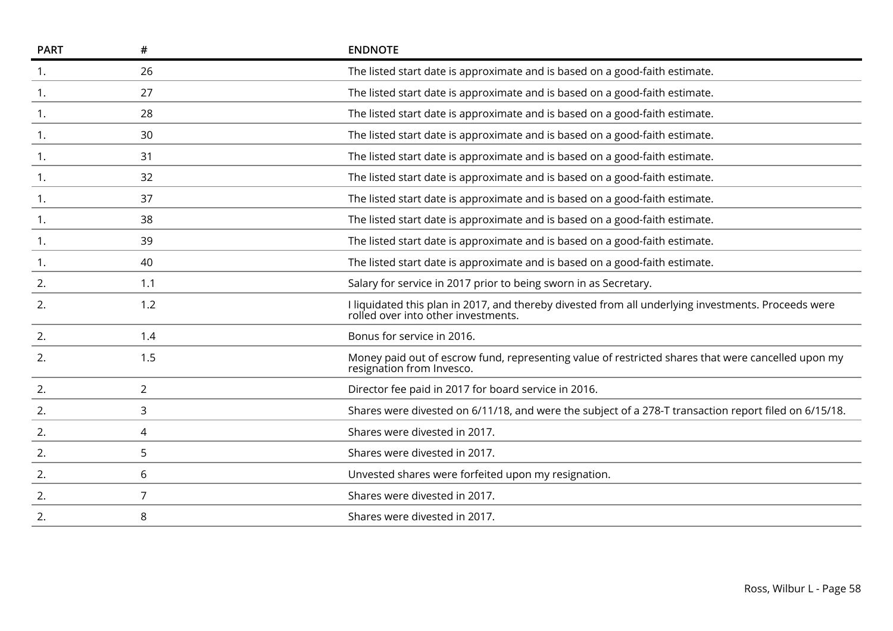| <b>PART</b> | #              | <b>ENDNOTE</b>                                                                                                                             |
|-------------|----------------|--------------------------------------------------------------------------------------------------------------------------------------------|
| 1.          | 26             | The listed start date is approximate and is based on a good-faith estimate.                                                                |
| 1.          | 27             | The listed start date is approximate and is based on a good-faith estimate.                                                                |
| 1.          | 28             | The listed start date is approximate and is based on a good-faith estimate.                                                                |
| 1.          | 30             | The listed start date is approximate and is based on a good-faith estimate.                                                                |
| 1.          | 31             | The listed start date is approximate and is based on a good-faith estimate.                                                                |
| 1.          | 32             | The listed start date is approximate and is based on a good-faith estimate.                                                                |
| 1.          | 37             | The listed start date is approximate and is based on a good-faith estimate.                                                                |
| 1.          | 38             | The listed start date is approximate and is based on a good-faith estimate.                                                                |
| 1.          | 39             | The listed start date is approximate and is based on a good-faith estimate.                                                                |
| 1.          | 40             | The listed start date is approximate and is based on a good-faith estimate.                                                                |
| 2.          | 1.1            | Salary for service in 2017 prior to being sworn in as Secretary.                                                                           |
| 2.          | 1.2            | I liquidated this plan in 2017, and thereby divested from all underlying investments. Proceeds were<br>rolled over into other investments. |
| 2.          | 1.4            | Bonus for service in 2016.                                                                                                                 |
| 2.          | 1.5            | Money paid out of escrow fund, representing value of restricted shares that were cancelled upon my<br>resignation from Invesco.            |
| 2.          | $\overline{2}$ | Director fee paid in 2017 for board service in 2016.                                                                                       |
| 2.          | 3              | Shares were divested on 6/11/18, and were the subject of a 278-T transaction report filed on 6/15/18.                                      |
| 2.          | 4              | Shares were divested in 2017.                                                                                                              |
| 2.          | 5              | Shares were divested in 2017.                                                                                                              |
| 2.          | 6              | Unvested shares were forfeited upon my resignation.                                                                                        |
| 2.          | $\overline{7}$ | Shares were divested in 2017.                                                                                                              |
| 2.          | 8              | Shares were divested in 2017.                                                                                                              |
|             |                |                                                                                                                                            |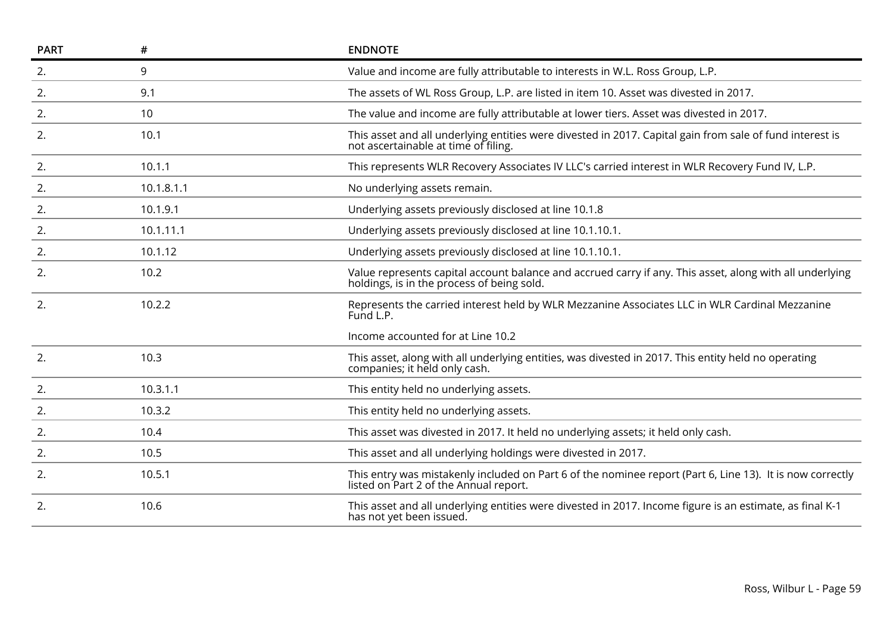| <b>PART</b> | #          | <b>ENDNOTE</b>                                                                                                                                         |
|-------------|------------|--------------------------------------------------------------------------------------------------------------------------------------------------------|
| 2.          | 9          | Value and income are fully attributable to interests in W.L. Ross Group, L.P.                                                                          |
| 2.          | 9.1        | The assets of WL Ross Group, L.P. are listed in item 10. Asset was divested in 2017.                                                                   |
| 2.          | 10         | The value and income are fully attributable at lower tiers. Asset was divested in 2017.                                                                |
| 2.          | 10.1       | This asset and all underlying entities were divested in 2017. Capital gain from sale of fund interest is<br>not ascertainable at time of filing.       |
| 2.          | 10.1.1     | This represents WLR Recovery Associates IV LLC's carried interest in WLR Recovery Fund IV, L.P.                                                        |
| 2.          | 10.1.8.1.1 | No underlying assets remain.                                                                                                                           |
| 2.          | 10.1.9.1   | Underlying assets previously disclosed at line 10.1.8                                                                                                  |
| 2.          | 10.1.11.1  | Underlying assets previously disclosed at line 10.1.10.1.                                                                                              |
| 2.          | 10.1.12    | Underlying assets previously disclosed at line 10.1.10.1.                                                                                              |
| 2.          | 10.2       | Value represents capital account balance and accrued carry if any. This asset, along with all underlying<br>holdings, is in the process of being sold. |
| 2.          | 10.2.2     | Represents the carried interest held by WLR Mezzanine Associates LLC in WLR Cardinal Mezzanine<br>Fund L.P.                                            |
|             |            | Income accounted for at Line 10.2                                                                                                                      |
| 2.          | 10.3       | This asset, along with all underlying entities, was divested in 2017. This entity held no operating<br>companies; it held only cash.                   |
| 2.          | 10.3.1.1   | This entity held no underlying assets.                                                                                                                 |
| 2.          | 10.3.2     | This entity held no underlying assets.                                                                                                                 |
| 2.          | 10.4       | This asset was divested in 2017. It held no underlying assets; it held only cash.                                                                      |
| 2.          | 10.5       | This asset and all underlying holdings were divested in 2017.                                                                                          |
| 2.          | 10.5.1     | This entry was mistakenly included on Part 6 of the nominee report (Part 6, Line 13). It is now correctly<br>listed on Part 2 of the Annual report.    |
| 2.          | 10.6       | This asset and all underlying entities were divested in 2017. Income figure is an estimate, as final K-1<br>has not yet been issued.                   |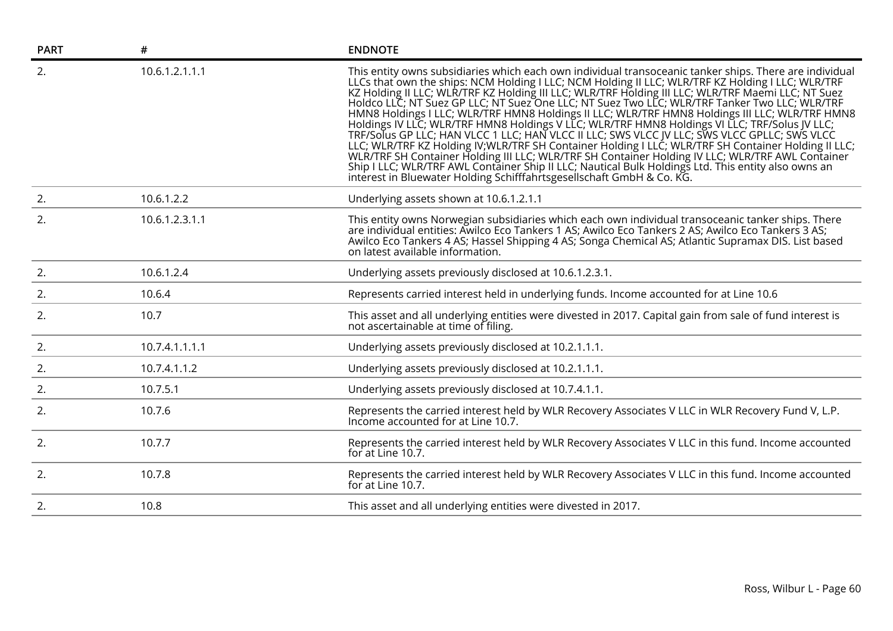| <b>PART</b> | #              | <b>ENDNOTE</b>                                                                                                                                                                                                                                                                                                                                                                                                                                                                                                                                                                                                                                                                                                                                                                                                                                                                                                                                                                                                                                                                                                                       |
|-------------|----------------|--------------------------------------------------------------------------------------------------------------------------------------------------------------------------------------------------------------------------------------------------------------------------------------------------------------------------------------------------------------------------------------------------------------------------------------------------------------------------------------------------------------------------------------------------------------------------------------------------------------------------------------------------------------------------------------------------------------------------------------------------------------------------------------------------------------------------------------------------------------------------------------------------------------------------------------------------------------------------------------------------------------------------------------------------------------------------------------------------------------------------------------|
| 2.          | 10.6.1.2.1.1.1 | This entity owns subsidiaries which each own individual transoceanic tanker ships. There are individual<br>LLCs that own the ships: NCM Holding I LLC; NCM Holding II LLC; WLR/TRF KZ Holding I LLC; WLR/TRF<br>KZ Holding II LLC; WLR/TRF KZ Holding III LLC; WLR/TRF Holding III LLC; WLR/TRF Maemi LLC; NT Suez<br>Holdco LLC; NT Suez GP LLC; NT Suez One LLC; NT Suez Two LLC; WLR/TRF Tanker Two LLC; WLR/TRF<br>HMN8 Holdings I LLC; WLR/TRF HMN8 Holdings II LLC; WLR/TRF HMN8 Holdings III LLC; WLR/TRF HMN8<br>Holdings IV LLC; WLR/TRF HMN8 Holdings V LLC; WLR/TRF HMN8 Holdings VI LLC; TRF/Solus JV LLC; TRF/Solus JV LLC;<br>TRF/Solus GP LLC; HAN VLCC 1 LLC; HAN VLCC II LLC; SWS VLCC JV LLC; SWS VLCC GPLLC; SWS VLCC<br>LLC; WLR/TRF KZ Holding IV; WLR/TRF SH Container Holding I LLC; WLR/TRF SH Container Holding II LLC;<br>WLR/TRF SH Container Holding III LLC; WLR/TRF SH Container Holding IV LLC; WLR/TRF AWL Container<br>Ship I LLC; WLR/TRF AWL Container Ship II LLC; Nautical Bulk Holdings Ltd. This entity also owns an<br>interest in Bluewater Holding Schifffahrtsgesellschaft GmbH & Co. KG. |
| 2.          | 10.6.1.2.2     | Underlying assets shown at 10.6.1.2.1.1                                                                                                                                                                                                                                                                                                                                                                                                                                                                                                                                                                                                                                                                                                                                                                                                                                                                                                                                                                                                                                                                                              |
| 2.          | 10.6.1.2.3.1.1 | This entity owns Norwegian subsidiaries which each own individual transoceanic tanker ships. There<br>are individual entities: Awilco Eco Tankers 1 AS; Awilco Eco Tankers 2 AS; Awilco Eco Tankers 3 AS;<br>Awilco Eco Tankers 4 AS; Hassel Shipping 4 AS; Songa Chemical AS; Atlantic Supramax DIS. List based<br>on latest available information.                                                                                                                                                                                                                                                                                                                                                                                                                                                                                                                                                                                                                                                                                                                                                                                 |
| 2.          | 10.6.1.2.4     | Underlying assets previously disclosed at 10.6.1.2.3.1.                                                                                                                                                                                                                                                                                                                                                                                                                                                                                                                                                                                                                                                                                                                                                                                                                                                                                                                                                                                                                                                                              |
| 2.          | 10.6.4         | Represents carried interest held in underlying funds. Income accounted for at Line 10.6                                                                                                                                                                                                                                                                                                                                                                                                                                                                                                                                                                                                                                                                                                                                                                                                                                                                                                                                                                                                                                              |
| 2.          | 10.7           | This asset and all underlying entities were divested in 2017. Capital gain from sale of fund interest is<br>not ascertainable at time of filing.                                                                                                                                                                                                                                                                                                                                                                                                                                                                                                                                                                                                                                                                                                                                                                                                                                                                                                                                                                                     |
| 2.          | 10.7.4.1.1.1.1 | Underlying assets previously disclosed at 10.2.1.1.1.                                                                                                                                                                                                                                                                                                                                                                                                                                                                                                                                                                                                                                                                                                                                                                                                                                                                                                                                                                                                                                                                                |
| 2.          | 10.7.4.1.1.2   | Underlying assets previously disclosed at 10.2.1.1.1.                                                                                                                                                                                                                                                                                                                                                                                                                                                                                                                                                                                                                                                                                                                                                                                                                                                                                                                                                                                                                                                                                |
| 2.          | 10.7.5.1       | Underlying assets previously disclosed at 10.7.4.1.1.                                                                                                                                                                                                                                                                                                                                                                                                                                                                                                                                                                                                                                                                                                                                                                                                                                                                                                                                                                                                                                                                                |
| 2.          | 10.7.6         | Represents the carried interest held by WLR Recovery Associates V LLC in WLR Recovery Fund V, L.P.<br>Income accounted for at Line 10.7.                                                                                                                                                                                                                                                                                                                                                                                                                                                                                                                                                                                                                                                                                                                                                                                                                                                                                                                                                                                             |
| 2.          | 10.7.7         | Represents the carried interest held by WLR Recovery Associates V LLC in this fund. Income accounted<br>for at Line 10.7.                                                                                                                                                                                                                                                                                                                                                                                                                                                                                                                                                                                                                                                                                                                                                                                                                                                                                                                                                                                                            |
| 2.          | 10.7.8         | Represents the carried interest held by WLR Recovery Associates V LLC in this fund. Income accounted<br>for at Line 10.7.                                                                                                                                                                                                                                                                                                                                                                                                                                                                                                                                                                                                                                                                                                                                                                                                                                                                                                                                                                                                            |
| 2.          | 10.8           | This asset and all underlying entities were divested in 2017.                                                                                                                                                                                                                                                                                                                                                                                                                                                                                                                                                                                                                                                                                                                                                                                                                                                                                                                                                                                                                                                                        |
|             |                |                                                                                                                                                                                                                                                                                                                                                                                                                                                                                                                                                                                                                                                                                                                                                                                                                                                                                                                                                                                                                                                                                                                                      |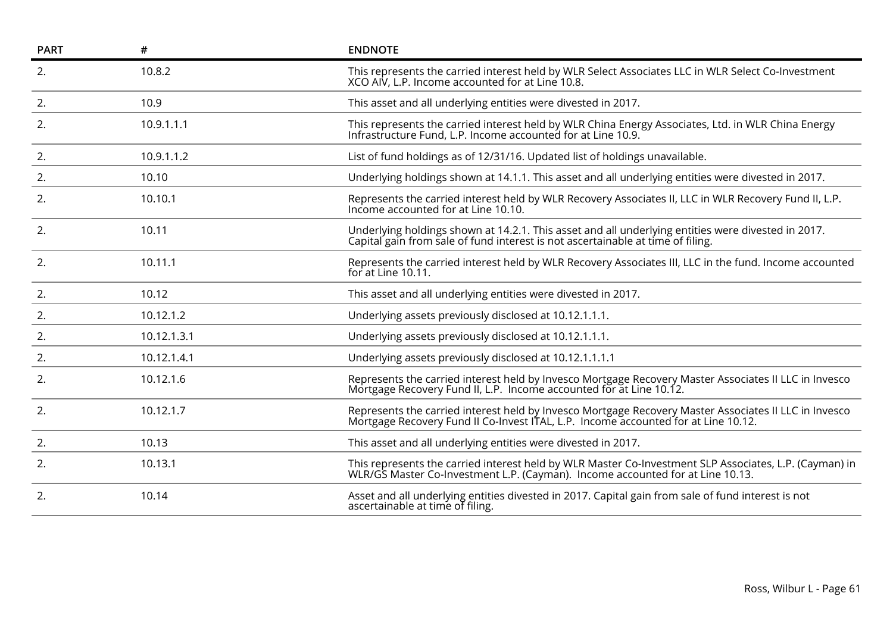| <b>PART</b> | #           | <b>ENDNOTE</b>                                                                                                                                                                              |
|-------------|-------------|---------------------------------------------------------------------------------------------------------------------------------------------------------------------------------------------|
| 2.          | 10.8.2      | This represents the carried interest held by WLR Select Associates LLC in WLR Select Co-Investment<br>XCO AIV, L.P. Income accounted for at Line 10.8.                                      |
| 2.          | 10.9        | This asset and all underlying entities were divested in 2017.                                                                                                                               |
| 2.          | 10.9.1.1.1  | This represents the carried interest held by WLR China Energy Associates, Ltd. in WLR China Energy<br>Infrastructure Fund, L.P. Income accounted for at Line 10.9.                          |
| 2.          | 10.9.1.1.2  | List of fund holdings as of 12/31/16. Updated list of holdings unavailable.                                                                                                                 |
| 2.          | 10.10       | Underlying holdings shown at 14.1.1. This asset and all underlying entities were divested in 2017.                                                                                          |
| 2.          | 10.10.1     | Represents the carried interest held by WLR Recovery Associates II, LLC in WLR Recovery Fund II, L.P.<br>Income accounted for at Line 10.10.                                                |
| 2.          | 10.11       | Underlying holdings shown at 14.2.1. This asset and all underlying entities were divested in 2017.<br>Capital gain from sale of fund interest is not ascertainable at time of filing.       |
| 2.          | 10.11.1     | Represents the carried interest held by WLR Recovery Associates III, LLC in the fund. Income accounted<br>for at Line 10.11.                                                                |
| 2.          | 10.12       | This asset and all underlying entities were divested in 2017.                                                                                                                               |
| 2.          | 10.12.1.2   | Underlying assets previously disclosed at 10.12.1.1.1.                                                                                                                                      |
| 2.          | 10.12.1.3.1 | Underlying assets previously disclosed at 10.12.1.1.1.                                                                                                                                      |
| 2.          | 10.12.1.4.1 | Underlying assets previously disclosed at 10.12.1.1.1.1                                                                                                                                     |
| 2.          | 10.12.1.6   | Represents the carried interest held by Invesco Mortgage Recovery Master Associates II LLC in Invesco<br>Mortgage Recovery Fund II, L.P. Income accounted for at Line 10.12.                |
| 2.          | 10.12.1.7   | Represents the carried interest held by Invesco Mortgage Recovery Master Associates II LLC in Invesco<br>Mortgage Recovery Fund II Co-Invest ITAL, L.P. Income accounted for at Line 10.12. |
| 2.          | 10.13       | This asset and all underlying entities were divested in 2017.                                                                                                                               |
| 2.          | 10.13.1     | This represents the carried interest held by WLR Master Co-Investment SLP Associates, L.P. (Cayman) in<br>WLR/GS Master Co-Investment L.P. (Cayman). Income accounted for at Line 10.13.    |
| 2.          | 10.14       | Asset and all underlying entities divested in 2017. Capital gain from sale of fund interest is not<br>ascertainable at time of filing.                                                      |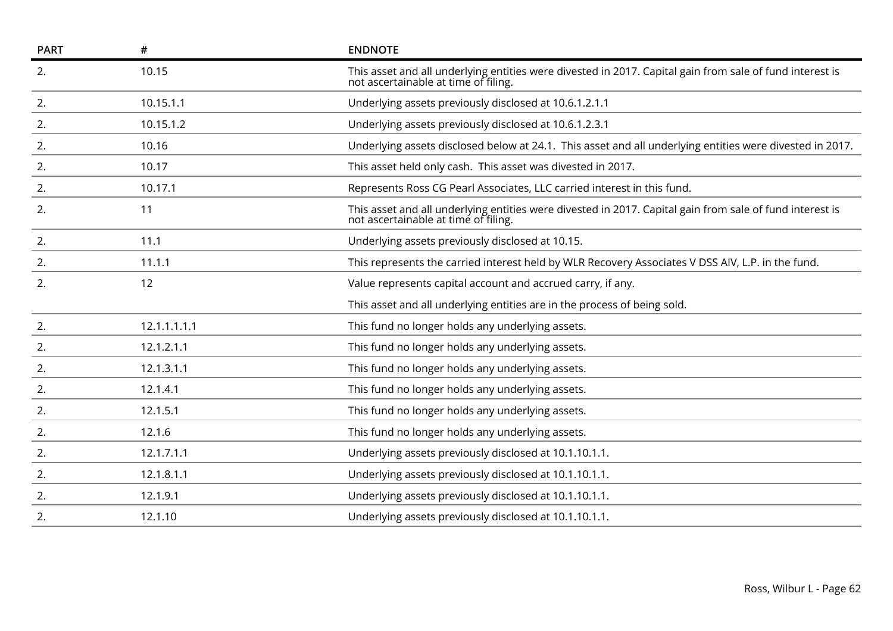| #            | <b>ENDNOTE</b>                                                                                                                                   |
|--------------|--------------------------------------------------------------------------------------------------------------------------------------------------|
| 10.15        | This asset and all underlying entities were divested in 2017. Capital gain from sale of fund interest is<br>not ascertainable at time of filing. |
| 10.15.1.1    | Underlying assets previously disclosed at 10.6.1.2.1.1                                                                                           |
| 10.15.1.2    | Underlying assets previously disclosed at 10.6.1.2.3.1                                                                                           |
| 10.16        | Underlying assets disclosed below at 24.1. This asset and all underlying entities were divested in 2017.                                         |
| 10.17        | This asset held only cash. This asset was divested in 2017.                                                                                      |
| 10.17.1      | Represents Ross CG Pearl Associates, LLC carried interest in this fund.                                                                          |
| 11           | This asset and all underlying entities were divested in 2017. Capital gain from sale of fund interest is<br>not ascertainable at time of filing. |
| 11.1         | Underlying assets previously disclosed at 10.15.                                                                                                 |
| 11.1.1       | This represents the carried interest held by WLR Recovery Associates V DSS AIV, L.P. in the fund.                                                |
| 12           | Value represents capital account and accrued carry, if any.                                                                                      |
|              | This asset and all underlying entities are in the process of being sold.                                                                         |
| 12.1.1.1.1.1 | This fund no longer holds any underlying assets.                                                                                                 |
| 12.1.2.1.1   | This fund no longer holds any underlying assets.                                                                                                 |
| 12.1.3.1.1   | This fund no longer holds any underlying assets.                                                                                                 |
| 12.1.4.1     | This fund no longer holds any underlying assets.                                                                                                 |
| 12.1.5.1     | This fund no longer holds any underlying assets.                                                                                                 |
| 12.1.6       | This fund no longer holds any underlying assets.                                                                                                 |
| 12.1.7.1.1   | Underlying assets previously disclosed at 10.1.10.1.1.                                                                                           |
| 12.1.8.1.1   | Underlying assets previously disclosed at 10.1.10.1.1.                                                                                           |
| 12.1.9.1     | Underlying assets previously disclosed at 10.1.10.1.1.                                                                                           |
| 12.1.10      | Underlying assets previously disclosed at 10.1.10.1.1.                                                                                           |
|              |                                                                                                                                                  |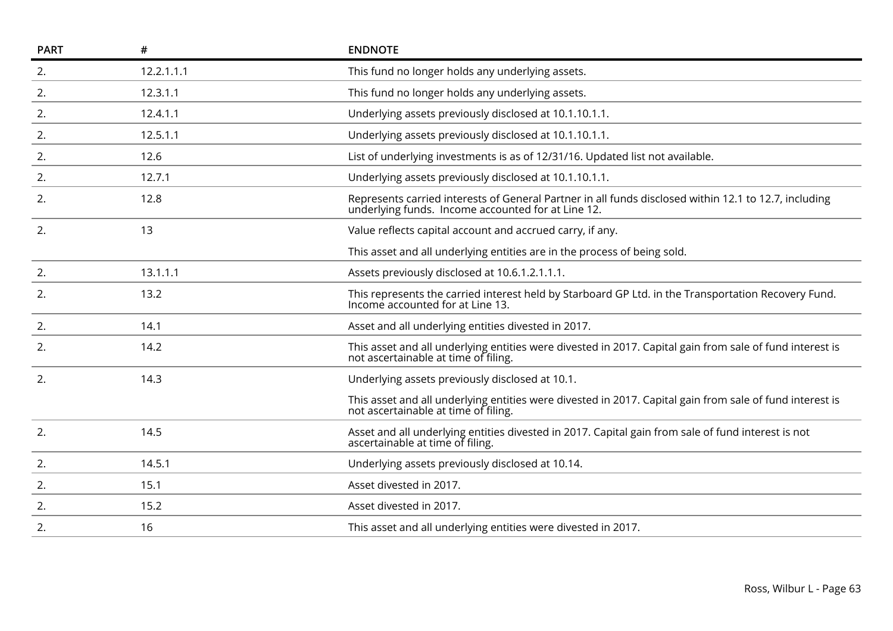| <b>PART</b> | #          | <b>ENDNOTE</b>                                                                                                                                              |
|-------------|------------|-------------------------------------------------------------------------------------------------------------------------------------------------------------|
| 2.          | 12.2.1.1.1 | This fund no longer holds any underlying assets.                                                                                                            |
| 2.          | 12.3.1.1   | This fund no longer holds any underlying assets.                                                                                                            |
| 2.          | 12.4.1.1   | Underlying assets previously disclosed at 10.1.10.1.1.                                                                                                      |
| 2.          | 12.5.1.1   | Underlying assets previously disclosed at 10.1.10.1.1.                                                                                                      |
| 2.          | 12.6       | List of underlying investments is as of 12/31/16. Updated list not available.                                                                               |
| 2.          | 12.7.1     | Underlying assets previously disclosed at 10.1.10.1.1.                                                                                                      |
| 2.          | 12.8       | Represents carried interests of General Partner in all funds disclosed within 12.1 to 12.7, including<br>underlying funds. Income accounted for at Line 12. |
| 2.          | 13         | Value reflects capital account and accrued carry, if any.                                                                                                   |
|             |            | This asset and all underlying entities are in the process of being sold.                                                                                    |
| 2.          | 13.1.1.1   | Assets previously disclosed at 10.6.1.2.1.1.1.                                                                                                              |
| 2.          | 13.2       | This represents the carried interest held by Starboard GP Ltd. in the Transportation Recovery Fund.<br>Income accounted for at Line 13.                     |
| 2.          | 14.1       | Asset and all underlying entities divested in 2017.                                                                                                         |
| 2.          | 14.2       | This asset and all underlying entities were divested in 2017. Capital gain from sale of fund interest is<br>not ascertainable at time of filing.            |
| 2.          | 14.3       | Underlying assets previously disclosed at 10.1.                                                                                                             |
|             |            | This asset and all underlying entities were divested in 2017. Capital gain from sale of fund interest is<br>not ascertainable at time of filing.            |
| 2.          | 14.5       | Asset and all underlying entities divested in 2017. Capital gain from sale of fund interest is not<br>ascertainable at time of filing.                      |
| 2.          | 14.5.1     | Underlying assets previously disclosed at 10.14.                                                                                                            |
| 2.          | 15.1       | Asset divested in 2017.                                                                                                                                     |
| 2.          | 15.2       | Asset divested in 2017.                                                                                                                                     |
| 2.          | 16         | This asset and all underlying entities were divested in 2017.                                                                                               |
|             |            |                                                                                                                                                             |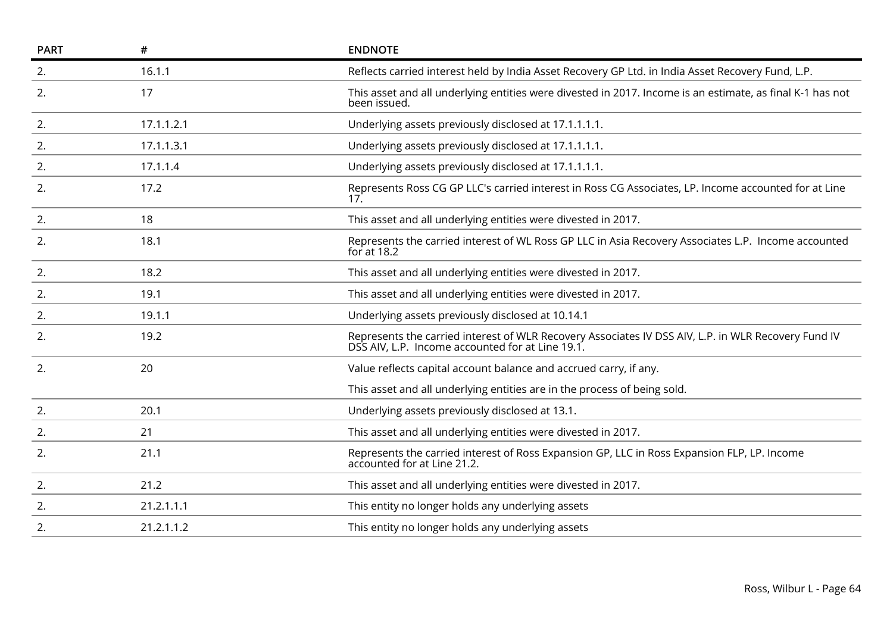| <b>PART</b> | #          | <b>ENDNOTE</b>                                                                                                                                          |
|-------------|------------|---------------------------------------------------------------------------------------------------------------------------------------------------------|
| 2.          | 16.1.1     | Reflects carried interest held by India Asset Recovery GP Ltd. in India Asset Recovery Fund, L.P.                                                       |
| 2.          | 17         | This asset and all underlying entities were divested in 2017. Income is an estimate, as final K-1 has not<br>been issued.                               |
| 2.          | 17.1.1.2.1 | Underlying assets previously disclosed at 17.1.1.1.1.                                                                                                   |
| 2.          | 17.1.1.3.1 | Underlying assets previously disclosed at 17.1.1.1.1.                                                                                                   |
| 2.          | 17.1.1.4   | Underlying assets previously disclosed at 17.1.1.1.1.                                                                                                   |
| 2.          | 17.2       | Represents Ross CG GP LLC's carried interest in Ross CG Associates, LP. Income accounted for at Line<br>17                                              |
| 2.          | 18         | This asset and all underlying entities were divested in 2017.                                                                                           |
| 2.          | 18.1       | Represents the carried interest of WL Ross GP LLC in Asia Recovery Associates L.P. Income accounted<br>for at $18.2$                                    |
| 2.          | 18.2       | This asset and all underlying entities were divested in 2017.                                                                                           |
| 2.          | 19.1       | This asset and all underlying entities were divested in 2017.                                                                                           |
| 2.          | 19.1.1     | Underlying assets previously disclosed at 10.14.1                                                                                                       |
| 2.          | 19.2       | Represents the carried interest of WLR Recovery Associates IV DSS AIV, L.P. in WLR Recovery Fund IV<br>DSS AIV, L.P. Income accounted for at Line 19.1. |
| 2.          | 20         | Value reflects capital account balance and accrued carry, if any.                                                                                       |
|             |            | This asset and all underlying entities are in the process of being sold.                                                                                |
| 2.          | 20.1       | Underlying assets previously disclosed at 13.1.                                                                                                         |
| 2.          | 21         | This asset and all underlying entities were divested in 2017.                                                                                           |
| 2.          | 21.1       | Represents the carried interest of Ross Expansion GP, LLC in Ross Expansion FLP, LP. Income accounted for at Line 21.2.                                 |
| 2.          | 21.2       | This asset and all underlying entities were divested in 2017.                                                                                           |
| 2.          | 21.2.1.1.1 | This entity no longer holds any underlying assets                                                                                                       |
| 2.          | 21.2.1.1.2 | This entity no longer holds any underlying assets                                                                                                       |
|             |            |                                                                                                                                                         |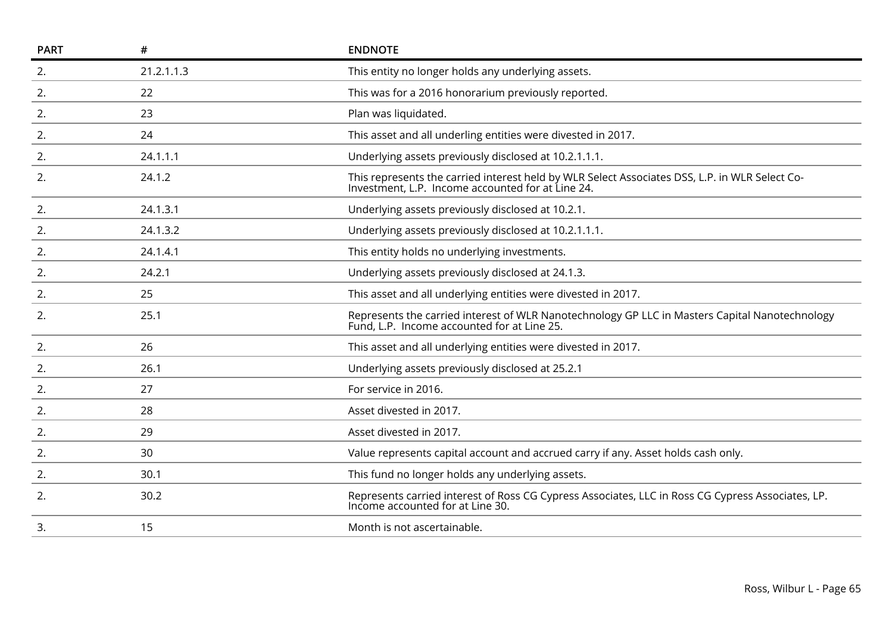| <b>PART</b> | #          | <b>ENDNOTE</b>                                                                                                                                      |
|-------------|------------|-----------------------------------------------------------------------------------------------------------------------------------------------------|
| 2.          | 21.2.1.1.3 | This entity no longer holds any underlying assets.                                                                                                  |
| 2.          | 22         | This was for a 2016 honorarium previously reported.                                                                                                 |
| 2.          | 23         | Plan was liquidated.                                                                                                                                |
| 2.          | 24         | This asset and all underling entities were divested in 2017.                                                                                        |
| 2.          | 24.1.1.1   | Underlying assets previously disclosed at 10.2.1.1.1.                                                                                               |
| 2.          | 24.1.2     | This represents the carried interest held by WLR Select Associates DSS, L.P. in WLR Select Co-<br>Investment, L.P. Income accounted for at Line 24. |
| 2.          | 24.1.3.1   | Underlying assets previously disclosed at 10.2.1.                                                                                                   |
| 2.          | 24.1.3.2   | Underlying assets previously disclosed at 10.2.1.1.1.                                                                                               |
| 2.          | 24.1.4.1   | This entity holds no underlying investments.                                                                                                        |
| 2.          | 24.2.1     | Underlying assets previously disclosed at 24.1.3.                                                                                                   |
| 2.          | 25         | This asset and all underlying entities were divested in 2017.                                                                                       |
| 2.          | 25.1       | Represents the carried interest of WLR Nanotechnology GP LLC in Masters Capital Nanotechnology Fund, L.P. Income accounted for at Line 25.          |
| 2.          | 26         | This asset and all underlying entities were divested in 2017.                                                                                       |
| 2.          | 26.1       | Underlying assets previously disclosed at 25.2.1                                                                                                    |
| 2.          | 27         | For service in 2016.                                                                                                                                |
| 2.          | 28         | Asset divested in 2017.                                                                                                                             |
| 2.          | 29         | Asset divested in 2017.                                                                                                                             |
| 2.          | 30         | Value represents capital account and accrued carry if any. Asset holds cash only.                                                                   |
| 2.          | 30.1       | This fund no longer holds any underlying assets.                                                                                                    |
| 2.          | 30.2       | Represents carried interest of Ross CG Cypress Associates, LLC in Ross CG Cypress Associates, LP.<br>Income accounted for at Line 30.               |
| 3.          | 15         | Month is not ascertainable.                                                                                                                         |
|             |            |                                                                                                                                                     |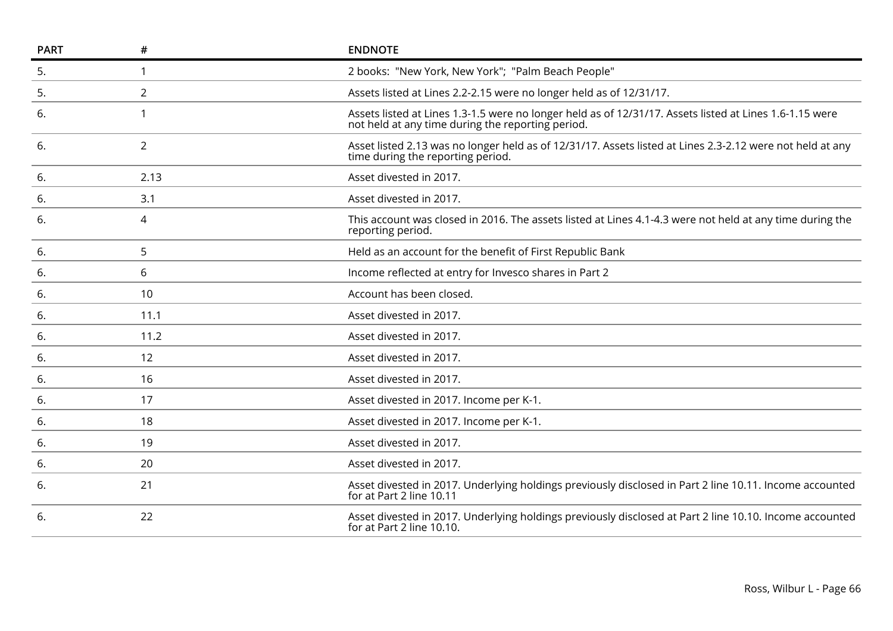| <b>PART</b> | #              | <b>ENDNOTE</b>                                                                                                                                               |
|-------------|----------------|--------------------------------------------------------------------------------------------------------------------------------------------------------------|
| 5.          | 1              | 2 books: "New York, New York"; "Palm Beach People"                                                                                                           |
| 5.          | $\overline{2}$ | Assets listed at Lines 2.2-2.15 were no longer held as of 12/31/17.                                                                                          |
| 6.          | 1              | Assets listed at Lines 1.3-1.5 were no longer held as of 12/31/17. Assets listed at Lines 1.6-1.15 were<br>not held at any time during the reporting period. |
| 6.          | $\overline{2}$ | Asset listed 2.13 was no longer held as of 12/31/17. Assets listed at Lines 2.3-2.12 were not held at any<br>time during the reporting period.               |
| 6.          | 2.13           | Asset divested in 2017.                                                                                                                                      |
| 6.          | 3.1            | Asset divested in 2017.                                                                                                                                      |
| 6.          | 4              | This account was closed in 2016. The assets listed at Lines 4.1-4.3 were not held at any time during the<br>reporting period.                                |
| 6.          | 5              | Held as an account for the benefit of First Republic Bank                                                                                                    |
| 6.          | 6              | Income reflected at entry for Invesco shares in Part 2                                                                                                       |
| 6.          | 10             | Account has been closed.                                                                                                                                     |
| 6.          | 11.1           | Asset divested in 2017.                                                                                                                                      |
| 6.          | 11.2           | Asset divested in 2017.                                                                                                                                      |
| 6.          | 12             | Asset divested in 2017.                                                                                                                                      |
| 6.          | 16             | Asset divested in 2017.                                                                                                                                      |
| 6.          | 17             | Asset divested in 2017. Income per K-1.                                                                                                                      |
| 6.          | 18             | Asset divested in 2017. Income per K-1.                                                                                                                      |
| 6.          | 19             | Asset divested in 2017.                                                                                                                                      |
| 6.          | 20             | Asset divested in 2017.                                                                                                                                      |
| 6.          | 21             | Asset divested in 2017. Underlying holdings previously disclosed in Part 2 line 10.11. Income accounted<br>for at Part 2 line 10.11                          |
| 6.          | 22             | Asset divested in 2017. Underlying holdings previously disclosed at Part 2 line 10.10. Income accounted<br>for at Part 2 line 10.10.                         |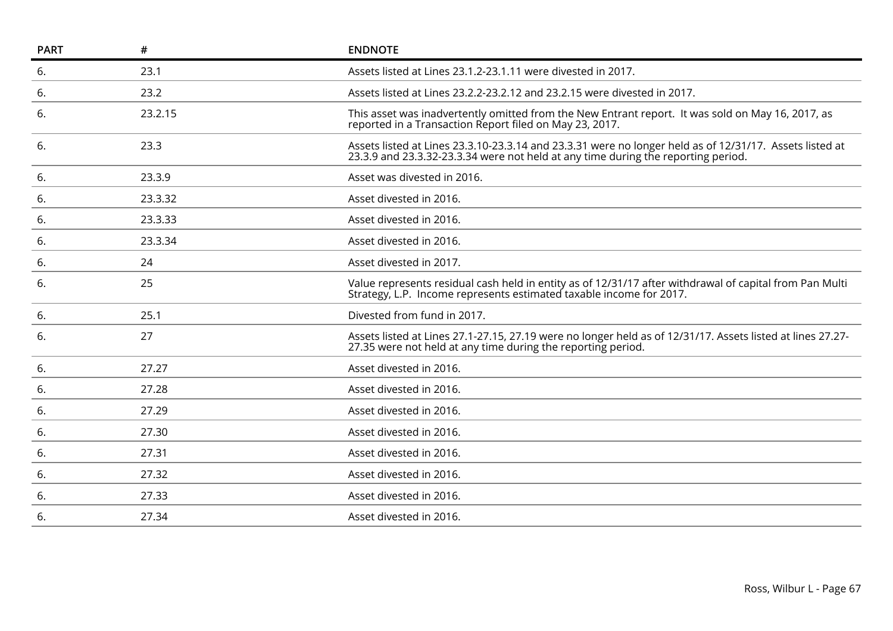|         | <b>ENDNOTE</b>                                                                                                                                                                               |
|---------|----------------------------------------------------------------------------------------------------------------------------------------------------------------------------------------------|
| 23.1    | Assets listed at Lines 23.1.2-23.1.11 were divested in 2017.                                                                                                                                 |
| 23.2    | Assets listed at Lines 23.2.2-23.2.12 and 23.2.15 were divested in 2017.                                                                                                                     |
| 23.2.15 | This asset was inadvertently omitted from the New Entrant report. It was sold on May 16, 2017, as<br>reported in a Transaction Report filed on May 23, 2017.                                 |
| 23.3    | Assets listed at Lines 23.3.10-23.3.14 and 23.3.31 were no longer held as of 12/31/17. Assets listed at<br>23.3.9 and 23.3.32-23.3.34 were not held at any time during the reporting period. |
| 23.3.9  | Asset was divested in 2016.                                                                                                                                                                  |
| 23.3.32 | Asset divested in 2016.                                                                                                                                                                      |
| 23.3.33 | Asset divested in 2016.                                                                                                                                                                      |
| 23.3.34 | Asset divested in 2016.                                                                                                                                                                      |
| 24      | Asset divested in 2017.                                                                                                                                                                      |
| 25      | Value represents residual cash held in entity as of 12/31/17 after withdrawal of capital from Pan Multi<br>Strategy, L.P. Income represents estimated taxable income for 2017.               |
| 25.1    | Divested from fund in 2017.                                                                                                                                                                  |
| 27      | Assets listed at Lines 27.1-27.15, 27.19 were no longer held as of 12/31/17. Assets listed at lines 27.27-<br>27.35 were not held at any time during the reporting period.                   |
| 27.27   | Asset divested in 2016.                                                                                                                                                                      |
| 27.28   | Asset divested in 2016.                                                                                                                                                                      |
| 27.29   | Asset divested in 2016.                                                                                                                                                                      |
| 27.30   | Asset divested in 2016.                                                                                                                                                                      |
| 27.31   | Asset divested in 2016.                                                                                                                                                                      |
| 27.32   | Asset divested in 2016.                                                                                                                                                                      |
| 27.33   | Asset divested in 2016.                                                                                                                                                                      |
| 27.34   | Asset divested in 2016.                                                                                                                                                                      |
|         |                                                                                                                                                                                              |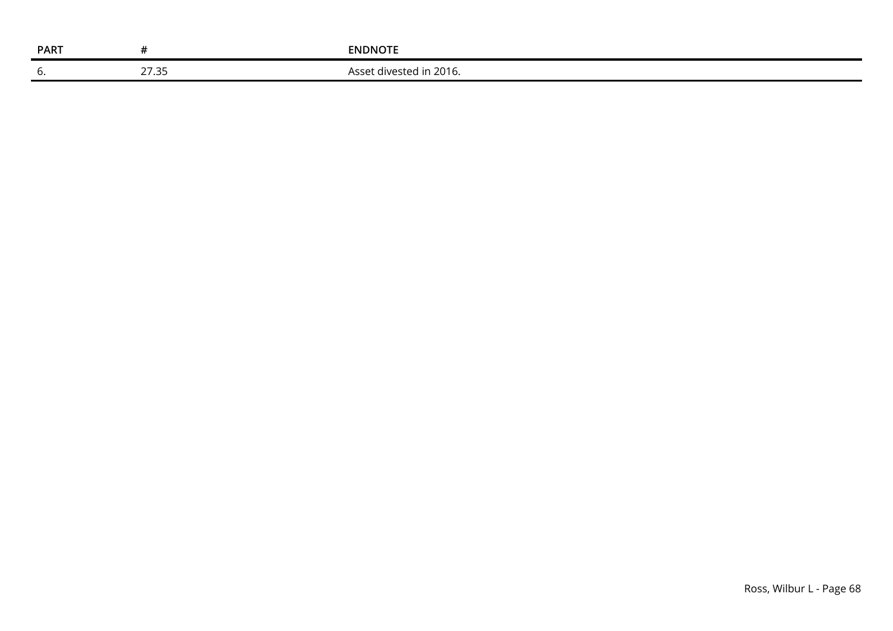| <b>PART</b> |                  | <b>ENDNOTE</b>                       |
|-------------|------------------|--------------------------------------|
| v.          | 27.25<br>دد. ا ے | .ا u in 2016.<br>Asset divested in 1 |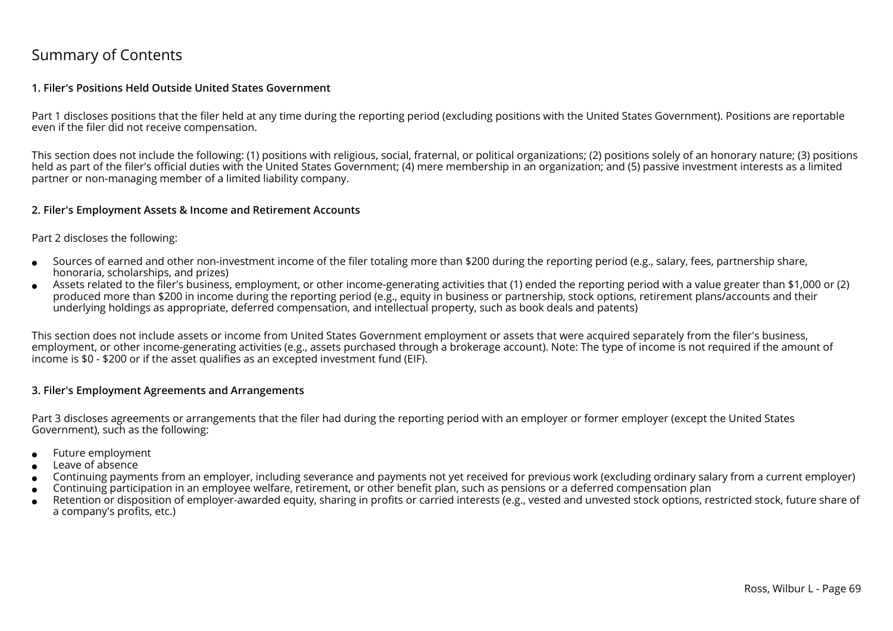## Summary of Contents

### **1. Filer's Positions Held Outside United States Government**

Part 1 discloses positions that the filer held at any time during the reporting period (excluding positions with the United States Government). Positions are reportableeven if the filer did not receive compensation.

This section does not include the following: (1) positions with religious, social, fraternal, or political organizations; (2) positions solely of an honorary nature; (3) positionsheld as part of the filer's official duties with the United States Government; (4) mere membership in an organization; and (5) passive investment interests as a limitedpartner or non-managing member of a limited liability company.

### **2. Filer's Employment Assets & Income and Retirement Accounts**

#### Part 2 discloses the following:

- ●Sources of earned and other non-investment income of the filer totaling more than \$200 during the reporting period (e.g., salary, fees, partnership share,honoraria, scholarships, and prizes)
- ● Assets related to the filer's business, employment, or other income-generating activities that (1) ended the reporting period with a value greater than \$1,000 or (2)produced more than \$200 in income during the reporting period (e.g., equity in business or partnership, stock options, retirement plans/accounts and theirunderlying holdings as appropriate, deferred compensation, and intellectual property, such as book deals and patents)

This section does not include assets or income from United States Government employment or assets that were acquired separately from the filer's business, employment, or other income-generating activities (e.g., assets purchased through a brokerage account). Note: The type of income is not required if the amount ofincome is \$0 - \$200 or if the asset qualifies as an excepted investment fund (EIF).

### **3. Filer's Employment Agreements and Arrangements**

Part 3 discloses agreements or arrangements that the filer had during the reporting period with an employer or former employer (except the United StatesGovernment), such as the following:

- ●Future employment
- ●Leave of absence
- ●Continuing payments from an employer, including severance and payments not yet received for previous work (excluding ordinary salary from a current employer)
- ●Continuing participation in an employee welfare, retirement, or other benefit plan, such as pensions or a deferred compensation plan
- ● Retention or disposition of employer-awarded equity, sharing in profits or carried interests (e.g., vested and unvested stock options, restricted stock, future share ofa company's profits, etc.)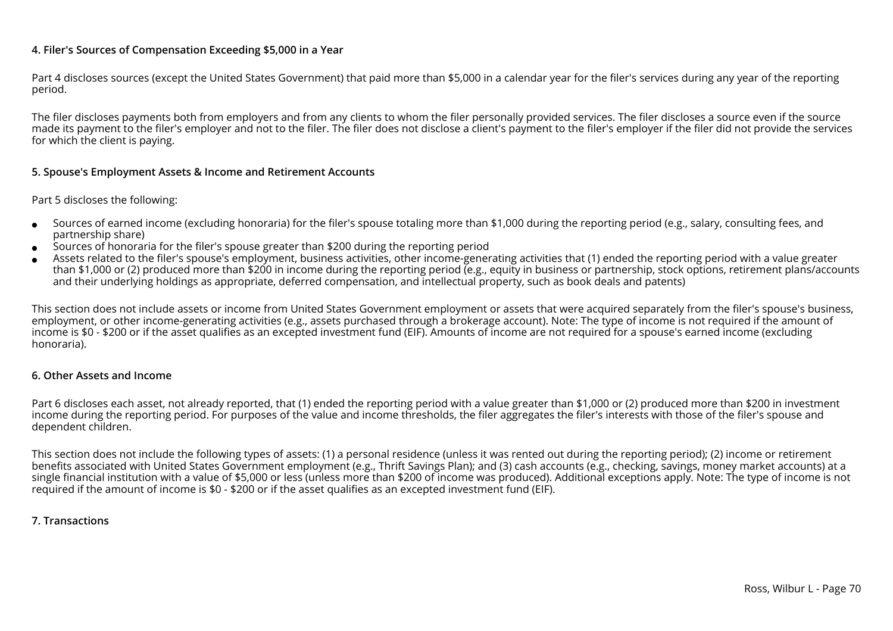## **4. Filer's Sources of Compensation Exceeding \$5,000 in a Year**

Part 4 discloses sources (except the United States Government) that paid more than \$5,000 in a calendar year for the filer's services during any year of the reportingperiod.

The filer discloses payments both from employers and from any clients to whom the filer personally provided services. The filer discloses a source even if the source made its payment to the filer's employer and not to the filer. The filer does not disclose a client's payment to the filer's employer if the filer did not provide the servicesfor which the client is paying.

### **5. Spouse's Employment Assets & Income and Retirement Accounts**

### Part 5 discloses the following:

- ●Sources of earned income (excluding honoraria) for the filer's spouse totaling more than \$1,000 during the reporting period (e.g., salary, consulting fees, andpartnership share)
- ●Sources of honoraria for the filer's spouse greater than \$200 during the reporting period
- ● Assets related to the filer's spouse's employment, business activities, other income-generating activities that (1) ended the reporting period with a value greater than \$1,000 or (2) produced more than \$200 in income during the reporting period (e.g., equity in business or partnership, stock options, retirement plans/accountsand their underlying holdings as appropriate, deferred compensation, and intellectual property, such as book deals and patents)

This section does not include assets or income from United States Government employment or assets that were acquired separately from the filer's spouse's business,employment, or other income-generating activities (e.g., assets purchased through a brokerage account). Note: The type of income is not required if the amount ofincome is \$0 - \$200 or if the asset qualifies as an excepted investment fund (EIF). Amounts of income are not required for a spouse's earned income (excludinghonoraria).

#### **6. Other Assets and Income**

Part 6 discloses each asset, not already reported, that (1) ended the reporting period with a value greater than \$1,000 or (2) produced more than \$200 in investment income during the reporting period. For purposes of the value and income thresholds, the filer aggregates the filer's interests with those of the filer's spouse anddependent children.

This section does not include the following types of assets: (1) a personal residence (unless it was rented out during the reporting period); (2) income or retirement benefits associated with United States Government employment (e.g., Thrift Savings Plan); and (3) cash accounts (e.g., checking, savings, money market accounts) at a single financial institution with a value of \$5,000 or less (unless more than \$200 of income was produced). Additional exceptions apply. Note: The type of income is notrequired if the amount of income is \$0 - \$200 or if the asset qualifies as an excepted investment fund (EIF).

### **7. Transactions**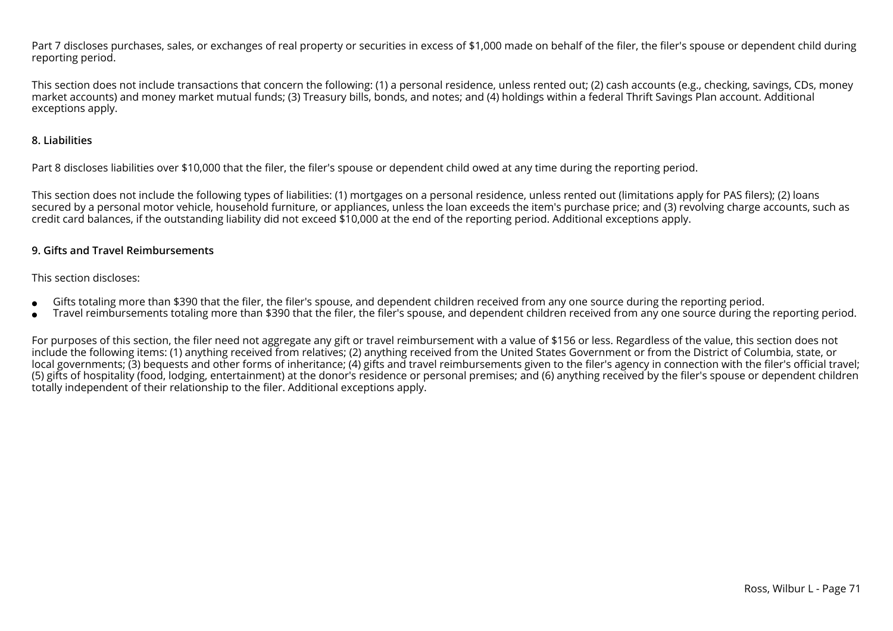Part 7 discloses purchases, sales, or exchanges of real property or securities in excess of \$1,000 made on behalf of the filer, the filer's spouse or dependent child duringreporting period.

This section does not include transactions that concern the following: (1) a personal residence, unless rented out; (2) cash accounts (e.g., checking, savings, CDs, moneymarket accounts) and money market mutual funds; (3) Treasury bills, bonds, and notes; and (4) holdings within a federal Thrift Savings Plan account. Additionalexceptions apply.

## **8. Liabilities**

Part 8 discloses liabilities over \$10,000 that the filer, the filer's spouse or dependent child owed at any time during the reporting period.

This section does not include the following types of liabilities: (1) mortgages on a personal residence, unless rented out (limitations apply for PAS filers); (2) loans secured by a personal motor vehicle, household furniture, or appliances, unless the loan exceeds the item's purchase price; and (3) revolving charge accounts, such ascredit card balances, if the outstanding liability did not exceed \$10,000 at the end of the reporting period. Additional exceptions apply.

## **9. Gifts and Travel Reimbursements**

### This section discloses:

- ●Gifts totaling more than \$390 that the filer, the filer's spouse, and dependent children received from any one source during the reporting period.
- ●Travel reimbursements totaling more than \$390 that the filer, the filer's spouse, and dependent children received from any one source during the reporting period.

For purposes of this section, the filer need not aggregate any gift or travel reimbursement with a value of \$156 or less. Regardless of the value, this section does not include the following items: (1) anything received from relatives; (2) anything received from the United States Government or from the District of Columbia, state, or local governments; (3) bequests and other forms of inheritance; (4) gifts and travel reimbursements given to the filer's agency in connection with the filer's official travel; (5) gifts of hospitality (food, lodging, entertainment) at the donor's residence or personal premises; and (6) anything received by the filer's spouse or dependent childrentotally independent of their relationship to the filer. Additional exceptions apply.